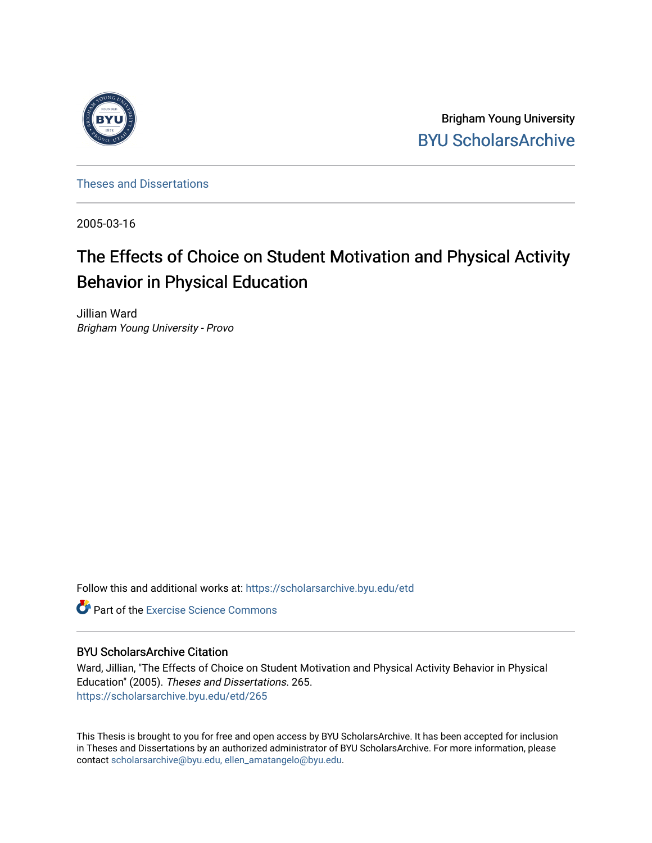

Brigham Young University [BYU ScholarsArchive](https://scholarsarchive.byu.edu/) 

[Theses and Dissertations](https://scholarsarchive.byu.edu/etd)

2005-03-16

# The Effects of Choice on Student Motivation and Physical Activity Behavior in Physical Education

Jillian Ward Brigham Young University - Provo

Follow this and additional works at: [https://scholarsarchive.byu.edu/etd](https://scholarsarchive.byu.edu/etd?utm_source=scholarsarchive.byu.edu%2Fetd%2F265&utm_medium=PDF&utm_campaign=PDFCoverPages)

**C** Part of the [Exercise Science Commons](http://network.bepress.com/hgg/discipline/1091?utm_source=scholarsarchive.byu.edu%2Fetd%2F265&utm_medium=PDF&utm_campaign=PDFCoverPages)

## BYU ScholarsArchive Citation

Ward, Jillian, "The Effects of Choice on Student Motivation and Physical Activity Behavior in Physical Education" (2005). Theses and Dissertations. 265. [https://scholarsarchive.byu.edu/etd/265](https://scholarsarchive.byu.edu/etd/265?utm_source=scholarsarchive.byu.edu%2Fetd%2F265&utm_medium=PDF&utm_campaign=PDFCoverPages)

This Thesis is brought to you for free and open access by BYU ScholarsArchive. It has been accepted for inclusion in Theses and Dissertations by an authorized administrator of BYU ScholarsArchive. For more information, please contact [scholarsarchive@byu.edu, ellen\\_amatangelo@byu.edu](mailto:scholarsarchive@byu.edu,%20ellen_amatangelo@byu.edu).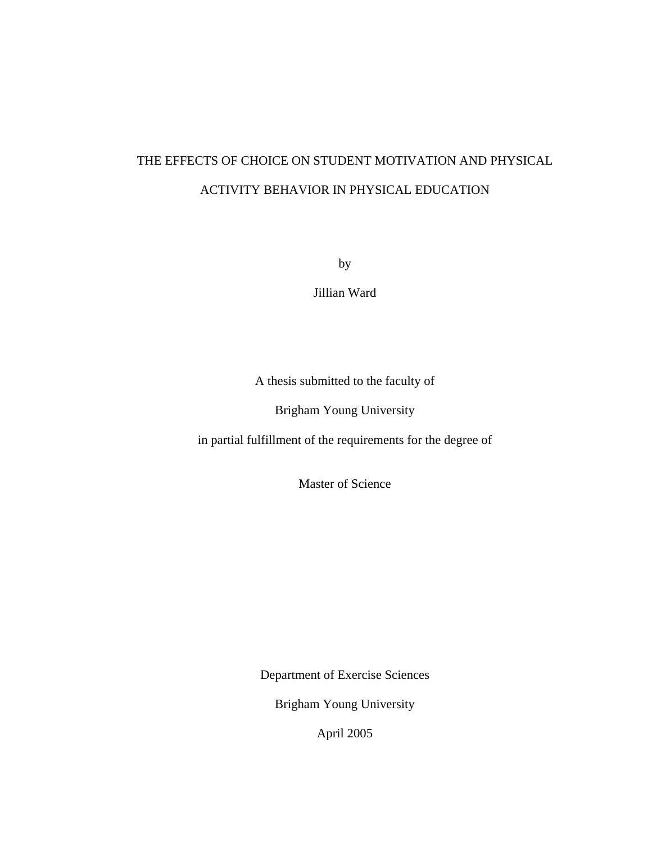# THE EFFECTS OF CHOICE ON STUDENT MOTIVATION AND PHYSICAL ACTIVITY BEHAVIOR IN PHYSICAL EDUCATION

by

Jillian Ward

A thesis submitted to the faculty of

Brigham Young University

in partial fulfillment of the requirements for the degree of

Master of Science

Department of Exercise Sciences

Brigham Young University

April 2005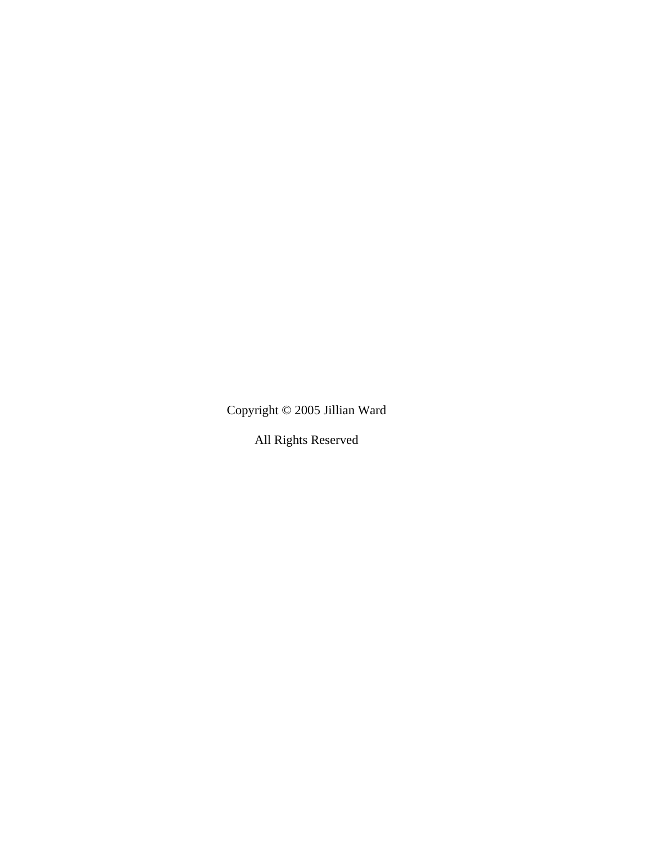Copyright © 2005 Jillian Ward

All Rights Reserved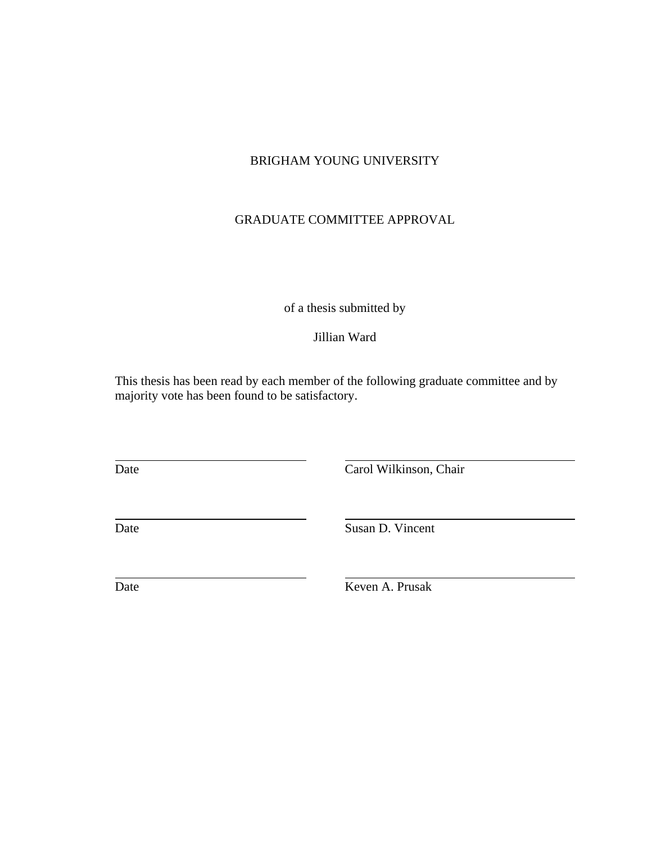## BRIGHAM YOUNG UNIVERSITY

## GRADUATE COMMITTEE APPROVAL

## of a thesis submitted by

## Jillian Ward

This thesis has been read by each member of the following graduate committee and by majority vote has been found to be satisfactory.

 $\overline{a}$ 

 $\overline{a}$ 

 $\overline{a}$ 

Date Carol Wilkinson, Chair

Date Susan D. Vincent

Date Keven A. Prusak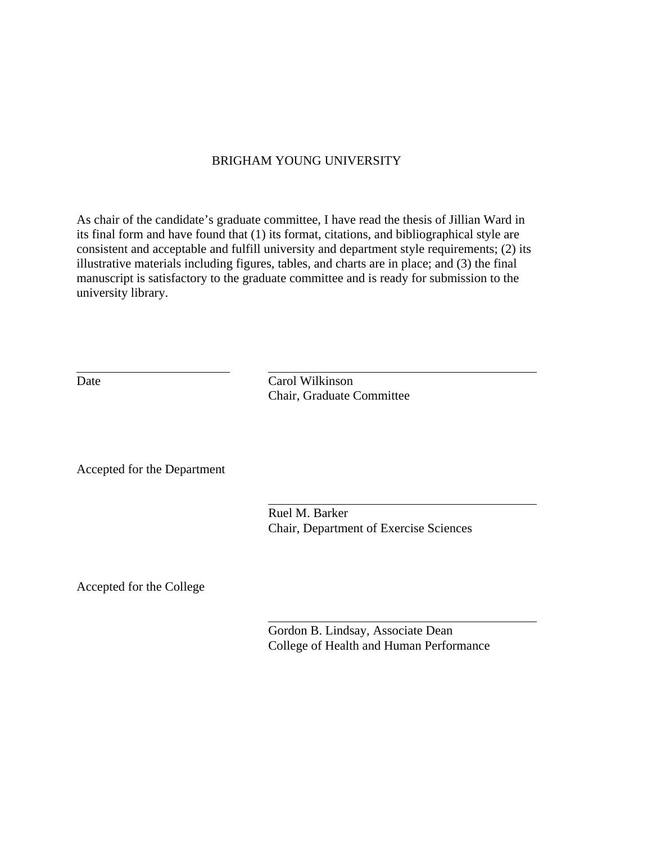## BRIGHAM YOUNG UNIVERSITY

As chair of the candidate's graduate committee, I have read the thesis of Jillian Ward in its final form and have found that (1) its format, citations, and bibliographical style are consistent and acceptable and fulfill university and department style requirements; (2) its illustrative materials including figures, tables, and charts are in place; and (3) the final manuscript is satisfactory to the graduate committee and is ready for submission to the university library.

 $\overline{a}$ 

Date Carol Wilkinson Chair, Graduate Committee

Accepted for the Department

 Ruel M. Barker Chair, Department of Exercise Sciences

Accepted for the College

 Gordon B. Lindsay, Associate Dean College of Health and Human Performance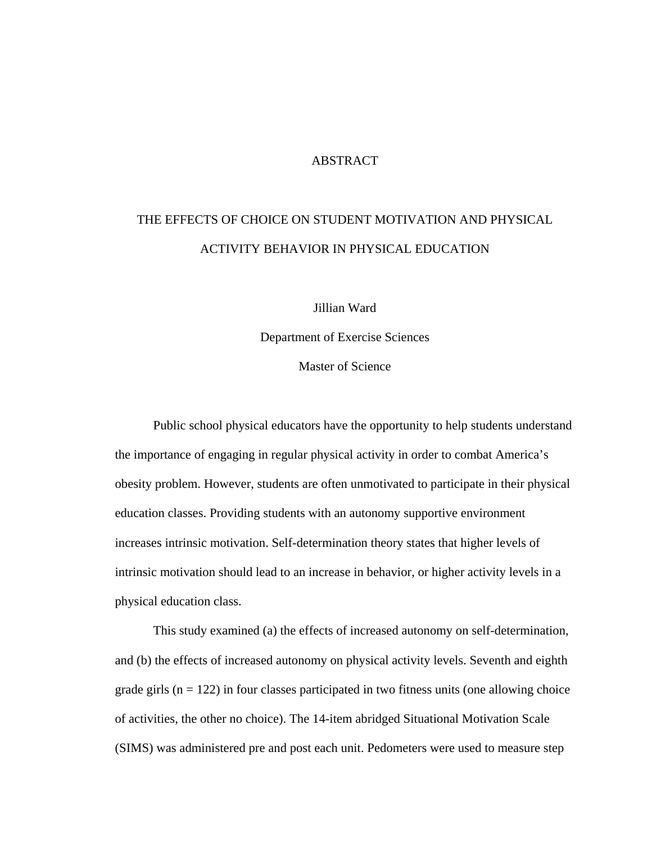## ABSTRACT

# THE EFFECTS OF CHOICE ON STUDENT MOTIVATION AND PHYSICAL ACTIVITY BEHAVIOR IN PHYSICAL EDUCATION

Jillian Ward

Department of Exercise Sciences

Master of Science

Public school physical educators have the opportunity to help students understand the importance of engaging in regular physical activity in order to combat America's obesity problem. However, students are often unmotivated to participate in their physical education classes. Providing students with an autonomy supportive environment increases intrinsic motivation. Self-determination theory states that higher levels of intrinsic motivation should lead to an increase in behavior, or higher activity levels in a physical education class.

This study examined (a) the effects of increased autonomy on self-determination, and (b) the effects of increased autonomy on physical activity levels. Seventh and eighth grade girls  $(n = 122)$  in four classes participated in two fitness units (one allowing choice of activities, the other no choice). The 14-item abridged Situational Motivation Scale (SIMS) was administered pre and post each unit. Pedometers were used to measure step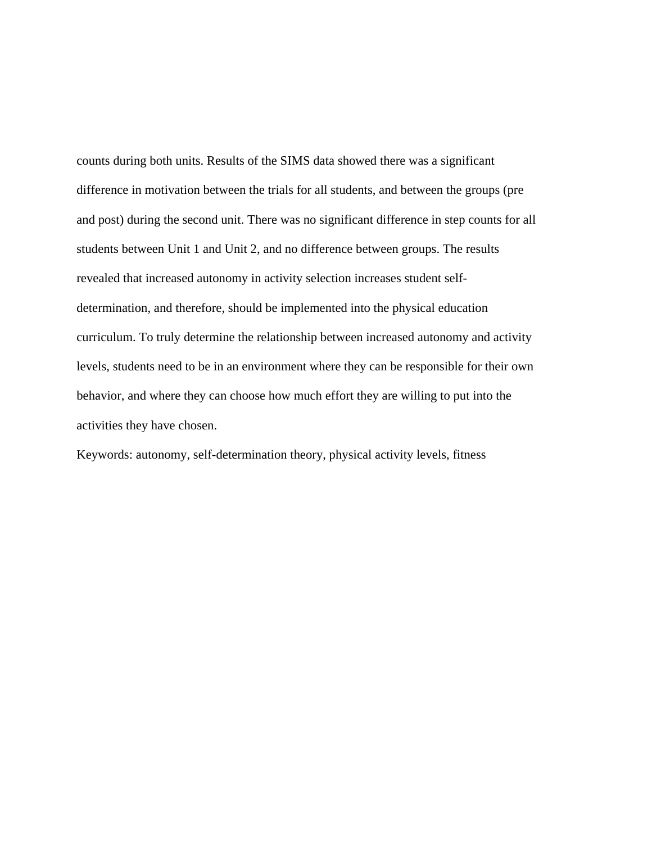counts during both units. Results of the SIMS data showed there was a significant difference in motivation between the trials for all students, and between the groups (pre and post) during the second unit. There was no significant difference in step counts for all students between Unit 1 and Unit 2, and no difference between groups. The results revealed that increased autonomy in activity selection increases student selfdetermination, and therefore, should be implemented into the physical education curriculum. To truly determine the relationship between increased autonomy and activity levels, students need to be in an environment where they can be responsible for their own behavior, and where they can choose how much effort they are willing to put into the activities they have chosen.

Keywords: autonomy, self-determination theory, physical activity levels, fitness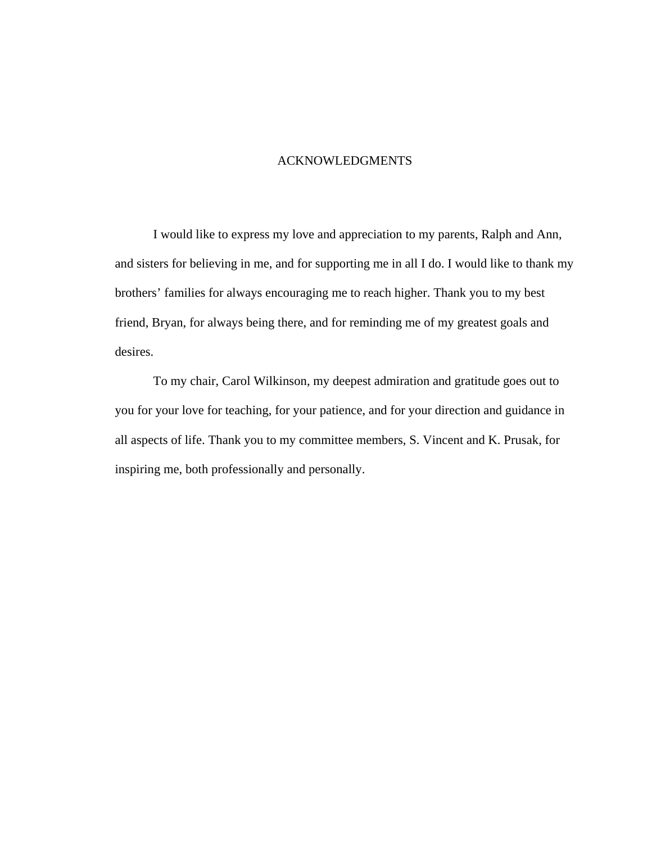## ACKNOWLEDGMENTS

I would like to express my love and appreciation to my parents, Ralph and Ann, and sisters for believing in me, and for supporting me in all I do. I would like to thank my brothers' families for always encouraging me to reach higher. Thank you to my best friend, Bryan, for always being there, and for reminding me of my greatest goals and desires.

To my chair, Carol Wilkinson, my deepest admiration and gratitude goes out to you for your love for teaching, for your patience, and for your direction and guidance in all aspects of life. Thank you to my committee members, S. Vincent and K. Prusak, for inspiring me, both professionally and personally.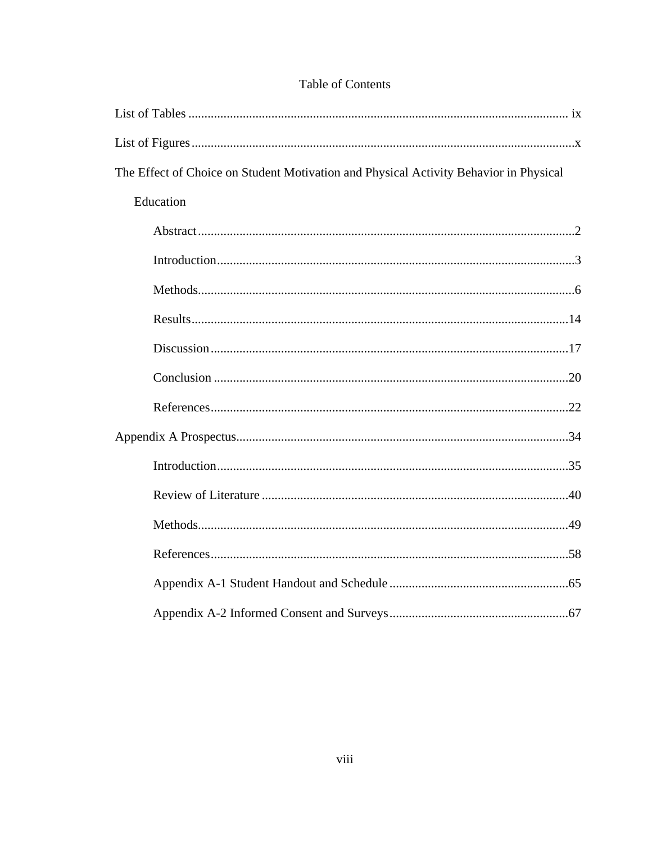| The Effect of Choice on Student Motivation and Physical Activity Behavior in Physical |
|---------------------------------------------------------------------------------------|
| Education                                                                             |
|                                                                                       |
|                                                                                       |
|                                                                                       |
|                                                                                       |
|                                                                                       |
|                                                                                       |
|                                                                                       |
|                                                                                       |
|                                                                                       |
|                                                                                       |
|                                                                                       |
|                                                                                       |
|                                                                                       |
|                                                                                       |

## Table of Contents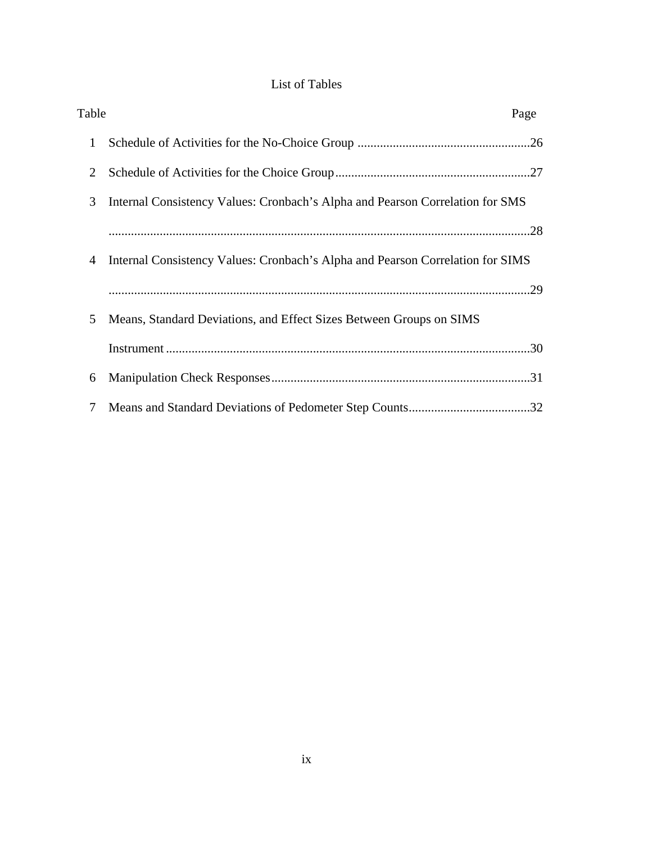## List of Tables

| Table          | Page                                                                           |
|----------------|--------------------------------------------------------------------------------|
| $\mathbf{1}$   |                                                                                |
| $\overline{2}$ |                                                                                |
| 3              | Internal Consistency Values: Cronbach's Alpha and Pearson Correlation for SMS  |
|                |                                                                                |
| 4              | Internal Consistency Values: Cronbach's Alpha and Pearson Correlation for SIMS |
|                |                                                                                |
| 5              | Means, Standard Deviations, and Effect Sizes Between Groups on SIMS            |
|                |                                                                                |
| 6              |                                                                                |
| 7              |                                                                                |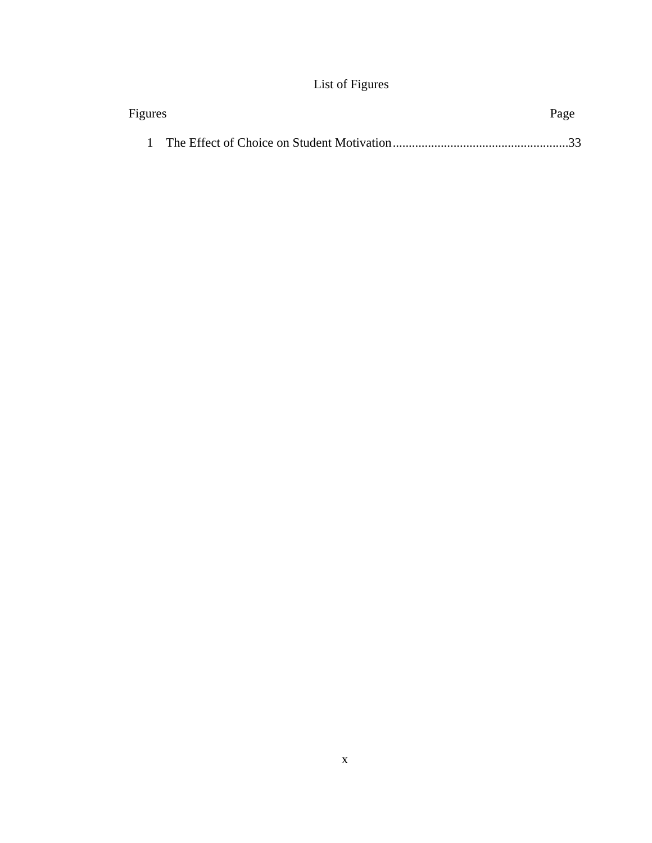## List of Figures

| Figures |  | Page |
|---------|--|------|
|         |  |      |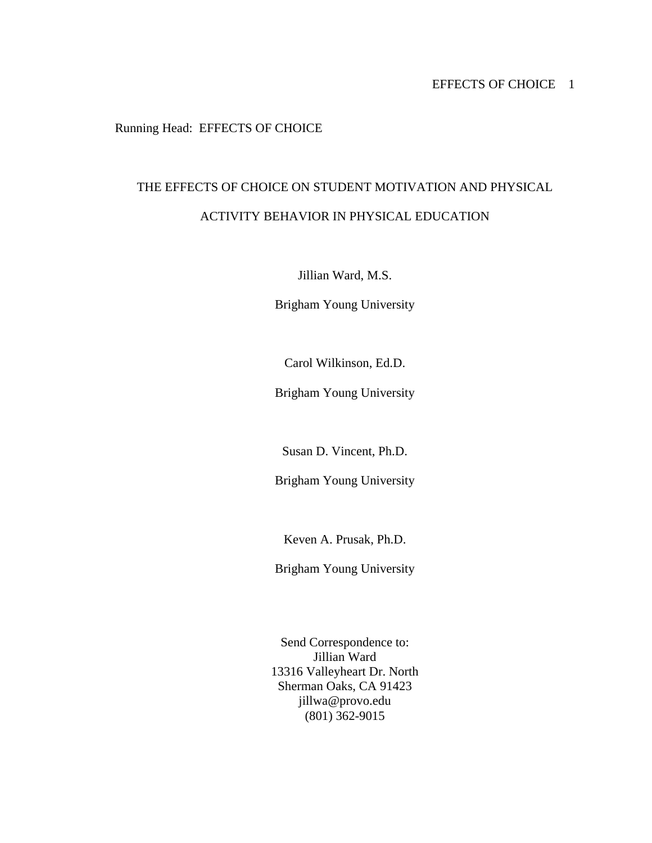## Running Head: EFFECTS OF CHOICE

# THE EFFECTS OF CHOICE ON STUDENT MOTIVATION AND PHYSICAL ACTIVITY BEHAVIOR IN PHYSICAL EDUCATION

Jillian Ward, M.S.

Brigham Young University

Carol Wilkinson, Ed.D.

Brigham Young University

Susan D. Vincent, Ph.D.

Brigham Young University

Keven A. Prusak, Ph.D.

Brigham Young University

Send Correspondence to: Jillian Ward 13316 Valleyheart Dr. North Sherman Oaks, CA 91423 jillwa@provo.edu (801) 362-9015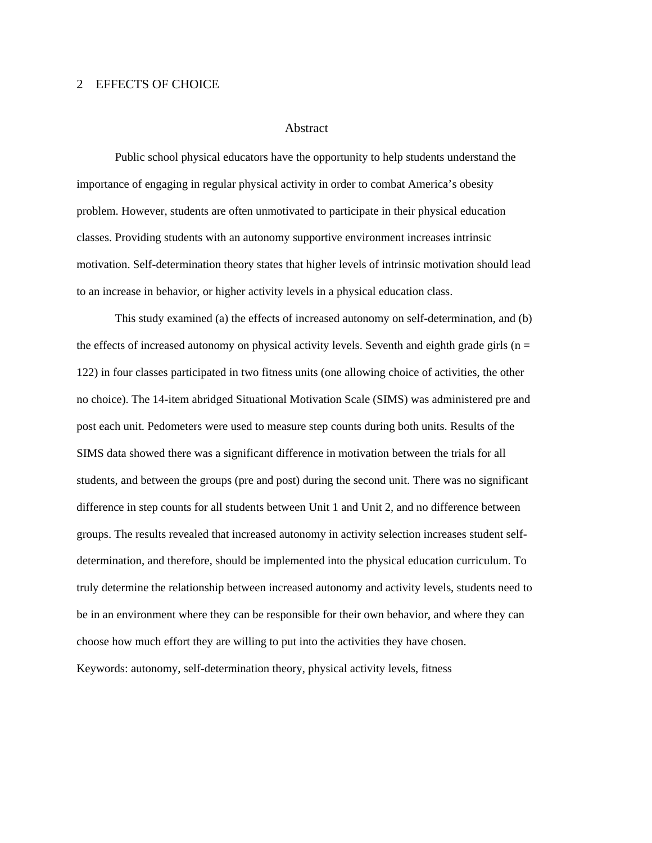#### Abstract

Public school physical educators have the opportunity to help students understand the importance of engaging in regular physical activity in order to combat America's obesity problem. However, students are often unmotivated to participate in their physical education classes. Providing students with an autonomy supportive environment increases intrinsic motivation. Self-determination theory states that higher levels of intrinsic motivation should lead to an increase in behavior, or higher activity levels in a physical education class.

This study examined (a) the effects of increased autonomy on self-determination, and (b) the effects of increased autonomy on physical activity levels. Seventh and eighth grade girls ( $n =$ 122) in four classes participated in two fitness units (one allowing choice of activities, the other no choice). The 14-item abridged Situational Motivation Scale (SIMS) was administered pre and post each unit. Pedometers were used to measure step counts during both units. Results of the SIMS data showed there was a significant difference in motivation between the trials for all students, and between the groups (pre and post) during the second unit. There was no significant difference in step counts for all students between Unit 1 and Unit 2, and no difference between groups. The results revealed that increased autonomy in activity selection increases student selfdetermination, and therefore, should be implemented into the physical education curriculum. To truly determine the relationship between increased autonomy and activity levels, students need to be in an environment where they can be responsible for their own behavior, and where they can choose how much effort they are willing to put into the activities they have chosen. Keywords: autonomy, self-determination theory, physical activity levels, fitness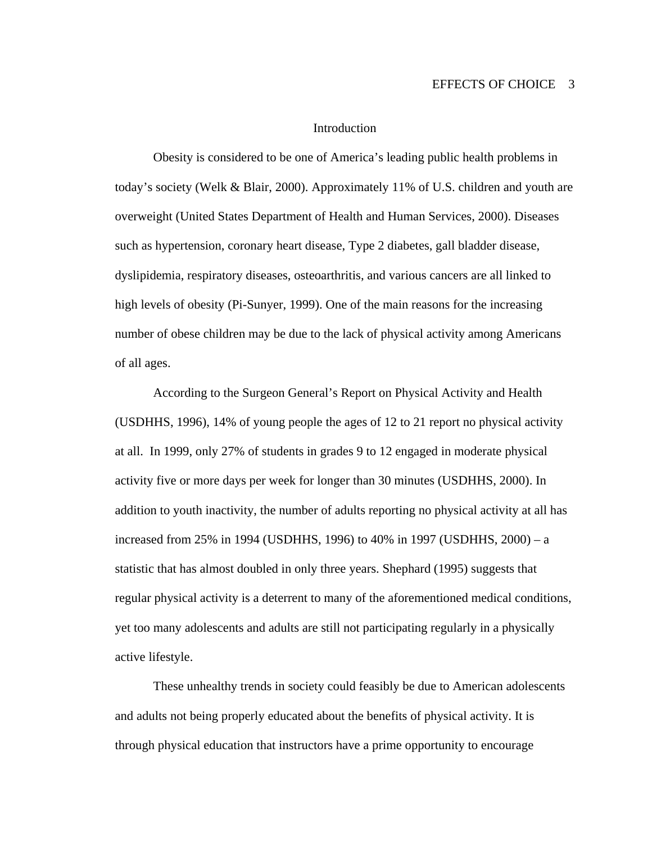## Introduction

Obesity is considered to be one of America's leading public health problems in today's society (Welk & Blair, 2000). Approximately 11% of U.S. children and youth are overweight (United States Department of Health and Human Services, 2000). Diseases such as hypertension, coronary heart disease, Type 2 diabetes, gall bladder disease, dyslipidemia, respiratory diseases, osteoarthritis, and various cancers are all linked to high levels of obesity (Pi-Sunyer, 1999). One of the main reasons for the increasing number of obese children may be due to the lack of physical activity among Americans of all ages.

According to the Surgeon General's Report on Physical Activity and Health (USDHHS, 1996), 14% of young people the ages of 12 to 21 report no physical activity at all. In 1999, only 27% of students in grades 9 to 12 engaged in moderate physical activity five or more days per week for longer than 30 minutes (USDHHS, 2000). In addition to youth inactivity, the number of adults reporting no physical activity at all has increased from 25% in 1994 (USDHHS, 1996) to 40% in 1997 (USDHHS, 2000) – a statistic that has almost doubled in only three years. Shephard (1995) suggests that regular physical activity is a deterrent to many of the aforementioned medical conditions, yet too many adolescents and adults are still not participating regularly in a physically active lifestyle.

These unhealthy trends in society could feasibly be due to American adolescents and adults not being properly educated about the benefits of physical activity. It is through physical education that instructors have a prime opportunity to encourage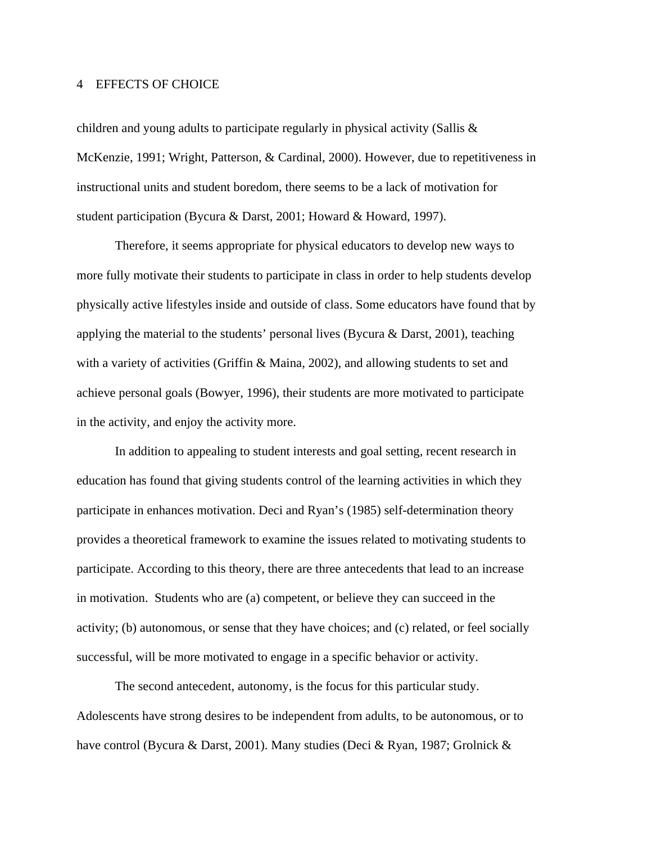children and young adults to participate regularly in physical activity (Sallis & McKenzie, 1991; Wright, Patterson, & Cardinal, 2000). However, due to repetitiveness in instructional units and student boredom, there seems to be a lack of motivation for student participation (Bycura & Darst, 2001; Howard & Howard, 1997).

Therefore, it seems appropriate for physical educators to develop new ways to more fully motivate their students to participate in class in order to help students develop physically active lifestyles inside and outside of class. Some educators have found that by applying the material to the students' personal lives (Bycura & Darst, 2001), teaching with a variety of activities (Griffin & Maina, 2002), and allowing students to set and achieve personal goals (Bowyer, 1996), their students are more motivated to participate in the activity, and enjoy the activity more.

In addition to appealing to student interests and goal setting, recent research in education has found that giving students control of the learning activities in which they participate in enhances motivation. Deci and Ryan's (1985) self-determination theory provides a theoretical framework to examine the issues related to motivating students to participate. According to this theory, there are three antecedents that lead to an increase in motivation. Students who are (a) competent, or believe they can succeed in the activity; (b) autonomous, or sense that they have choices; and (c) related, or feel socially successful, will be more motivated to engage in a specific behavior or activity.

The second antecedent, autonomy, is the focus for this particular study. Adolescents have strong desires to be independent from adults, to be autonomous, or to have control (Bycura & Darst, 2001). Many studies (Deci & Ryan, 1987; Grolnick &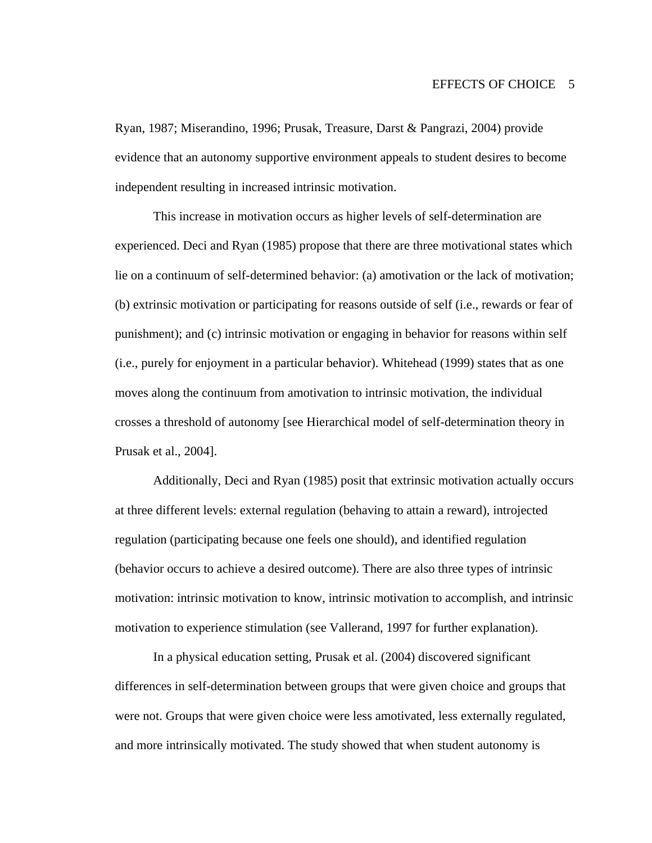Ryan, 1987; Miserandino, 1996; Prusak, Treasure, Darst & Pangrazi, 2004) provide evidence that an autonomy supportive environment appeals to student desires to become independent resulting in increased intrinsic motivation.

This increase in motivation occurs as higher levels of self-determination are experienced. Deci and Ryan (1985) propose that there are three motivational states which lie on a continuum of self-determined behavior: (a) amotivation or the lack of motivation; (b) extrinsic motivation or participating for reasons outside of self (i.e., rewards or fear of punishment); and (c) intrinsic motivation or engaging in behavior for reasons within self (i.e., purely for enjoyment in a particular behavior). Whitehead (1999) states that as one moves along the continuum from amotivation to intrinsic motivation, the individual crosses a threshold of autonomy [see Hierarchical model of self-determination theory in Prusak et al., 2004].

Additionally, Deci and Ryan (1985) posit that extrinsic motivation actually occurs at three different levels: external regulation (behaving to attain a reward), introjected regulation (participating because one feels one should), and identified regulation (behavior occurs to achieve a desired outcome). There are also three types of intrinsic motivation: intrinsic motivation to know, intrinsic motivation to accomplish, and intrinsic motivation to experience stimulation (see Vallerand, 1997 for further explanation).

In a physical education setting, Prusak et al. (2004) discovered significant differences in self-determination between groups that were given choice and groups that were not. Groups that were given choice were less amotivated, less externally regulated, and more intrinsically motivated. The study showed that when student autonomy is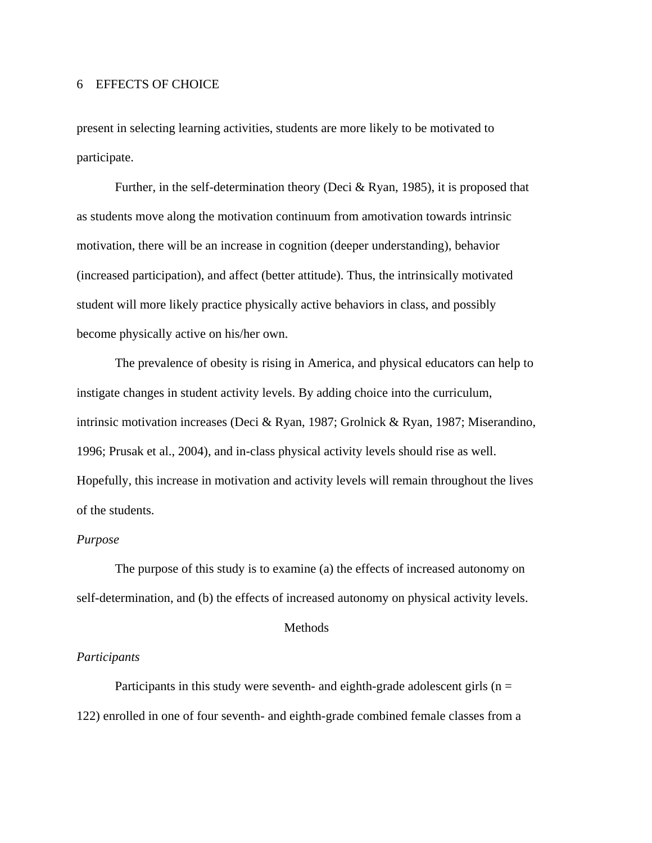present in selecting learning activities, students are more likely to be motivated to participate.

Further, in the self-determination theory (Deci & Ryan, 1985), it is proposed that as students move along the motivation continuum from amotivation towards intrinsic motivation, there will be an increase in cognition (deeper understanding), behavior (increased participation), and affect (better attitude). Thus, the intrinsically motivated student will more likely practice physically active behaviors in class, and possibly become physically active on his/her own.

 The prevalence of obesity is rising in America, and physical educators can help to instigate changes in student activity levels. By adding choice into the curriculum, intrinsic motivation increases (Deci & Ryan, 1987; Grolnick & Ryan, 1987; Miserandino, 1996; Prusak et al., 2004), and in-class physical activity levels should rise as well. Hopefully, this increase in motivation and activity levels will remain throughout the lives of the students.

### *Purpose*

 The purpose of this study is to examine (a) the effects of increased autonomy on self-determination, and (b) the effects of increased autonomy on physical activity levels.

#### **Methods**

#### *Participants*

Participants in this study were seventh- and eighth-grade adolescent girls ( $n =$ 122) enrolled in one of four seventh- and eighth-grade combined female classes from a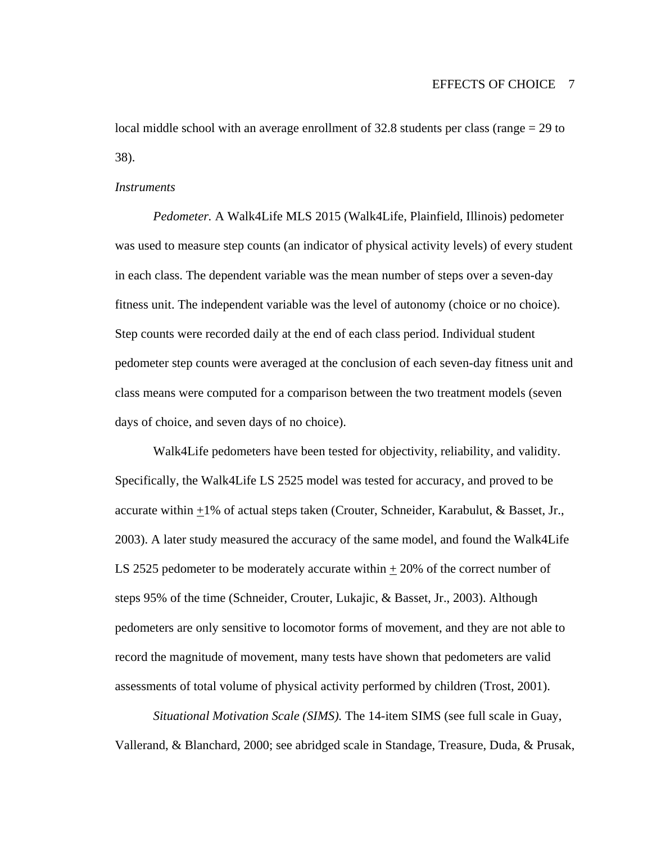local middle school with an average enrollment of 32.8 students per class (range = 29 to 38).

#### *Instruments*

*Pedometer.* A Walk4Life MLS 2015 (Walk4Life, Plainfield, Illinois) pedometer was used to measure step counts (an indicator of physical activity levels) of every student in each class. The dependent variable was the mean number of steps over a seven-day fitness unit. The independent variable was the level of autonomy (choice or no choice). Step counts were recorded daily at the end of each class period. Individual student pedometer step counts were averaged at the conclusion of each seven-day fitness unit and class means were computed for a comparison between the two treatment models (seven days of choice, and seven days of no choice).

Walk4Life pedometers have been tested for objectivity, reliability, and validity. Specifically, the Walk4Life LS 2525 model was tested for accuracy, and proved to be accurate within +1% of actual steps taken (Crouter, Schneider, Karabulut, & Basset, Jr., 2003). A later study measured the accuracy of the same model, and found the Walk4Life LS 2525 pedometer to be moderately accurate within  $+$  20% of the correct number of steps 95% of the time (Schneider, Crouter, Lukajic, & Basset, Jr., 2003). Although pedometers are only sensitive to locomotor forms of movement, and they are not able to record the magnitude of movement, many tests have shown that pedometers are valid assessments of total volume of physical activity performed by children (Trost, 2001).

*Situational Motivation Scale (SIMS).* The 14-item SIMS (see full scale in Guay, Vallerand, & Blanchard, 2000; see abridged scale in Standage, Treasure, Duda, & Prusak,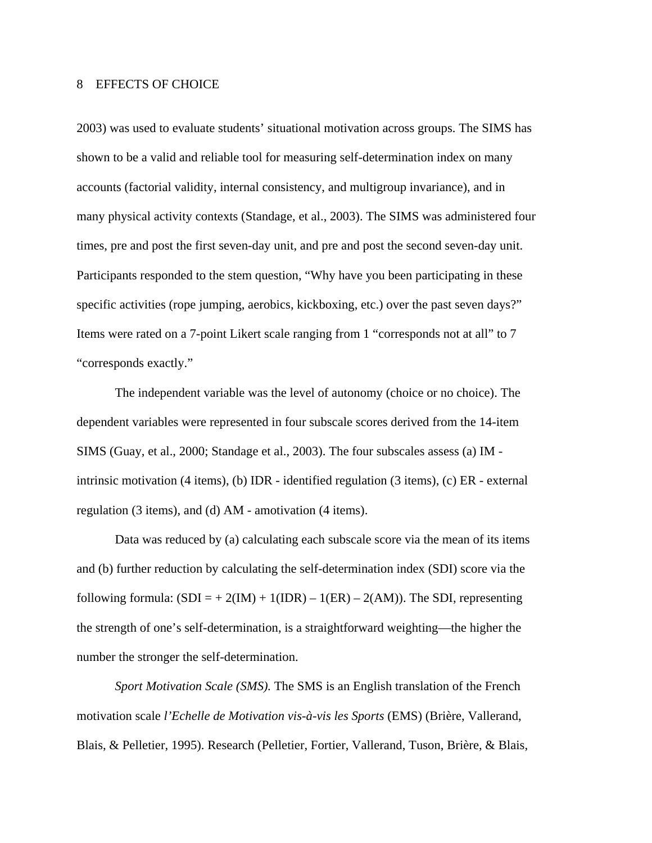2003) was used to evaluate students' situational motivation across groups. The SIMS has shown to be a valid and reliable tool for measuring self-determination index on many accounts (factorial validity, internal consistency, and multigroup invariance), and in many physical activity contexts (Standage, et al., 2003). The SIMS was administered four times, pre and post the first seven-day unit, and pre and post the second seven-day unit. Participants responded to the stem question, "Why have you been participating in these specific activities (rope jumping, aerobics, kickboxing, etc.) over the past seven days?" Items were rated on a 7-point Likert scale ranging from 1 "corresponds not at all" to 7 "corresponds exactly."

The independent variable was the level of autonomy (choice or no choice). The dependent variables were represented in four subscale scores derived from the 14-item SIMS (Guay, et al., 2000; Standage et al., 2003). The four subscales assess (a) IM intrinsic motivation (4 items), (b) IDR - identified regulation (3 items), (c) ER - external regulation (3 items), and (d) AM - amotivation (4 items).

Data was reduced by (a) calculating each subscale score via the mean of its items and (b) further reduction by calculating the self-determination index (SDI) score via the following formula:  $(SDI = + 2(IM) + 1(IDR) – 1(ER) – 2(AM))$ . The SDI, representing the strength of one's self-determination, is a straightforward weighting—the higher the number the stronger the self-determination.

*Sport Motivation Scale (SMS).* The SMS is an English translation of the French motivation scale *l'Echelle de Motivation vis-à-vis les Sports* (EMS) (Brière, Vallerand, Blais, & Pelletier, 1995). Research (Pelletier, Fortier, Vallerand, Tuson, Brière, & Blais,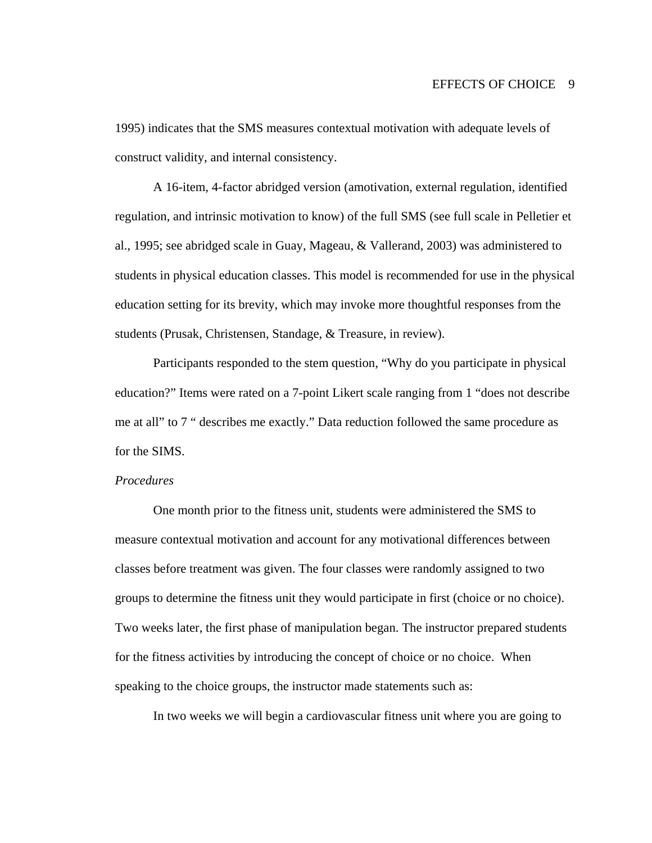1995) indicates that the SMS measures contextual motivation with adequate levels of construct validity, and internal consistency.

A 16-item, 4-factor abridged version (amotivation, external regulation, identified regulation, and intrinsic motivation to know) of the full SMS (see full scale in Pelletier et al., 1995; see abridged scale in Guay, Mageau, & Vallerand, 2003) was administered to students in physical education classes. This model is recommended for use in the physical education setting for its brevity, which may invoke more thoughtful responses from the students (Prusak, Christensen, Standage, & Treasure, in review).

Participants responded to the stem question, "Why do you participate in physical education?" Items were rated on a 7-point Likert scale ranging from 1 "does not describe me at all" to 7 " describes me exactly." Data reduction followed the same procedure as for the SIMS.

## *Procedures*

One month prior to the fitness unit, students were administered the SMS to measure contextual motivation and account for any motivational differences between classes before treatment was given. The four classes were randomly assigned to two groups to determine the fitness unit they would participate in first (choice or no choice). Two weeks later, the first phase of manipulation began. The instructor prepared students for the fitness activities by introducing the concept of choice or no choice. When speaking to the choice groups, the instructor made statements such as:

In two weeks we will begin a cardiovascular fitness unit where you are going to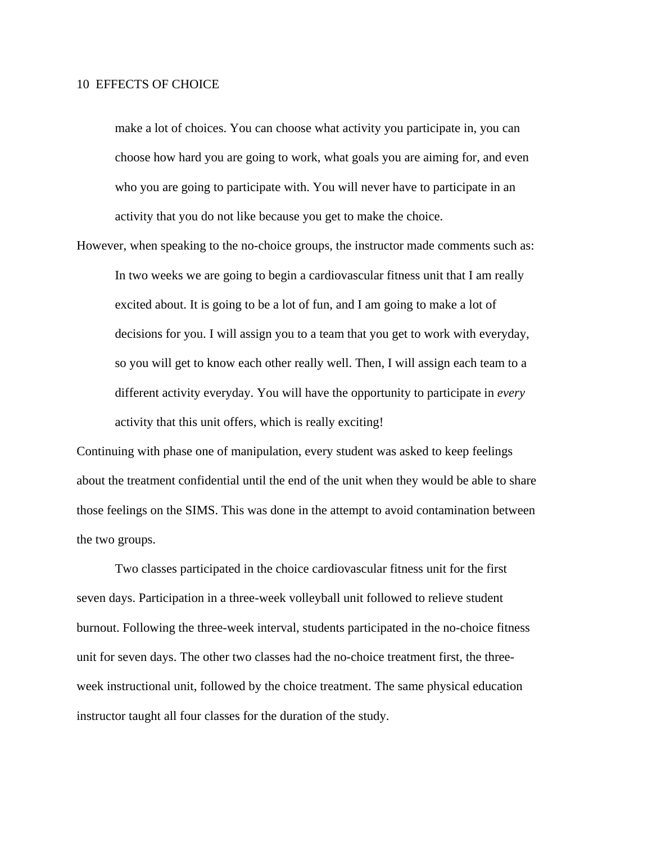make a lot of choices. You can choose what activity you participate in, you can choose how hard you are going to work, what goals you are aiming for, and even who you are going to participate with. You will never have to participate in an activity that you do not like because you get to make the choice.

However, when speaking to the no-choice groups, the instructor made comments such as: In two weeks we are going to begin a cardiovascular fitness unit that I am really excited about. It is going to be a lot of fun, and I am going to make a lot of decisions for you. I will assign you to a team that you get to work with everyday, so you will get to know each other really well. Then, I will assign each team to a different activity everyday. You will have the opportunity to participate in *every*  activity that this unit offers, which is really exciting!

Continuing with phase one of manipulation, every student was asked to keep feelings about the treatment confidential until the end of the unit when they would be able to share those feelings on the SIMS. This was done in the attempt to avoid contamination between the two groups.

Two classes participated in the choice cardiovascular fitness unit for the first seven days. Participation in a three-week volleyball unit followed to relieve student burnout. Following the three-week interval, students participated in the no-choice fitness unit for seven days. The other two classes had the no-choice treatment first, the threeweek instructional unit, followed by the choice treatment. The same physical education instructor taught all four classes for the duration of the study.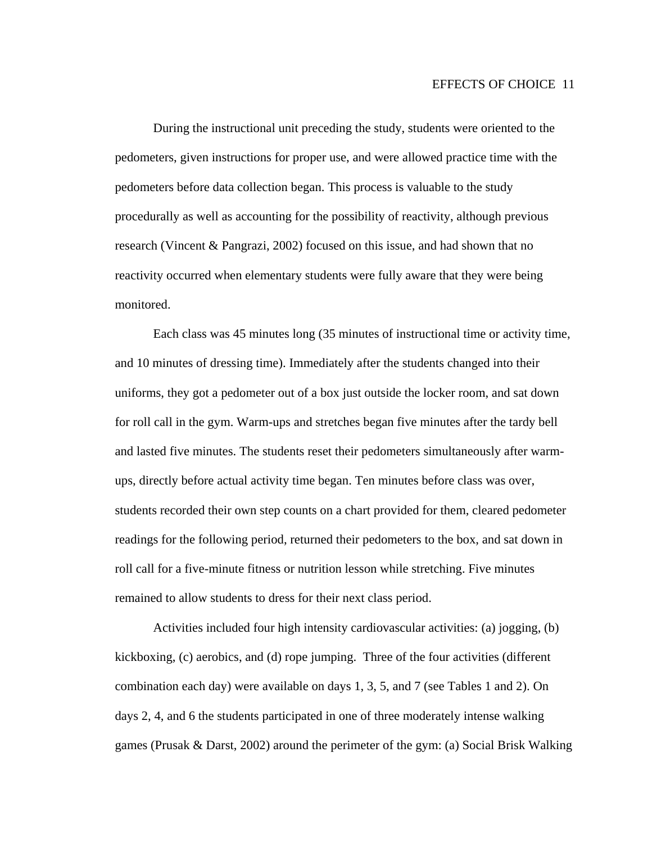During the instructional unit preceding the study, students were oriented to the pedometers, given instructions for proper use, and were allowed practice time with the pedometers before data collection began. This process is valuable to the study procedurally as well as accounting for the possibility of reactivity, although previous research (Vincent & Pangrazi, 2002) focused on this issue, and had shown that no reactivity occurred when elementary students were fully aware that they were being monitored.

Each class was 45 minutes long (35 minutes of instructional time or activity time, and 10 minutes of dressing time). Immediately after the students changed into their uniforms, they got a pedometer out of a box just outside the locker room, and sat down for roll call in the gym. Warm-ups and stretches began five minutes after the tardy bell and lasted five minutes. The students reset their pedometers simultaneously after warmups, directly before actual activity time began. Ten minutes before class was over, students recorded their own step counts on a chart provided for them, cleared pedometer readings for the following period, returned their pedometers to the box, and sat down in roll call for a five-minute fitness or nutrition lesson while stretching. Five minutes remained to allow students to dress for their next class period.

Activities included four high intensity cardiovascular activities: (a) jogging, (b) kickboxing, (c) aerobics, and (d) rope jumping. Three of the four activities (different combination each day) were available on days 1, 3, 5, and 7 (see Tables 1 and 2). On days 2, 4, and 6 the students participated in one of three moderately intense walking games (Prusak & Darst, 2002) around the perimeter of the gym: (a) Social Brisk Walking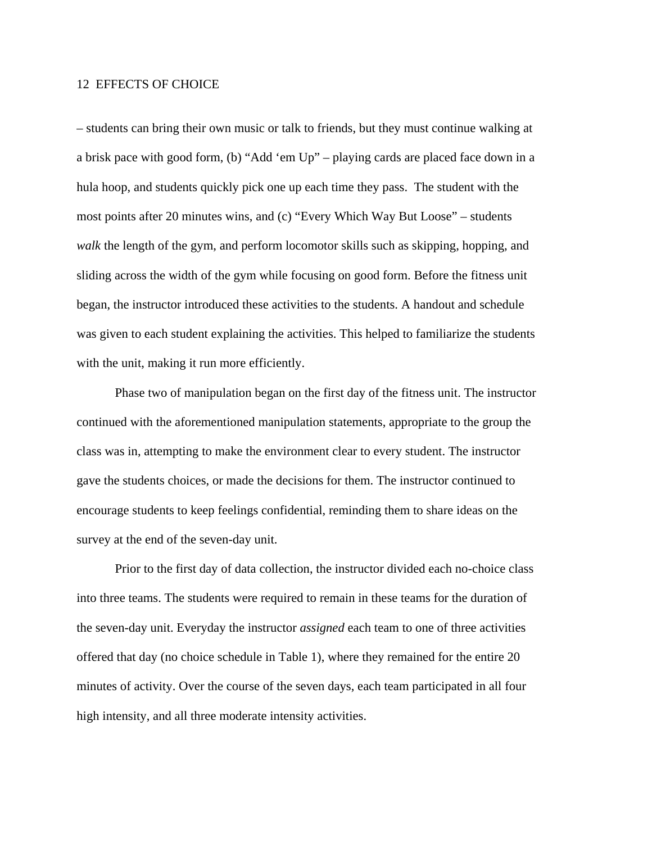– students can bring their own music or talk to friends, but they must continue walking at a brisk pace with good form, (b) "Add 'em Up" – playing cards are placed face down in a hula hoop, and students quickly pick one up each time they pass. The student with the most points after 20 minutes wins, and (c) "Every Which Way But Loose" – students *walk* the length of the gym, and perform locomotor skills such as skipping, hopping, and sliding across the width of the gym while focusing on good form. Before the fitness unit began, the instructor introduced these activities to the students. A handout and schedule was given to each student explaining the activities. This helped to familiarize the students with the unit, making it run more efficiently.

Phase two of manipulation began on the first day of the fitness unit. The instructor continued with the aforementioned manipulation statements, appropriate to the group the class was in, attempting to make the environment clear to every student. The instructor gave the students choices, or made the decisions for them. The instructor continued to encourage students to keep feelings confidential, reminding them to share ideas on the survey at the end of the seven-day unit.

Prior to the first day of data collection, the instructor divided each no-choice class into three teams. The students were required to remain in these teams for the duration of the seven-day unit. Everyday the instructor *assigned* each team to one of three activities offered that day (no choice schedule in Table 1), where they remained for the entire 20 minutes of activity. Over the course of the seven days, each team participated in all four high intensity, and all three moderate intensity activities.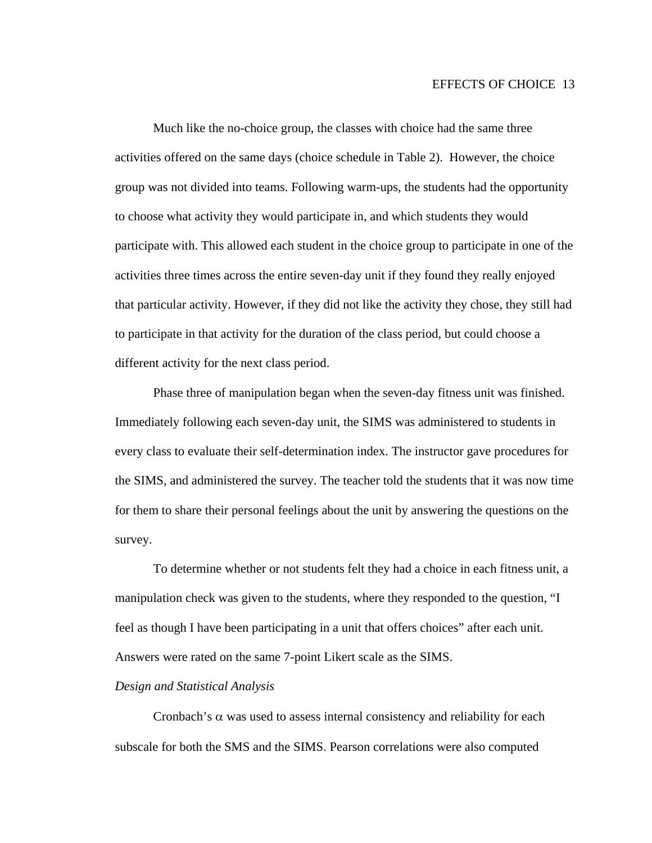Much like the no-choice group, the classes with choice had the same three activities offered on the same days (choice schedule in Table 2). However, the choice group was not divided into teams. Following warm-ups, the students had the opportunity to choose what activity they would participate in, and which students they would participate with. This allowed each student in the choice group to participate in one of the activities three times across the entire seven-day unit if they found they really enjoyed that particular activity. However, if they did not like the activity they chose, they still had to participate in that activity for the duration of the class period, but could choose a different activity for the next class period.

Phase three of manipulation began when the seven-day fitness unit was finished. Immediately following each seven-day unit, the SIMS was administered to students in every class to evaluate their self-determination index. The instructor gave procedures for the SIMS, and administered the survey. The teacher told the students that it was now time for them to share their personal feelings about the unit by answering the questions on the survey.

To determine whether or not students felt they had a choice in each fitness unit, a manipulation check was given to the students, where they responded to the question, "I feel as though I have been participating in a unit that offers choices" after each unit. Answers were rated on the same 7-point Likert scale as the SIMS.

### *Design and Statistical Analysis*

Cronbach's  $\alpha$  was used to assess internal consistency and reliability for each subscale for both the SMS and the SIMS. Pearson correlations were also computed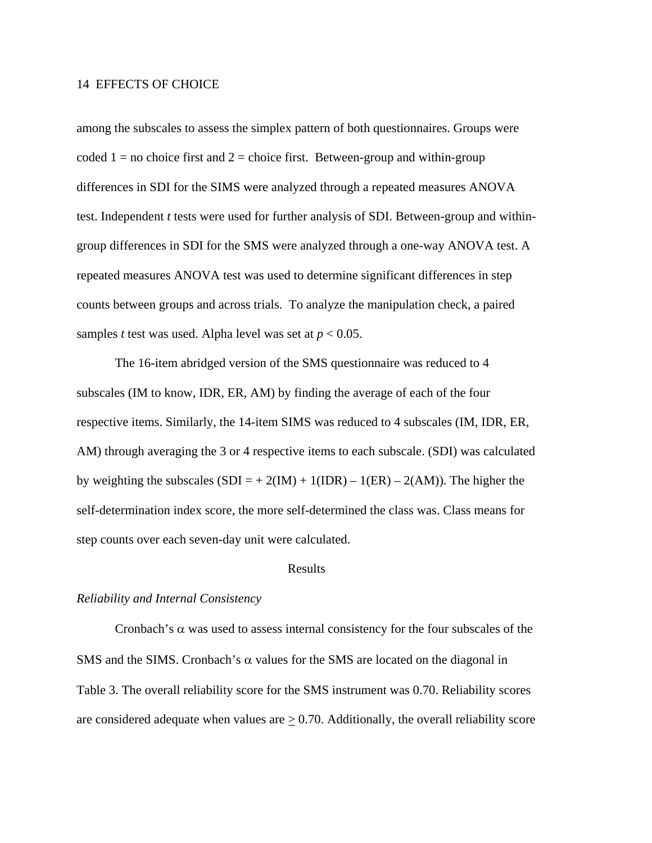among the subscales to assess the simplex pattern of both questionnaires. Groups were coded  $1 =$  no choice first and  $2 =$  choice first. Between-group and within-group differences in SDI for the SIMS were analyzed through a repeated measures ANOVA test. Independent *t* tests were used for further analysis of SDI. Between-group and withingroup differences in SDI for the SMS were analyzed through a one-way ANOVA test. A repeated measures ANOVA test was used to determine significant differences in step counts between groups and across trials. To analyze the manipulation check, a paired samples *t* test was used. Alpha level was set at  $p < 0.05$ .

The 16-item abridged version of the SMS questionnaire was reduced to 4 subscales (IM to know, IDR, ER, AM) by finding the average of each of the four respective items. Similarly, the 14-item SIMS was reduced to 4 subscales (IM, IDR, ER, AM) through averaging the 3 or 4 respective items to each subscale. (SDI) was calculated by weighting the subscales  $(SDI = + 2(IM) + 1(IDR) - 1(ER) - 2(AM))$ . The higher the self-determination index score, the more self-determined the class was. Class means for step counts over each seven-day unit were calculated.

## Results

#### *Reliability and Internal Consistency*

Cronbach's  $\alpha$  was used to assess internal consistency for the four subscales of the SMS and the SIMS. Cronbach's  $\alpha$  values for the SMS are located on the diagonal in Table 3. The overall reliability score for the SMS instrument was 0.70. Reliability scores are considered adequate when values are  $\geq$  0.70. Additionally, the overall reliability score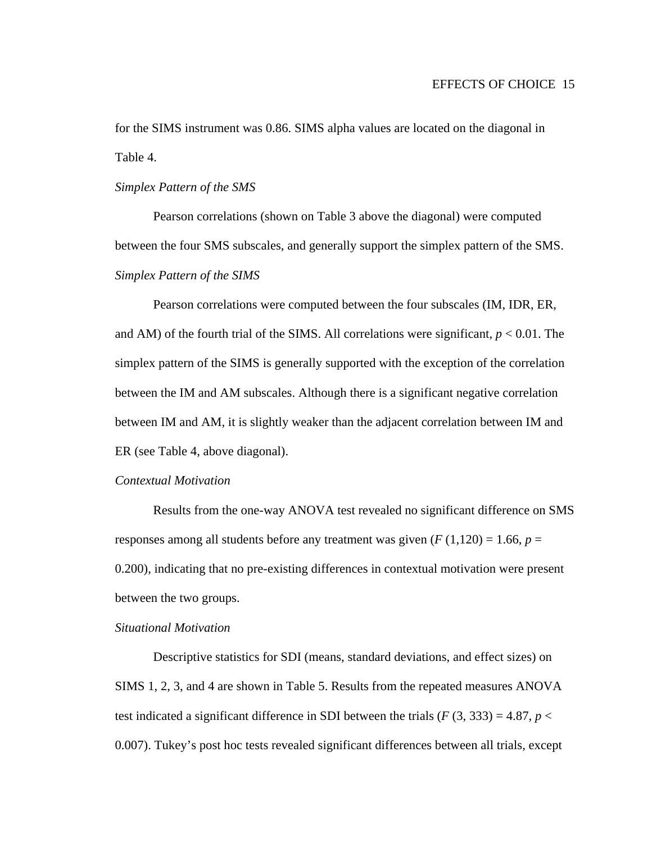for the SIMS instrument was 0.86. SIMS alpha values are located on the diagonal in Table 4.

#### *Simplex Pattern of the SMS*

 Pearson correlations (shown on Table 3 above the diagonal) were computed between the four SMS subscales, and generally support the simplex pattern of the SMS. *Simplex Pattern of the SIMS* 

 Pearson correlations were computed between the four subscales (IM, IDR, ER, and AM) of the fourth trial of the SIMS. All correlations were significant,  $p < 0.01$ . The simplex pattern of the SIMS is generally supported with the exception of the correlation between the IM and AM subscales. Although there is a significant negative correlation between IM and AM, it is slightly weaker than the adjacent correlation between IM and ER (see Table 4, above diagonal).

## *Contextual Motivation*

 Results from the one-way ANOVA test revealed no significant difference on SMS responses among all students before any treatment was given  $(F(1,120) = 1.66, p =$ 0.200), indicating that no pre-existing differences in contextual motivation were present between the two groups.

## *Situational Motivation*

 Descriptive statistics for SDI (means, standard deviations, and effect sizes) on SIMS 1, 2, 3, and 4 are shown in Table 5. Results from the repeated measures ANOVA test indicated a significant difference in SDI between the trials  $(F(3, 333) = 4.87, p <$ 0.007). Tukey's post hoc tests revealed significant differences between all trials, except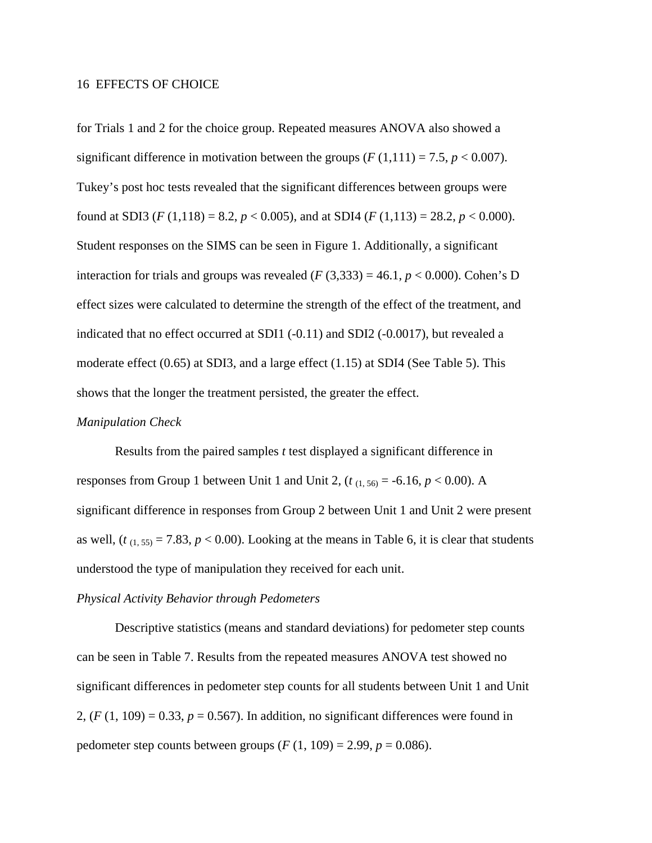for Trials 1 and 2 for the choice group. Repeated measures ANOVA also showed a significant difference in motivation between the groups  $(F(1,111) = 7.5, p < 0.007)$ . Tukey's post hoc tests revealed that the significant differences between groups were found at SDI3 (*F* (1,118) = 8.2,  $p < 0.005$ ), and at SDI4 (*F* (1,113) = 28.2,  $p < 0.000$ ). Student responses on the SIMS can be seen in Figure 1. Additionally, a significant interaction for trials and groups was revealed  $(F(3,333) = 46.1, p < 0.000)$ . Cohen's D effect sizes were calculated to determine the strength of the effect of the treatment, and indicated that no effect occurred at SDI1  $(-0.11)$  and SDI2  $(-0.0017)$ , but revealed a moderate effect (0.65) at SDI3, and a large effect (1.15) at SDI4 (See Table 5). This shows that the longer the treatment persisted, the greater the effect.

### *Manipulation Check*

 Results from the paired samples *t* test displayed a significant difference in responses from Group 1 between Unit 1 and Unit 2,  $(t_{(1.56)} = -6.16, p < 0.00)$ . A significant difference in responses from Group 2 between Unit 1 and Unit 2 were present as well,  $(t_{(1, 55)} = 7.83, p < 0.00)$ . Looking at the means in Table 6, it is clear that students understood the type of manipulation they received for each unit.

## *Physical Activity Behavior through Pedometers*

 Descriptive statistics (means and standard deviations) for pedometer step counts can be seen in Table 7. Results from the repeated measures ANOVA test showed no significant differences in pedometer step counts for all students between Unit 1 and Unit 2,  $(F (1, 109) = 0.33, p = 0.567)$ . In addition, no significant differences were found in pedometer step counts between groups (*F* (1, 109) = 2.99,  $p = 0.086$ ).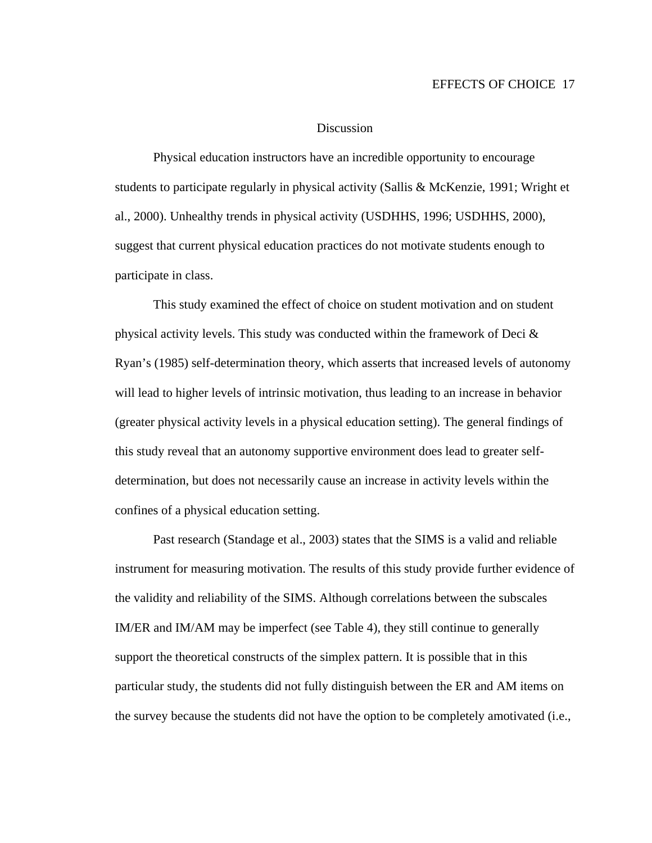#### Discussion

 Physical education instructors have an incredible opportunity to encourage students to participate regularly in physical activity (Sallis & McKenzie, 1991; Wright et al., 2000). Unhealthy trends in physical activity (USDHHS, 1996; USDHHS, 2000), suggest that current physical education practices do not motivate students enough to participate in class.

 This study examined the effect of choice on student motivation and on student physical activity levels. This study was conducted within the framework of Deci & Ryan's (1985) self-determination theory, which asserts that increased levels of autonomy will lead to higher levels of intrinsic motivation, thus leading to an increase in behavior (greater physical activity levels in a physical education setting). The general findings of this study reveal that an autonomy supportive environment does lead to greater selfdetermination, but does not necessarily cause an increase in activity levels within the confines of a physical education setting.

Past research (Standage et al., 2003) states that the SIMS is a valid and reliable instrument for measuring motivation. The results of this study provide further evidence of the validity and reliability of the SIMS. Although correlations between the subscales IM/ER and IM/AM may be imperfect (see Table 4), they still continue to generally support the theoretical constructs of the simplex pattern. It is possible that in this particular study, the students did not fully distinguish between the ER and AM items on the survey because the students did not have the option to be completely amotivated (i.e.,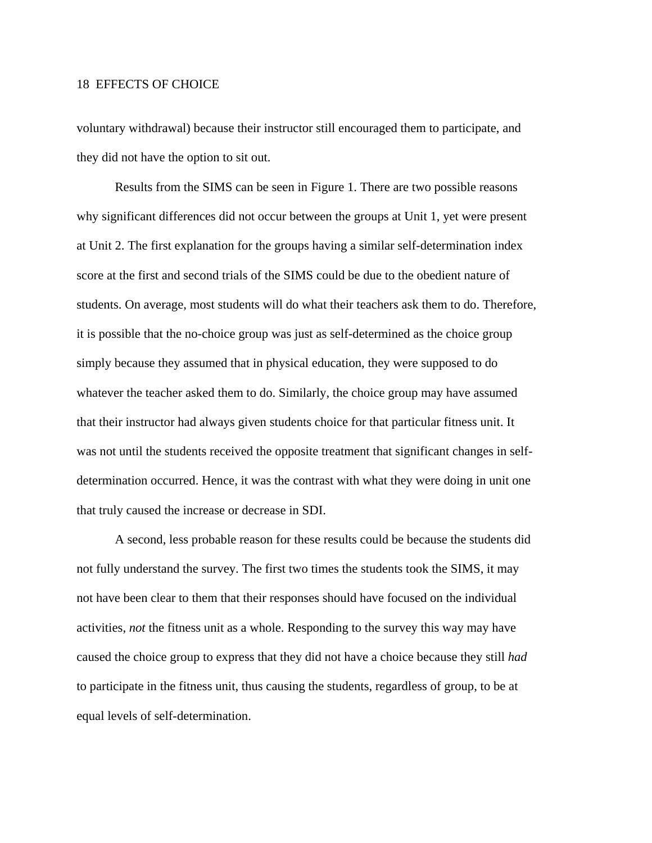voluntary withdrawal) because their instructor still encouraged them to participate, and they did not have the option to sit out.

Results from the SIMS can be seen in Figure 1. There are two possible reasons why significant differences did not occur between the groups at Unit 1, yet were present at Unit 2. The first explanation for the groups having a similar self-determination index score at the first and second trials of the SIMS could be due to the obedient nature of students. On average, most students will do what their teachers ask them to do. Therefore, it is possible that the no-choice group was just as self-determined as the choice group simply because they assumed that in physical education, they were supposed to do whatever the teacher asked them to do. Similarly, the choice group may have assumed that their instructor had always given students choice for that particular fitness unit. It was not until the students received the opposite treatment that significant changes in selfdetermination occurred. Hence, it was the contrast with what they were doing in unit one that truly caused the increase or decrease in SDI.

A second, less probable reason for these results could be because the students did not fully understand the survey. The first two times the students took the SIMS, it may not have been clear to them that their responses should have focused on the individual activities, *not* the fitness unit as a whole. Responding to the survey this way may have caused the choice group to express that they did not have a choice because they still *had* to participate in the fitness unit, thus causing the students, regardless of group, to be at equal levels of self-determination.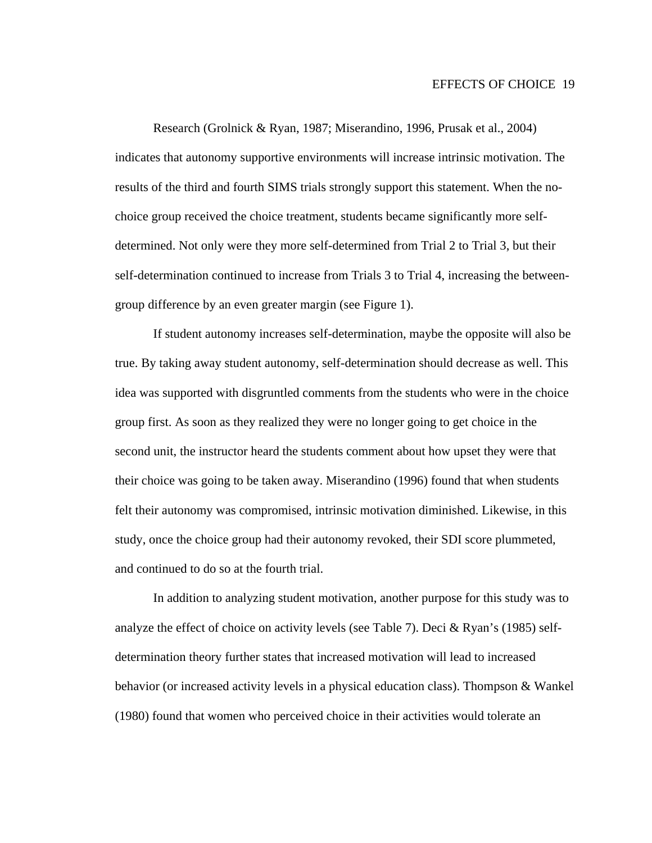Research (Grolnick & Ryan, 1987; Miserandino, 1996, Prusak et al., 2004) indicates that autonomy supportive environments will increase intrinsic motivation. The results of the third and fourth SIMS trials strongly support this statement. When the nochoice group received the choice treatment, students became significantly more selfdetermined. Not only were they more self-determined from Trial 2 to Trial 3, but their self-determination continued to increase from Trials 3 to Trial 4, increasing the betweengroup difference by an even greater margin (see Figure 1).

If student autonomy increases self-determination, maybe the opposite will also be true. By taking away student autonomy, self-determination should decrease as well. This idea was supported with disgruntled comments from the students who were in the choice group first. As soon as they realized they were no longer going to get choice in the second unit, the instructor heard the students comment about how upset they were that their choice was going to be taken away. Miserandino (1996) found that when students felt their autonomy was compromised, intrinsic motivation diminished. Likewise, in this study, once the choice group had their autonomy revoked, their SDI score plummeted, and continued to do so at the fourth trial.

In addition to analyzing student motivation, another purpose for this study was to analyze the effect of choice on activity levels (see Table 7). Deci & Ryan's (1985) selfdetermination theory further states that increased motivation will lead to increased behavior (or increased activity levels in a physical education class). Thompson & Wankel (1980) found that women who perceived choice in their activities would tolerate an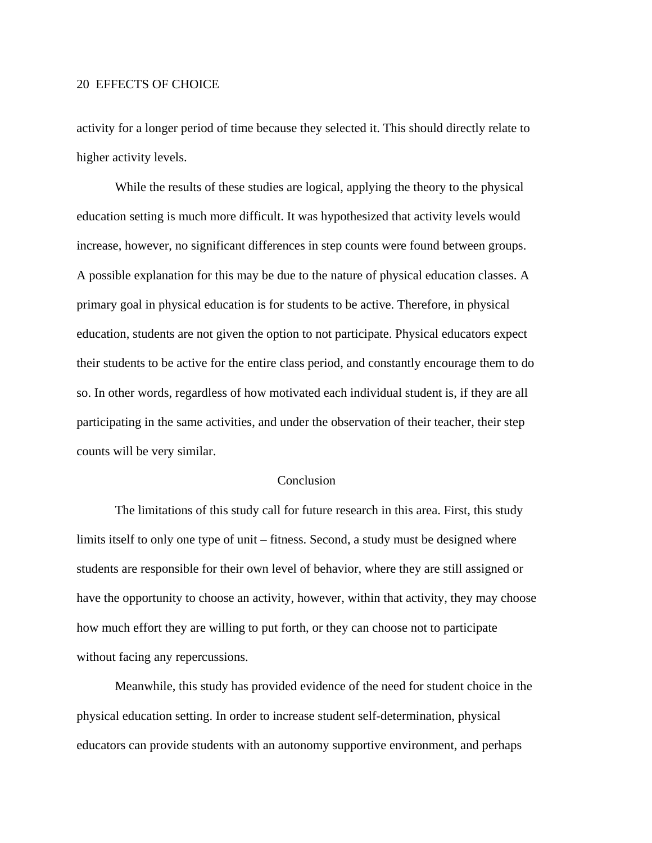activity for a longer period of time because they selected it. This should directly relate to higher activity levels.

While the results of these studies are logical, applying the theory to the physical education setting is much more difficult. It was hypothesized that activity levels would increase, however, no significant differences in step counts were found between groups. A possible explanation for this may be due to the nature of physical education classes. A primary goal in physical education is for students to be active. Therefore, in physical education, students are not given the option to not participate. Physical educators expect their students to be active for the entire class period, and constantly encourage them to do so. In other words, regardless of how motivated each individual student is, if they are all participating in the same activities, and under the observation of their teacher, their step counts will be very similar.

## Conclusion

The limitations of this study call for future research in this area. First, this study limits itself to only one type of unit – fitness. Second, a study must be designed where students are responsible for their own level of behavior, where they are still assigned or have the opportunity to choose an activity, however, within that activity, they may choose how much effort they are willing to put forth, or they can choose not to participate without facing any repercussions.

Meanwhile, this study has provided evidence of the need for student choice in the physical education setting. In order to increase student self-determination, physical educators can provide students with an autonomy supportive environment, and perhaps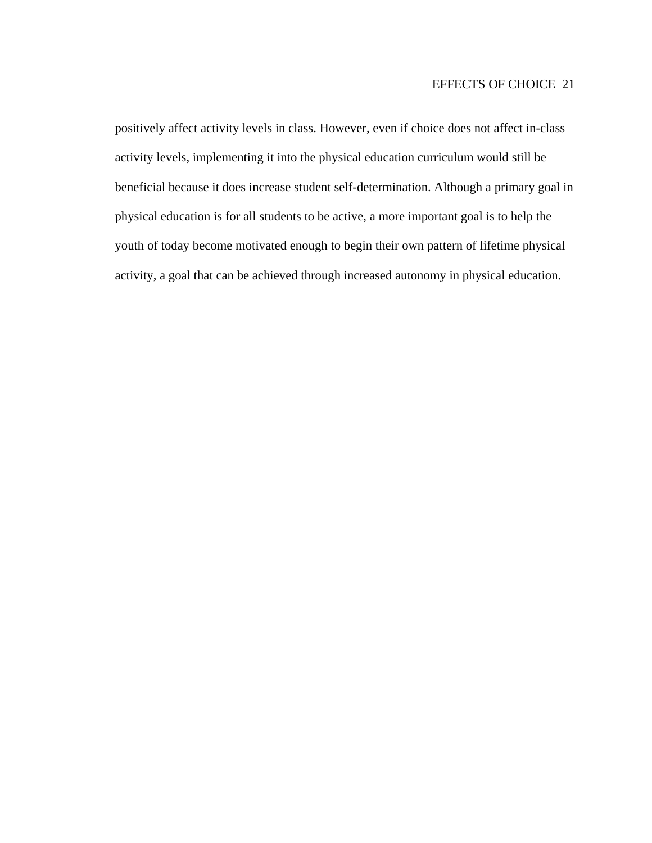positively affect activity levels in class. However, even if choice does not affect in-class activity levels, implementing it into the physical education curriculum would still be beneficial because it does increase student self-determination. Although a primary goal in physical education is for all students to be active, a more important goal is to help the youth of today become motivated enough to begin their own pattern of lifetime physical activity, a goal that can be achieved through increased autonomy in physical education.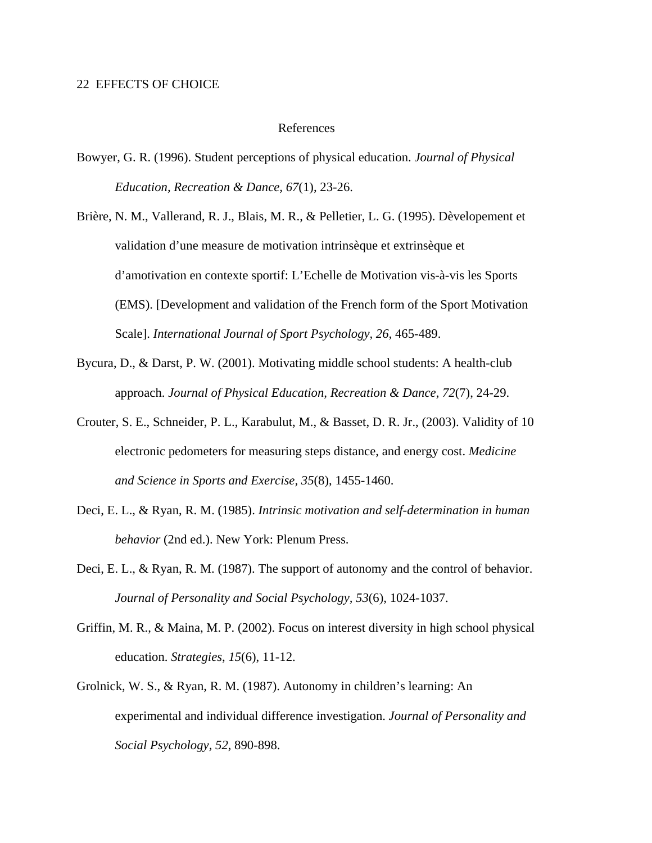#### References

- Bowyer, G. R. (1996). Student perceptions of physical education. *Journal of Physical Education, Recreation & Dance, 67*(1), 23-26.
- Brière, N. M., Vallerand, R. J., Blais, M. R., & Pelletier, L. G. (1995). Dèvelopement et validation d'une measure de motivation intrinsèque et extrinsèque et d'amotivation en contexte sportif: L'Echelle de Motivation vis-à-vis les Sports (EMS). [Development and validation of the French form of the Sport Motivation Scale]. *International Journal of Sport Psychology, 26, 465-489.*
- Bycura, D., & Darst, P. W. (2001). Motivating middle school students: A health-club approach. *Journal of Physical Education, Recreation & Dance, 72*(7), 24-29.
- Crouter, S. E., Schneider, P. L., Karabulut, M., & Basset, D. R. Jr., (2003). Validity of 10 electronic pedometers for measuring steps distance, and energy cost. *Medicine and Science in Sports and Exercise, 35*(8), 1455-1460.
- Deci, E. L., & Ryan, R. M. (1985). *Intrinsic motivation and self-determination in human behavior* (2nd ed.). New York: Plenum Press.
- Deci, E. L., & Ryan, R. M. (1987). The support of autonomy and the control of behavior. *Journal of Personality and Social Psychology, 53*(6), 1024-1037.
- Griffin, M. R., & Maina, M. P. (2002). Focus on interest diversity in high school physical education. *Strategies*, *15*(6), 11-12.
- Grolnick, W. S., & Ryan, R. M. (1987). Autonomy in children's learning: An experimental and individual difference investigation. *Journal of Personality and Social Psychology, 52*, 890-898.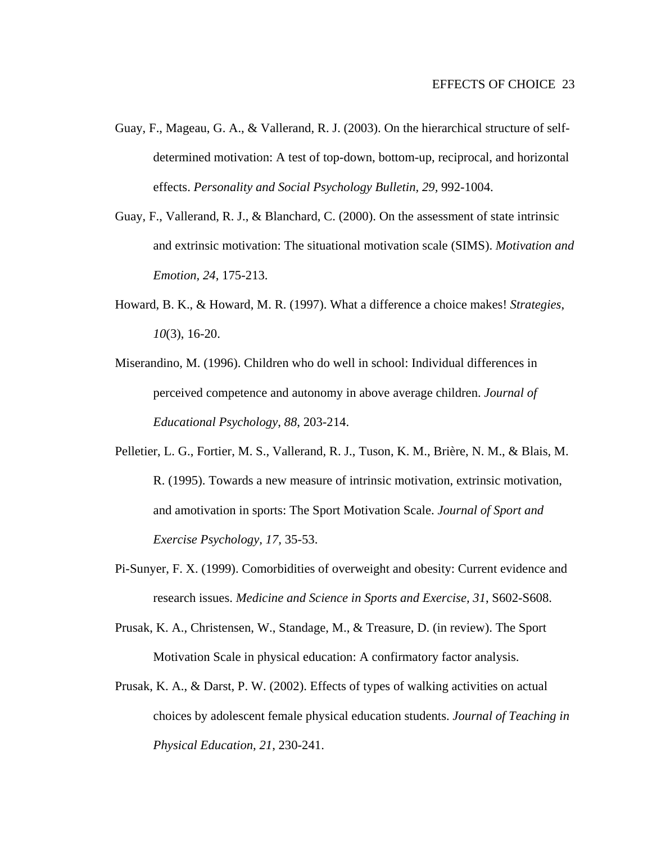- Guay, F., Mageau, G. A., & Vallerand, R. J. (2003). On the hierarchical structure of selfdetermined motivation: A test of top-down, bottom-up, reciprocal, and horizontal effects. *Personality and Social Psychology Bulletin, 29,* 992-1004.
- Guay, F., Vallerand, R. J., & Blanchard, C. (2000). On the assessment of state intrinsic and extrinsic motivation: The situational motivation scale (SIMS). *Motivation and Emotion, 24*, 175-213.
- Howard, B. K., & Howard, M. R. (1997). What a difference a choice makes! *Strategies*, *10*(3), 16-20.
- Miserandino, M. (1996). Children who do well in school: Individual differences in perceived competence and autonomy in above average children. *Journal of Educational Psychology*, *88*, 203-214.
- Pelletier, L. G., Fortier, M. S., Vallerand, R. J., Tuson, K. M., Brière, N. M., & Blais, M. R. (1995). Towards a new measure of intrinsic motivation, extrinsic motivation, and amotivation in sports: The Sport Motivation Scale. *Journal of Sport and Exercise Psychology, 17,* 35-53.
- Pi-Sunyer, F. X. (1999). Comorbidities of overweight and obesity: Current evidence and research issues. *Medicine and Science in Sports and Exercise, 31*, S602-S608.
- Prusak, K. A., Christensen, W., Standage, M., & Treasure, D. (in review). The Sport Motivation Scale in physical education: A confirmatory factor analysis.
- Prusak, K. A., & Darst, P. W. (2002). Effects of types of walking activities on actual choices by adolescent female physical education students. *Journal of Teaching in Physical Education*, *21*, 230-241.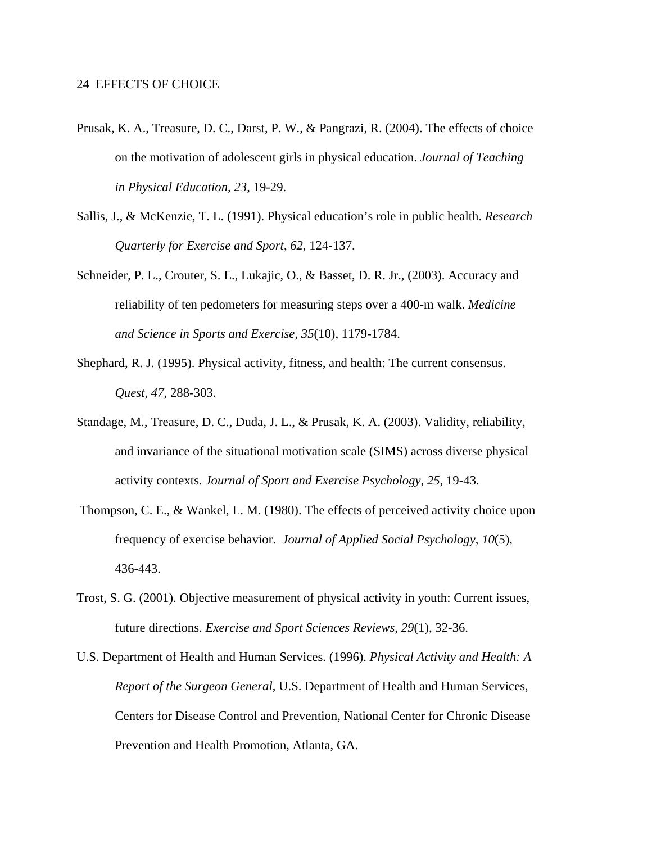- Prusak, K. A., Treasure, D. C., Darst, P. W., & Pangrazi, R. (2004). The effects of choice on the motivation of adolescent girls in physical education. *Journal of Teaching in Physical Education, 23*, 19-29.
- Sallis, J., & McKenzie, T. L. (1991). Physical education's role in public health. *Research Quarterly for Exercise and Sport*, *62*, 124-137.
- Schneider, P. L., Crouter, S. E., Lukajic, O., & Basset, D. R. Jr., (2003). Accuracy and reliability of ten pedometers for measuring steps over a 400-m walk. *Medicine and Science in Sports and Exercise*, *35*(10), 1179-1784.
- Shephard, R. J. (1995). Physical activity, fitness, and health: The current consensus. *Quest*, *47*, 288-303.
- Standage, M., Treasure, D. C., Duda, J. L., & Prusak, K. A. (2003). Validity, reliability, and invariance of the situational motivation scale (SIMS) across diverse physical activity contexts. *Journal of Sport and Exercise Psychology*, *25*, 19-43.
- Thompson, C. E., & Wankel, L. M. (1980). The effects of perceived activity choice upon frequency of exercise behavior. *Journal of Applied Social Psychology*, *10*(5), 436-443.
- Trost, S. G. (2001). Objective measurement of physical activity in youth: Current issues, future directions. *Exercise and Sport Sciences Reviews*, *29*(1), 32-36.
- U.S. Department of Health and Human Services. (1996). *Physical Activity and Health: A Report of the Surgeon General,* U.S. Department of Health and Human Services, Centers for Disease Control and Prevention, National Center for Chronic Disease Prevention and Health Promotion, Atlanta, GA.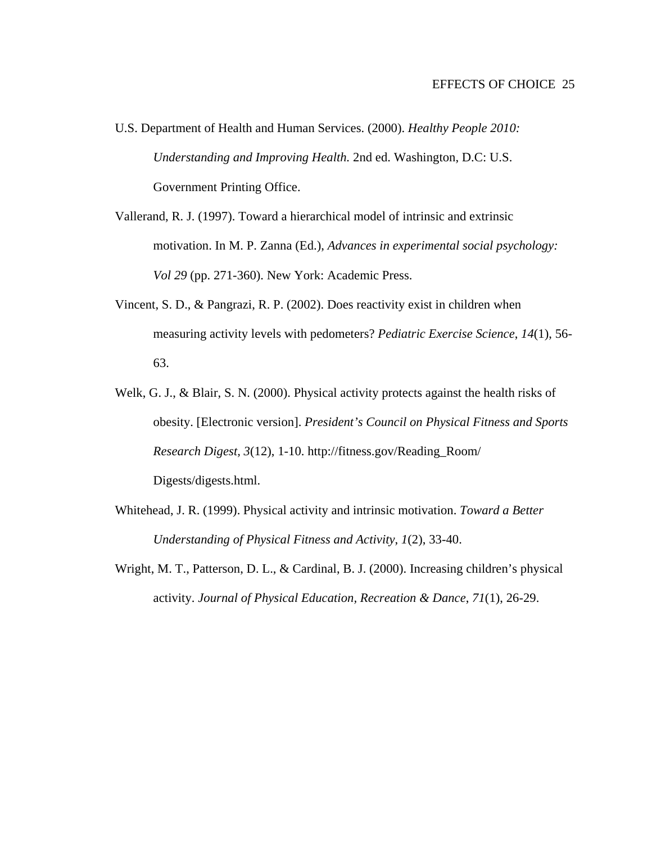- U.S. Department of Health and Human Services. (2000). *Healthy People 2010: Understanding and Improving Health.* 2nd ed. Washington, D.C: U.S. Government Printing Office.
- Vallerand, R. J. (1997). Toward a hierarchical model of intrinsic and extrinsic motivation. In M. P. Zanna (Ed.), *Advances in experimental social psychology: Vol 29* (pp. 271-360). New York: Academic Press.
- Vincent, S. D., & Pangrazi, R. P. (2002). Does reactivity exist in children when measuring activity levels with pedometers? *Pediatric Exercise Science*, *14*(1), 56- 63.
- Welk, G. J., & Blair, S. N. (2000). Physical activity protects against the health risks of obesity. [Electronic version]. *President's Council on Physical Fitness and Sports Research Digest, 3*(12), 1-10. http://fitness.gov/Reading\_Room/ Digests/digests.html.
- Whitehead, J. R. (1999). Physical activity and intrinsic motivation. *Toward a Better Understanding of Physical Fitness and Activity*, *1*(2), 33-40.
- Wright, M. T., Patterson, D. L., & Cardinal, B. J. (2000). Increasing children's physical activity. *Journal of Physical Education, Recreation & Dance*, *71*(1), 26-29.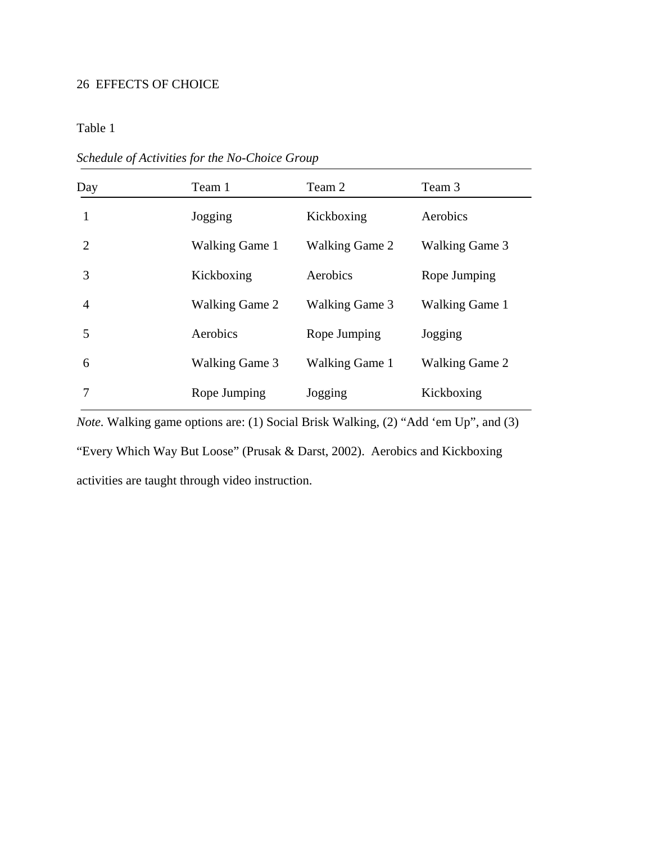Table 1

| Day                         | Team 1                | Team 2                | Team 3                |
|-----------------------------|-----------------------|-----------------------|-----------------------|
| 1                           | Jogging               | Kickboxing            | Aerobics              |
| $\mathcal{D}_{\mathcal{L}}$ | <b>Walking Game 1</b> | <b>Walking Game 2</b> | <b>Walking Game 3</b> |
| 3                           | Kickboxing            | Aerobics              | Rope Jumping          |
| 4                           | <b>Walking Game 2</b> | <b>Walking Game 3</b> | <b>Walking Game 1</b> |
| 5                           | Aerobics              | Rope Jumping          | Jogging               |
| 6                           | <b>Walking Game 3</b> | <b>Walking Game 1</b> | <b>Walking Game 2</b> |
| 7                           | Rope Jumping          | Jogging               | Kickboxing            |

*Schedule of Activities for the No-Choice Group* 

*Note.* Walking game options are: (1) Social Brisk Walking, (2) "Add 'em Up", and (3) "Every Which Way But Loose" (Prusak & Darst, 2002). Aerobics and Kickboxing activities are taught through video instruction.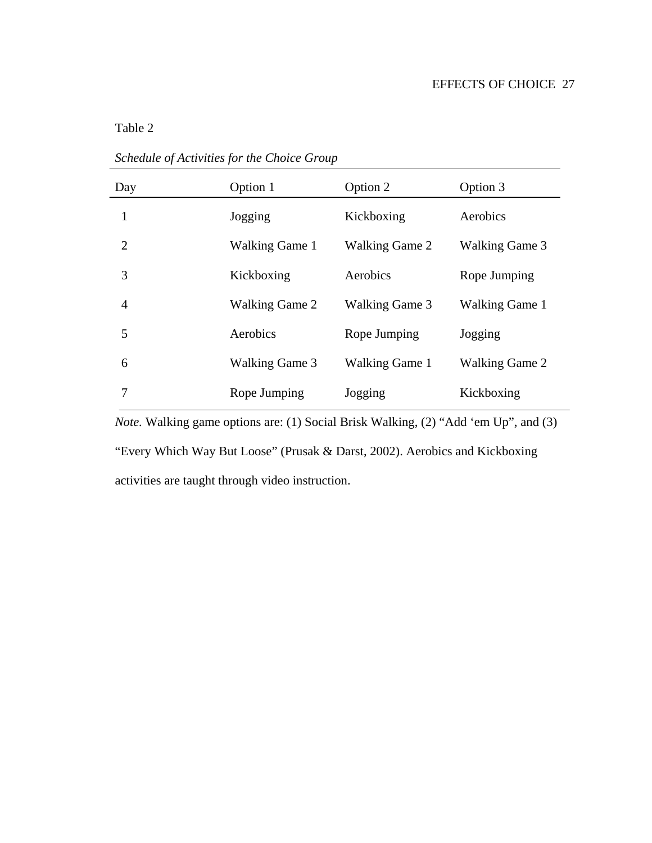| anie |  |  |
|------|--|--|
|------|--|--|

| Day | Option 1              | Option 2              | Option 3              |
|-----|-----------------------|-----------------------|-----------------------|
| 1   | Jogging               | Kickboxing            | Aerobics              |
| 2   | <b>Walking Game 1</b> | <b>Walking Game 2</b> | <b>Walking Game 3</b> |
| 3   | Kickboxing            | Aerobics              | Rope Jumping          |
| 4   | <b>Walking Game 2</b> | Walking Game 3        | Walking Game 1        |
| 5   | Aerobics              | Rope Jumping          | Jogging               |
| 6   | <b>Walking Game 3</b> | Walking Game 1        | <b>Walking Game 2</b> |
| 7   | Rope Jumping          | Jogging               | Kickboxing            |

*Schedule of Activities for the Choice Group* 

*Note.* Walking game options are: (1) Social Brisk Walking, (2) "Add 'em Up", and (3) "Every Which Way But Loose" (Prusak & Darst, 2002). Aerobics and Kickboxing activities are taught through video instruction.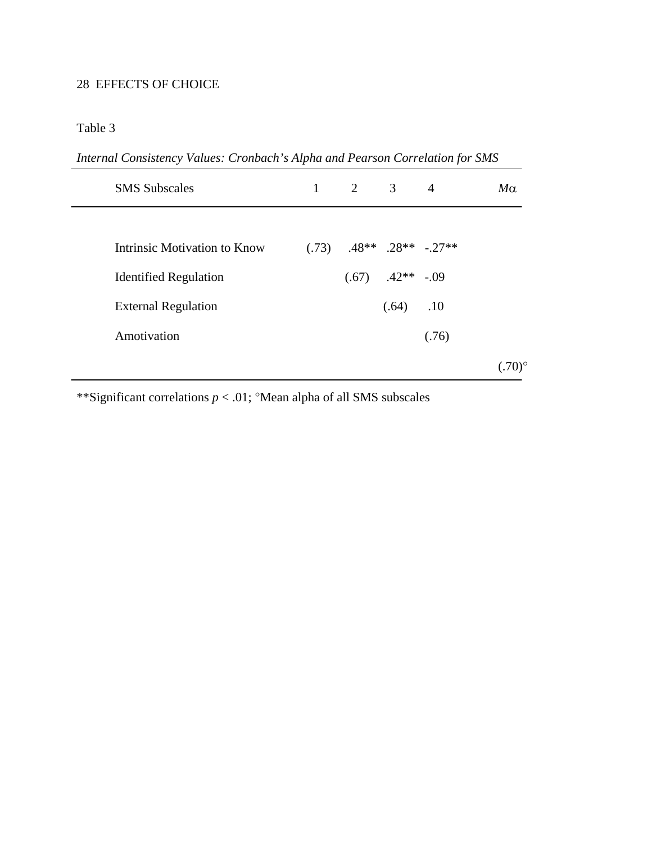Table 3

| Internal Consistency Values: Cronbach's Alpha and Pearson Correlation for SMS |              |                                  |                        |                |           |
|-------------------------------------------------------------------------------|--------------|----------------------------------|------------------------|----------------|-----------|
| <b>SMS</b> Subscales                                                          | $\mathbf{1}$ | 2                                | 3 <sup>1</sup>         | $\overline{A}$ | $M\alpha$ |
|                                                                               |              |                                  |                        |                |           |
| Intrinsic Motivation to Know                                                  |              | $(.73)$ $.48**$ $.28**$ $-.27**$ |                        |                |           |
| <b>Identified Regulation</b>                                                  |              |                                  | $(.67)$ $.42**$ $-.09$ |                |           |
| <b>External Regulation</b>                                                    |              |                                  | (.64)                  | .10            |           |
| Amotivation                                                                   |              |                                  |                        | (.76)          |           |
|                                                                               |              |                                  |                        |                |           |

\*\*Significant correlations *p* < .01; °Mean alpha of all SMS subscales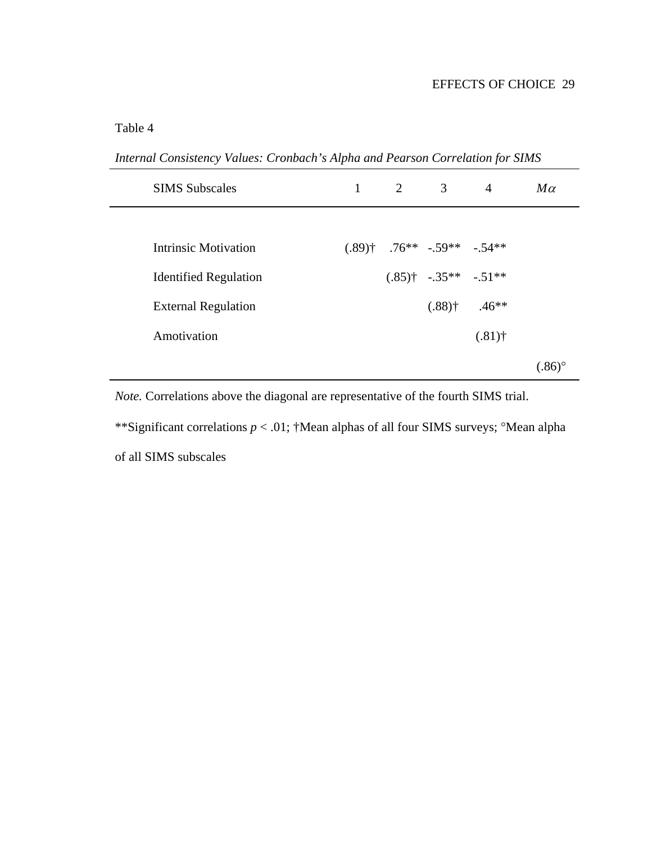| abie |  |
|------|--|
|------|--|

*Internal Consistency Values: Cronbach's Alpha and Pearson Correlation for SIMS* 

| <b>SIMS</b> Subscales        | $\mathbf{1}$ | 2 3                                   | $\overline{4}$ | $M\alpha$ |
|------------------------------|--------------|---------------------------------------|----------------|-----------|
|                              |              |                                       |                |           |
| Intrinsic Motivation         |              | $(.89)^{\dagger}$ .76** -.59** -.54** |                |           |
| <b>Identified Regulation</b> |              | $(.85)^{\dagger}$ -.35** -.51**       |                |           |
| <b>External Regulation</b>   |              | $(0.88)$ <sup>+</sup>                 | $.46**$        |           |
| Amotivation                  |              |                                       | $(.81)$ †      |           |
|                              |              |                                       |                | (.86)     |

*Note.* Correlations above the diagonal are representative of the fourth SIMS trial.

\*\*Significant correlations *p* < .01; †Mean alphas of all four SIMS surveys; °Mean alpha of all SIMS subscales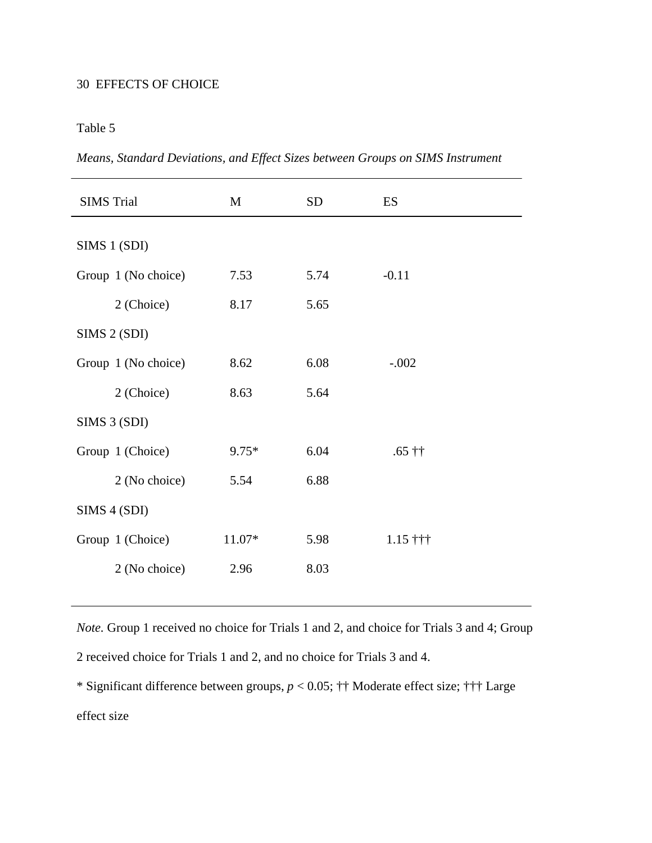## Table 5

*Means, Standard Deviations, and Effect Sizes between Groups on SIMS Instrument* 

| <b>SIMS</b> Trial   | M        | <b>SD</b> | ES              |  |
|---------------------|----------|-----------|-----------------|--|
| SIMS 1 (SDI)        |          |           |                 |  |
| Group 1 (No choice) | 7.53     | 5.74      | $-0.11$         |  |
| 2 (Choice)          | 8.17     | 5.65      |                 |  |
| SIMS 2 (SDI)        |          |           |                 |  |
| Group 1 (No choice) | 8.62     | 6.08      | $-.002$         |  |
| 2 (Choice)          | 8.63     | 5.64      |                 |  |
| SIMS 3 (SDI)        |          |           |                 |  |
| Group 1 (Choice)    | $9.75*$  | 6.04      | .65 $\dagger$ † |  |
| 2 (No choice)       | 5.54     | 6.88      |                 |  |
| SIMS 4 (SDI)        |          |           |                 |  |
| Group 1 (Choice)    | $11.07*$ | 5.98      | $1.15$ †††      |  |
| 2 (No choice)       | 2.96     | 8.03      |                 |  |

*Note.* Group 1 received no choice for Trials 1 and 2, and choice for Trials 3 and 4; Group 2 received choice for Trials 1 and 2, and no choice for Trials 3 and 4.

\* Significant difference between groups, *p* < 0.05; †† Moderate effect size; ††† Large effect size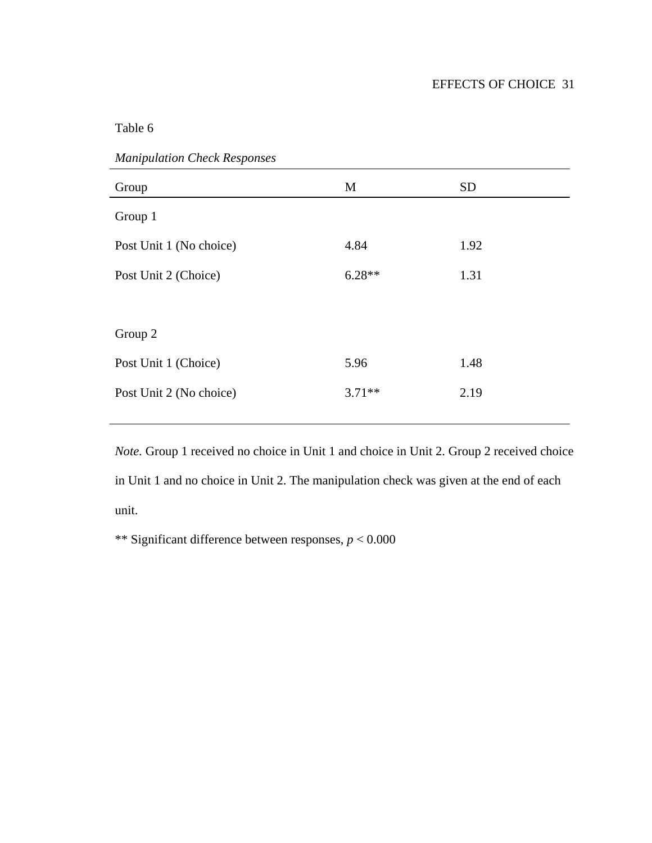| <b>Manipulation Check Responses</b> |          |           |  |  |
|-------------------------------------|----------|-----------|--|--|
| Group                               | M        | <b>SD</b> |  |  |
| Group 1                             |          |           |  |  |
| Post Unit 1 (No choice)             | 4.84     | 1.92      |  |  |
| Post Unit 2 (Choice)                | $6.28**$ | 1.31      |  |  |
|                                     |          |           |  |  |
| Group 2                             |          |           |  |  |
| Post Unit 1 (Choice)                | 5.96     | 1.48      |  |  |
| Post Unit 2 (No choice)             | $3.71**$ | 2.19      |  |  |
|                                     |          |           |  |  |

Table 6

*Note.* Group 1 received no choice in Unit 1 and choice in Unit 2. Group 2 received choice in Unit 1 and no choice in Unit 2. The manipulation check was given at the end of each unit.

\*\* Significant difference between responses, *p* < 0.000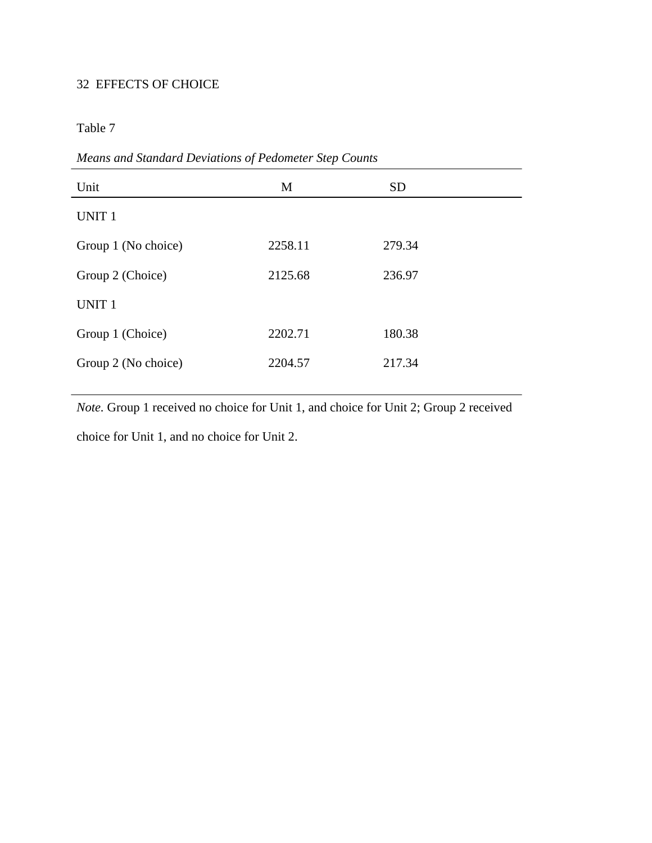Table 7

| Unit                | M       | <b>SD</b> |
|---------------------|---------|-----------|
| <b>UNIT1</b>        |         |           |
| Group 1 (No choice) | 2258.11 | 279.34    |
| Group 2 (Choice)    | 2125.68 | 236.97    |
| <b>UNIT1</b>        |         |           |
| Group 1 (Choice)    | 2202.71 | 180.38    |
| Group 2 (No choice) | 2204.57 | 217.34    |

*Means and Standard Deviations of Pedometer Step Counts* 

*Note.* Group 1 received no choice for Unit 1, and choice for Unit 2; Group 2 received choice for Unit 1, and no choice for Unit 2.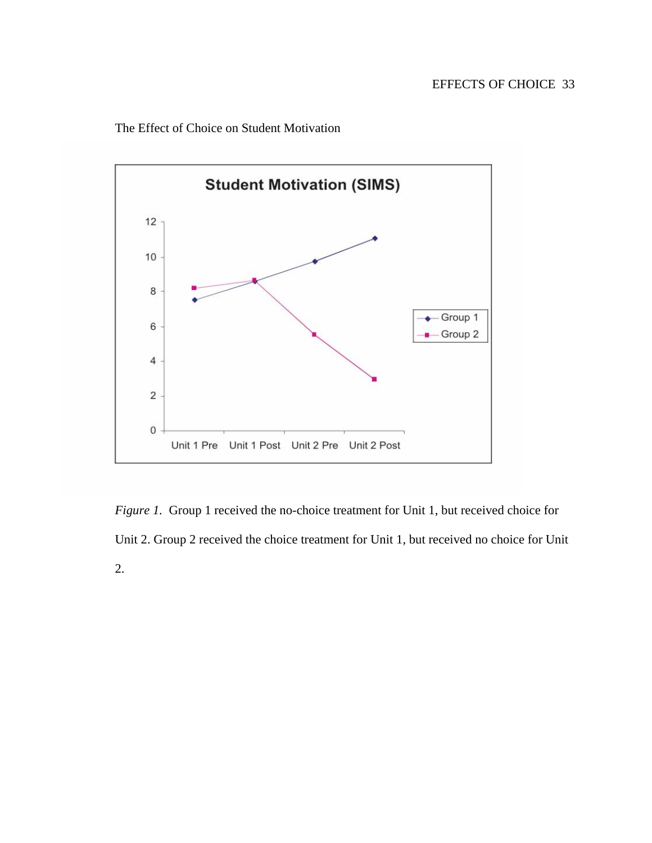

The Effect of Choice on Student Motivation

*Figure 1.* Group 1 received the no-choice treatment for Unit 1, but received choice for Unit 2. Group 2 received the choice treatment for Unit 1, but received no choice for Unit 2.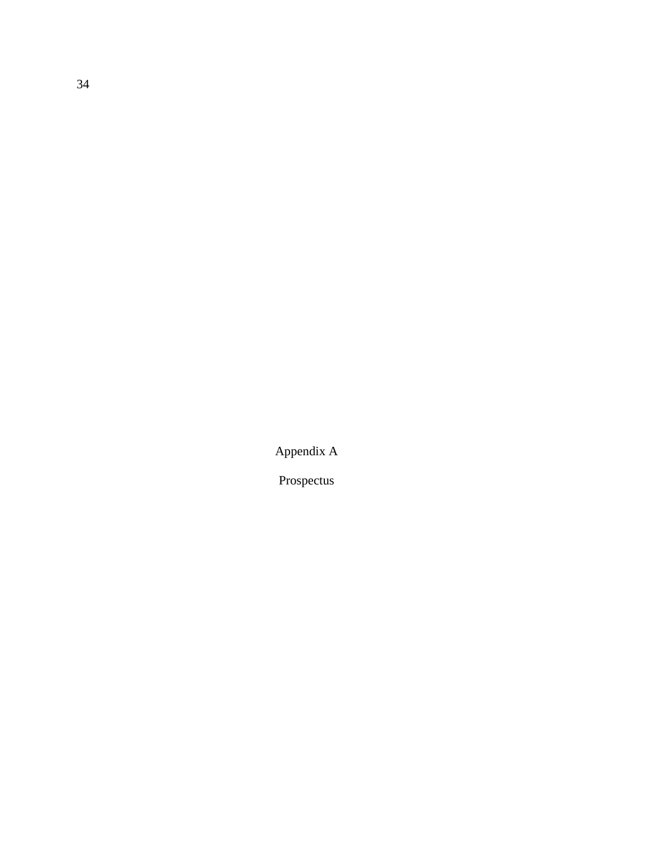Appendix A

Prospectus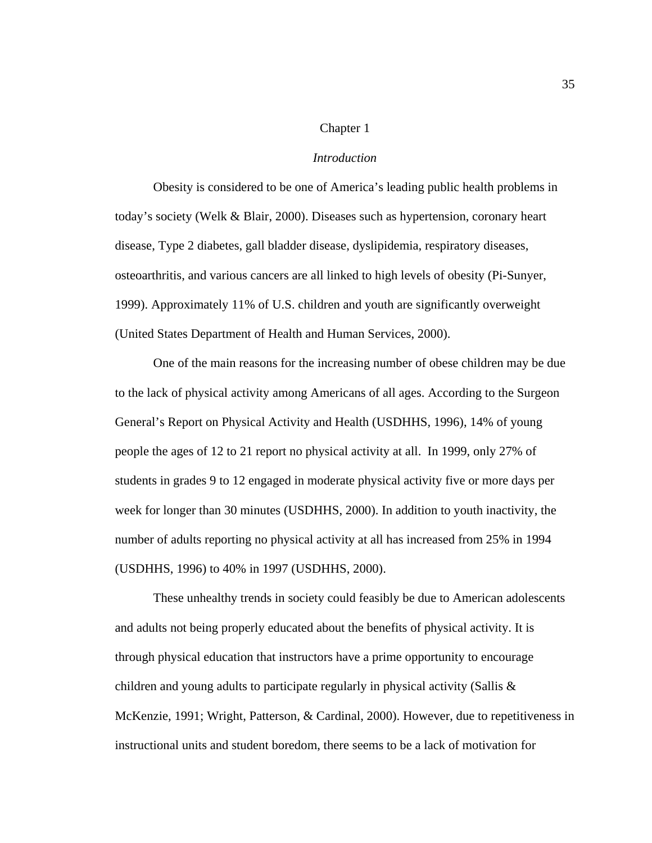#### Chapter 1

## *Introduction*

Obesity is considered to be one of America's leading public health problems in today's society (Welk & Blair, 2000). Diseases such as hypertension, coronary heart disease, Type 2 diabetes, gall bladder disease, dyslipidemia, respiratory diseases, osteoarthritis, and various cancers are all linked to high levels of obesity (Pi-Sunyer, 1999). Approximately 11% of U.S. children and youth are significantly overweight (United States Department of Health and Human Services, 2000).

 One of the main reasons for the increasing number of obese children may be due to the lack of physical activity among Americans of all ages. According to the Surgeon General's Report on Physical Activity and Health (USDHHS, 1996), 14% of young people the ages of 12 to 21 report no physical activity at all. In 1999, only 27% of students in grades 9 to 12 engaged in moderate physical activity five or more days per week for longer than 30 minutes (USDHHS, 2000). In addition to youth inactivity, the number of adults reporting no physical activity at all has increased from 25% in 1994 (USDHHS, 1996) to 40% in 1997 (USDHHS, 2000).

These unhealthy trends in society could feasibly be due to American adolescents and adults not being properly educated about the benefits of physical activity. It is through physical education that instructors have a prime opportunity to encourage children and young adults to participate regularly in physical activity (Sallis & McKenzie, 1991; Wright, Patterson, & Cardinal, 2000). However, due to repetitiveness in instructional units and student boredom, there seems to be a lack of motivation for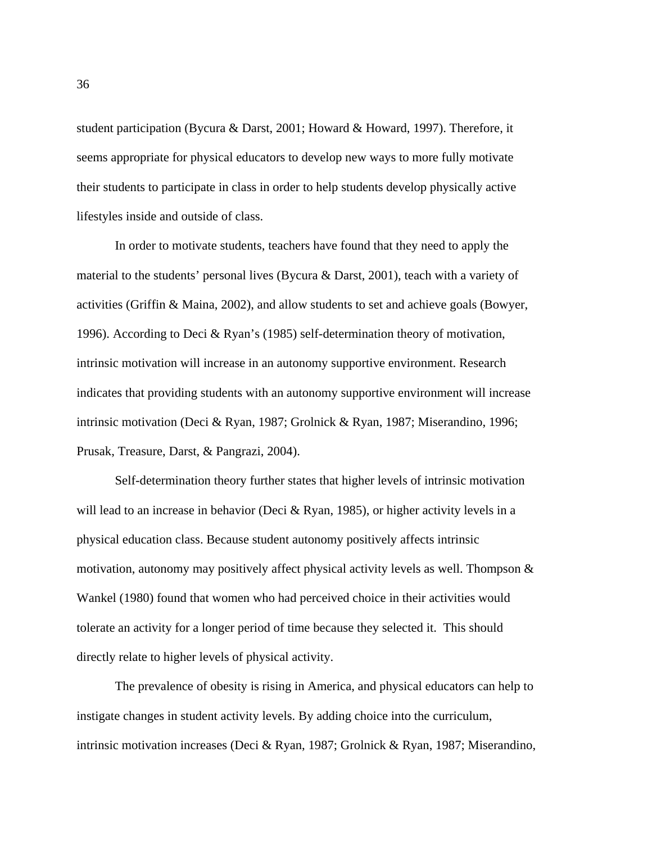student participation (Bycura & Darst, 2001; Howard & Howard, 1997). Therefore, it seems appropriate for physical educators to develop new ways to more fully motivate their students to participate in class in order to help students develop physically active lifestyles inside and outside of class.

In order to motivate students, teachers have found that they need to apply the material to the students' personal lives (Bycura & Darst, 2001), teach with a variety of activities (Griffin & Maina, 2002), and allow students to set and achieve goals (Bowyer, 1996). According to Deci & Ryan's (1985) self-determination theory of motivation, intrinsic motivation will increase in an autonomy supportive environment. Research indicates that providing students with an autonomy supportive environment will increase intrinsic motivation (Deci & Ryan, 1987; Grolnick & Ryan, 1987; Miserandino, 1996; Prusak, Treasure, Darst, & Pangrazi, 2004).

Self-determination theory further states that higher levels of intrinsic motivation will lead to an increase in behavior (Deci & Ryan, 1985), or higher activity levels in a physical education class. Because student autonomy positively affects intrinsic motivation, autonomy may positively affect physical activity levels as well. Thompson & Wankel (1980) found that women who had perceived choice in their activities would tolerate an activity for a longer period of time because they selected it. This should directly relate to higher levels of physical activity.

 The prevalence of obesity is rising in America, and physical educators can help to instigate changes in student activity levels. By adding choice into the curriculum, intrinsic motivation increases (Deci & Ryan, 1987; Grolnick & Ryan, 1987; Miserandino,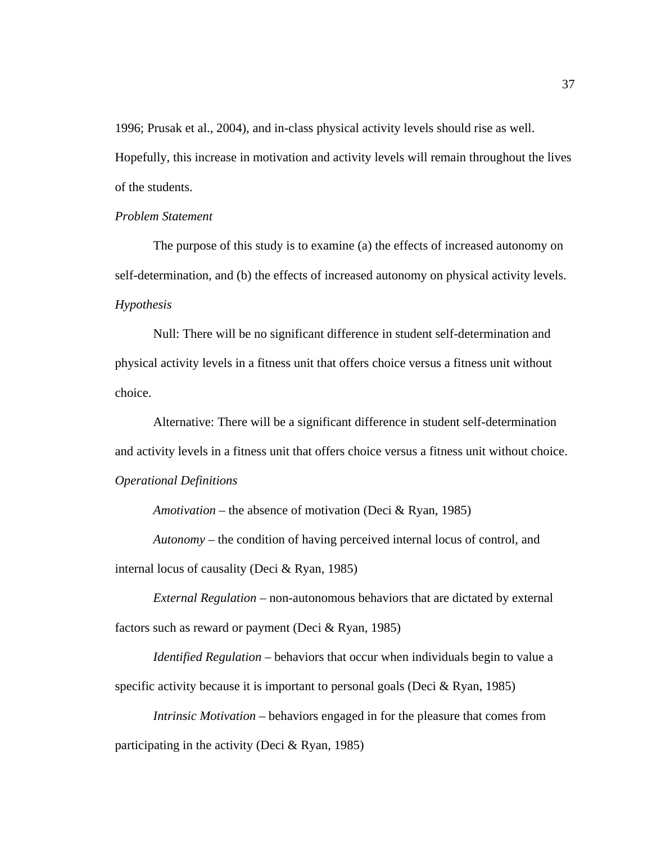1996; Prusak et al., 2004), and in-class physical activity levels should rise as well. Hopefully, this increase in motivation and activity levels will remain throughout the lives of the students.

#### *Problem Statement*

 The purpose of this study is to examine (a) the effects of increased autonomy on self-determination, and (b) the effects of increased autonomy on physical activity levels. *Hypothesis* 

 Null: There will be no significant difference in student self-determination and physical activity levels in a fitness unit that offers choice versus a fitness unit without choice.

 Alternative: There will be a significant difference in student self-determination and activity levels in a fitness unit that offers choice versus a fitness unit without choice.

## *Operational Definitions*

*Amotivation* – the absence of motivation (Deci & Ryan, 1985)

*Autonomy* – the condition of having perceived internal locus of control, and internal locus of causality (Deci & Ryan, 1985)

*External Regulation –* non-autonomous behaviors that are dictated by external factors such as reward or payment (Deci & Ryan, 1985)

*Identified Regulation* – behaviors that occur when individuals begin to value a specific activity because it is important to personal goals (Deci & Ryan, 1985)

*Intrinsic Motivation* – behaviors engaged in for the pleasure that comes from participating in the activity (Deci & Ryan, 1985)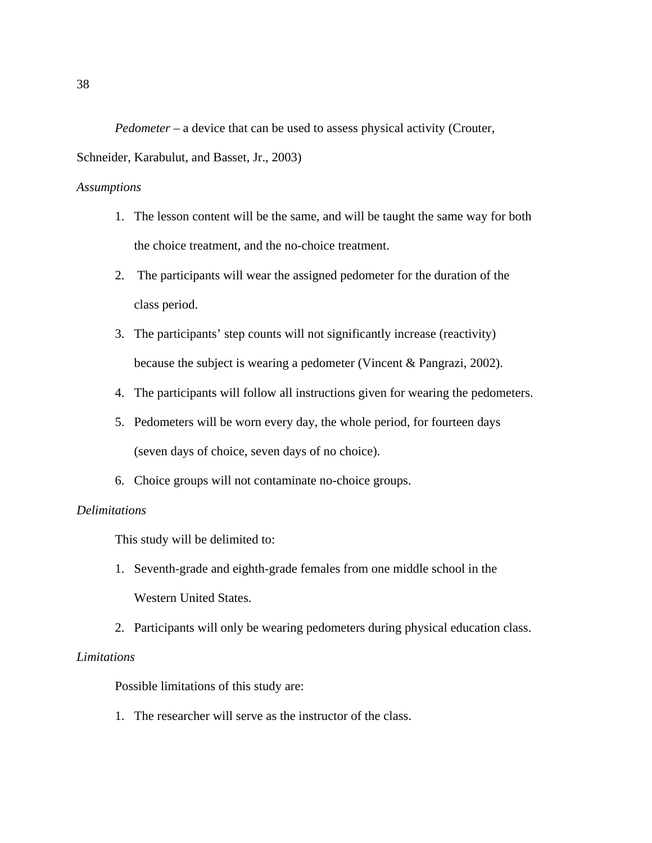*Pedometer* – a device that can be used to assess physical activity (Crouter,

Schneider, Karabulut, and Basset, Jr., 2003)

*Assumptions* 

- 1. The lesson content will be the same, and will be taught the same way for both the choice treatment, and the no-choice treatment.
- 2. The participants will wear the assigned pedometer for the duration of the class period.
- 3. The participants' step counts will not significantly increase (reactivity) because the subject is wearing a pedometer (Vincent & Pangrazi, 2002).
- 4. The participants will follow all instructions given for wearing the pedometers.
- 5. Pedometers will be worn every day, the whole period, for fourteen days (seven days of choice, seven days of no choice).
- 6. Choice groups will not contaminate no-choice groups.

## *Delimitations*

This study will be delimited to:

- 1. Seventh-grade and eighth-grade females from one middle school in the Western United States.
- 2. Participants will only be wearing pedometers during physical education class.

## *Limitations*

Possible limitations of this study are:

1. The researcher will serve as the instructor of the class.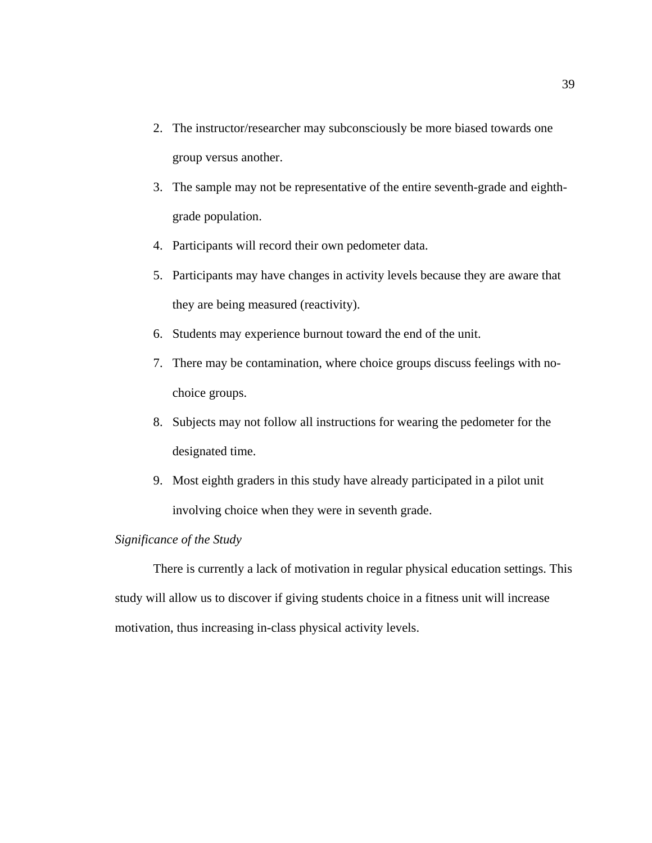- 2. The instructor/researcher may subconsciously be more biased towards one group versus another.
- 3. The sample may not be representative of the entire seventh-grade and eighthgrade population.
- 4. Participants will record their own pedometer data.
- 5. Participants may have changes in activity levels because they are aware that they are being measured (reactivity).
- 6. Students may experience burnout toward the end of the unit.
- 7. There may be contamination, where choice groups discuss feelings with nochoice groups.
- 8. Subjects may not follow all instructions for wearing the pedometer for the designated time.
- 9. Most eighth graders in this study have already participated in a pilot unit involving choice when they were in seventh grade.

### *Significance of the Study*

 There is currently a lack of motivation in regular physical education settings. This study will allow us to discover if giving students choice in a fitness unit will increase motivation, thus increasing in-class physical activity levels.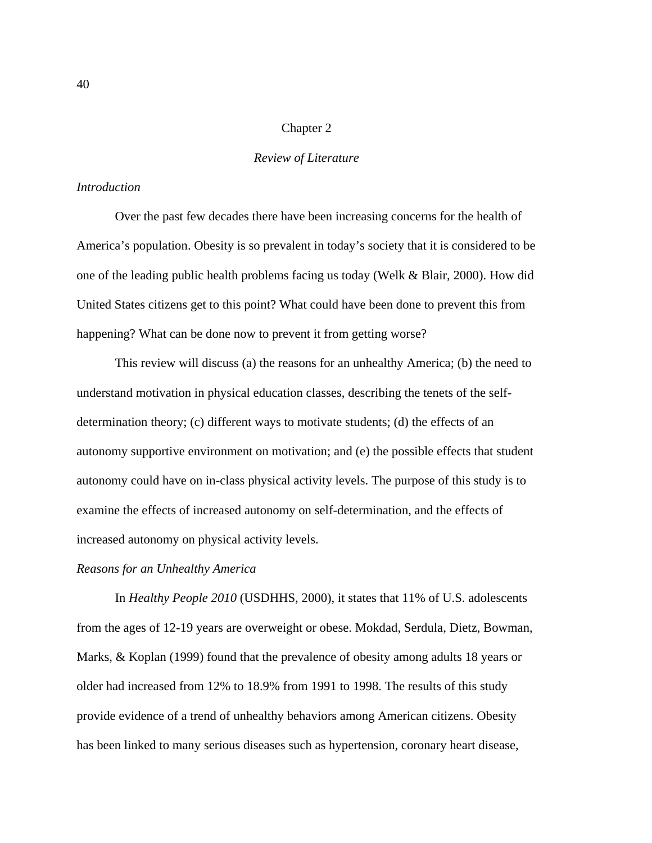#### Chapter 2

#### *Review of Literature*

## *Introduction*

 Over the past few decades there have been increasing concerns for the health of America's population. Obesity is so prevalent in today's society that it is considered to be one of the leading public health problems facing us today (Welk & Blair, 2000). How did United States citizens get to this point? What could have been done to prevent this from happening? What can be done now to prevent it from getting worse?

 This review will discuss (a) the reasons for an unhealthy America; (b) the need to understand motivation in physical education classes, describing the tenets of the selfdetermination theory; (c) different ways to motivate students; (d) the effects of an autonomy supportive environment on motivation; and (e) the possible effects that student autonomy could have on in-class physical activity levels. The purpose of this study is to examine the effects of increased autonomy on self-determination, and the effects of increased autonomy on physical activity levels.

#### *Reasons for an Unhealthy America*

In *Healthy People 2010* (USDHHS, 2000), it states that 11% of U.S. adolescents from the ages of 12-19 years are overweight or obese. Mokdad, Serdula, Dietz, Bowman, Marks, & Koplan (1999) found that the prevalence of obesity among adults 18 years or older had increased from 12% to 18.9% from 1991 to 1998. The results of this study provide evidence of a trend of unhealthy behaviors among American citizens. Obesity has been linked to many serious diseases such as hypertension, coronary heart disease,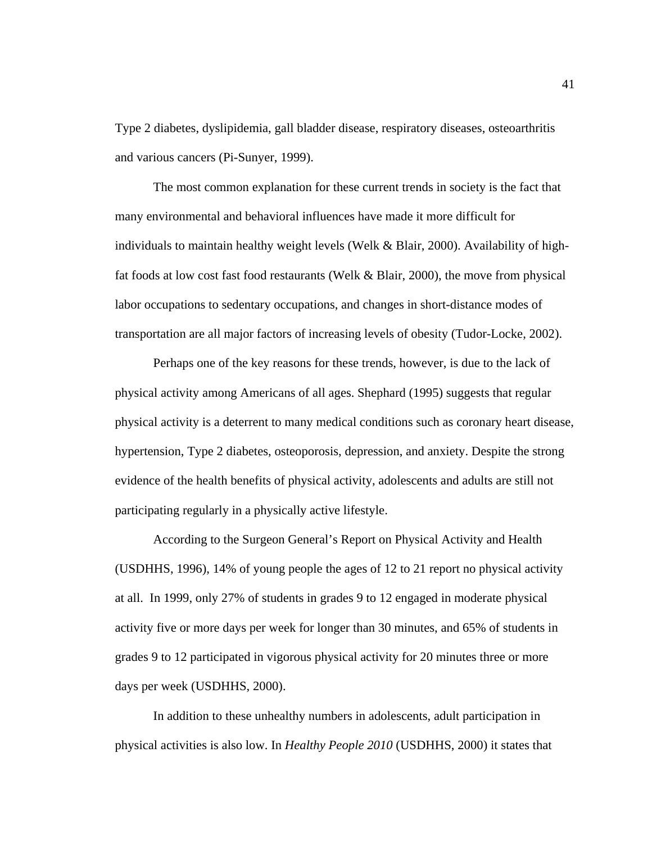Type 2 diabetes, dyslipidemia, gall bladder disease, respiratory diseases, osteoarthritis and various cancers (Pi-Sunyer, 1999).

 The most common explanation for these current trends in society is the fact that many environmental and behavioral influences have made it more difficult for individuals to maintain healthy weight levels (Welk & Blair, 2000). Availability of highfat foods at low cost fast food restaurants (Welk & Blair, 2000), the move from physical labor occupations to sedentary occupations, and changes in short-distance modes of transportation are all major factors of increasing levels of obesity (Tudor-Locke, 2002).

 Perhaps one of the key reasons for these trends, however, is due to the lack of physical activity among Americans of all ages. Shephard (1995) suggests that regular physical activity is a deterrent to many medical conditions such as coronary heart disease, hypertension, Type 2 diabetes, osteoporosis, depression, and anxiety. Despite the strong evidence of the health benefits of physical activity, adolescents and adults are still not participating regularly in a physically active lifestyle.

According to the Surgeon General's Report on Physical Activity and Health (USDHHS, 1996), 14% of young people the ages of 12 to 21 report no physical activity at all. In 1999, only 27% of students in grades 9 to 12 engaged in moderate physical activity five or more days per week for longer than 30 minutes, and 65% of students in grades 9 to 12 participated in vigorous physical activity for 20 minutes three or more days per week (USDHHS, 2000).

In addition to these unhealthy numbers in adolescents, adult participation in physical activities is also low. In *Healthy People 2010* (USDHHS, 2000) it states that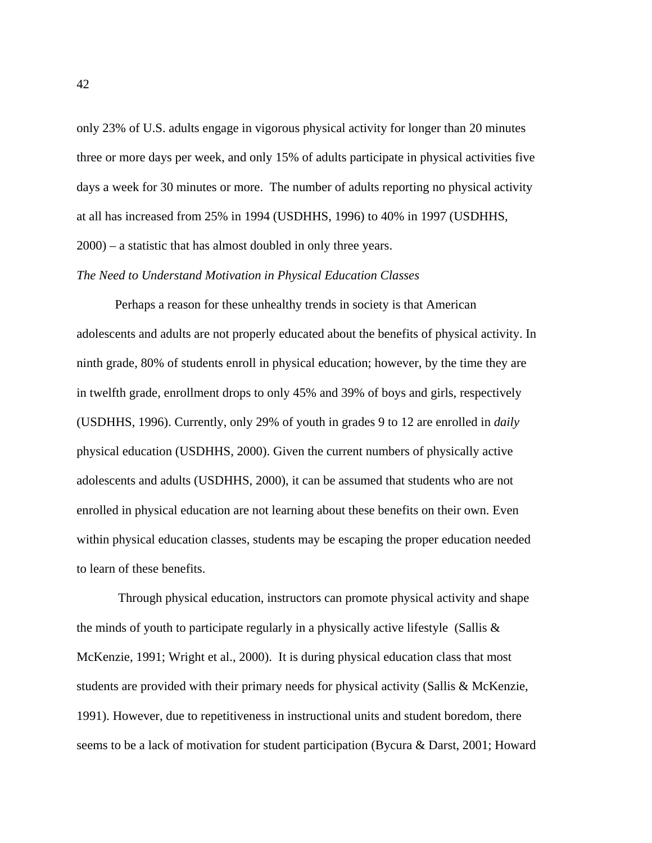only 23% of U.S. adults engage in vigorous physical activity for longer than 20 minutes three or more days per week, and only 15% of adults participate in physical activities five days a week for 30 minutes or more. The number of adults reporting no physical activity at all has increased from 25% in 1994 (USDHHS, 1996) to 40% in 1997 (USDHHS, 2000) – a statistic that has almost doubled in only three years.

#### *The Need to Understand Motivation in Physical Education Classes*

 Perhaps a reason for these unhealthy trends in society is that American adolescents and adults are not properly educated about the benefits of physical activity. In ninth grade, 80% of students enroll in physical education; however, by the time they are in twelfth grade, enrollment drops to only 45% and 39% of boys and girls, respectively (USDHHS, 1996). Currently, only 29% of youth in grades 9 to 12 are enrolled in *daily* physical education (USDHHS, 2000). Given the current numbers of physically active adolescents and adults (USDHHS, 2000), it can be assumed that students who are not enrolled in physical education are not learning about these benefits on their own. Even within physical education classes, students may be escaping the proper education needed to learn of these benefits.

 Through physical education, instructors can promote physical activity and shape the minds of youth to participate regularly in a physically active lifestyle (Sallis & McKenzie, 1991; Wright et al., 2000). It is during physical education class that most students are provided with their primary needs for physical activity (Sallis & McKenzie, 1991). However, due to repetitiveness in instructional units and student boredom, there seems to be a lack of motivation for student participation (Bycura & Darst, 2001; Howard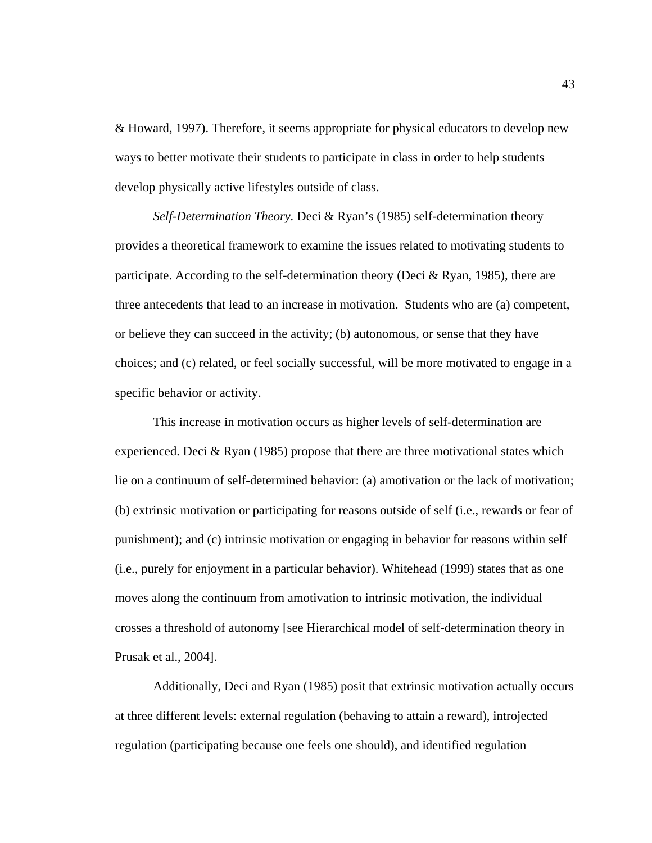& Howard, 1997). Therefore, it seems appropriate for physical educators to develop new ways to better motivate their students to participate in class in order to help students develop physically active lifestyles outside of class.

*Self-Determination Theory.* Deci & Ryan's (1985) self-determination theory provides a theoretical framework to examine the issues related to motivating students to participate. According to the self-determination theory (Deci & Ryan, 1985), there are three antecedents that lead to an increase in motivation. Students who are (a) competent, or believe they can succeed in the activity; (b) autonomous, or sense that they have choices; and (c) related, or feel socially successful, will be more motivated to engage in a specific behavior or activity.

This increase in motivation occurs as higher levels of self-determination are experienced. Deci  $\&$  Ryan (1985) propose that there are three motivational states which lie on a continuum of self-determined behavior: (a) amotivation or the lack of motivation; (b) extrinsic motivation or participating for reasons outside of self (i.e., rewards or fear of punishment); and (c) intrinsic motivation or engaging in behavior for reasons within self (i.e., purely for enjoyment in a particular behavior). Whitehead (1999) states that as one moves along the continuum from amotivation to intrinsic motivation, the individual crosses a threshold of autonomy [see Hierarchical model of self-determination theory in Prusak et al., 2004].

Additionally, Deci and Ryan (1985) posit that extrinsic motivation actually occurs at three different levels: external regulation (behaving to attain a reward), introjected regulation (participating because one feels one should), and identified regulation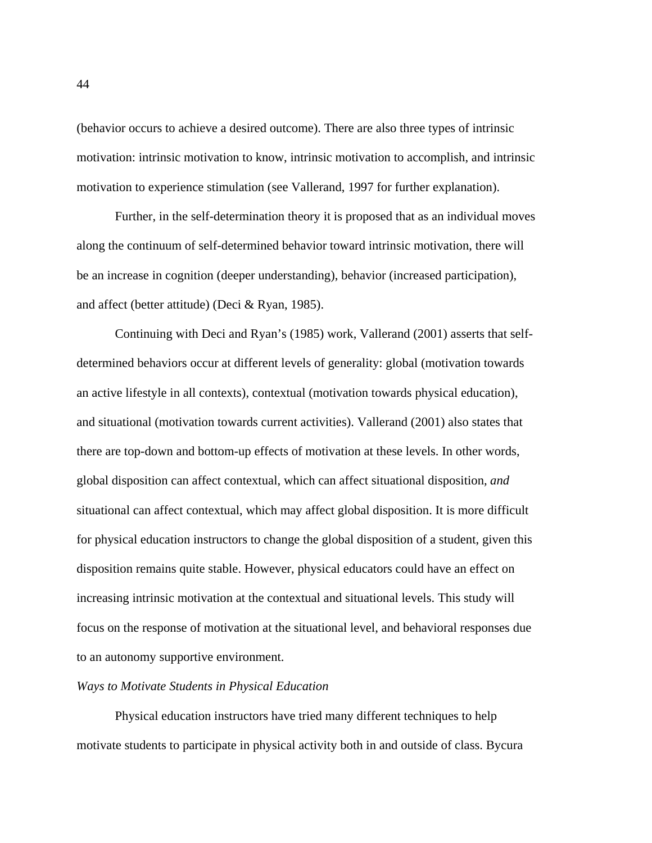(behavior occurs to achieve a desired outcome). There are also three types of intrinsic motivation: intrinsic motivation to know, intrinsic motivation to accomplish, and intrinsic motivation to experience stimulation (see Vallerand, 1997 for further explanation).

Further, in the self-determination theory it is proposed that as an individual moves along the continuum of self-determined behavior toward intrinsic motivation, there will be an increase in cognition (deeper understanding), behavior (increased participation), and affect (better attitude) (Deci & Ryan, 1985).

Continuing with Deci and Ryan's (1985) work, Vallerand (2001) asserts that selfdetermined behaviors occur at different levels of generality: global (motivation towards an active lifestyle in all contexts), contextual (motivation towards physical education), and situational (motivation towards current activities). Vallerand (2001) also states that there are top-down and bottom-up effects of motivation at these levels. In other words, global disposition can affect contextual, which can affect situational disposition*, and* situational can affect contextual, which may affect global disposition. It is more difficult for physical education instructors to change the global disposition of a student, given this disposition remains quite stable. However, physical educators could have an effect on increasing intrinsic motivation at the contextual and situational levels. This study will focus on the response of motivation at the situational level, and behavioral responses due to an autonomy supportive environment.

## *Ways to Motivate Students in Physical Education*

Physical education instructors have tried many different techniques to help motivate students to participate in physical activity both in and outside of class. Bycura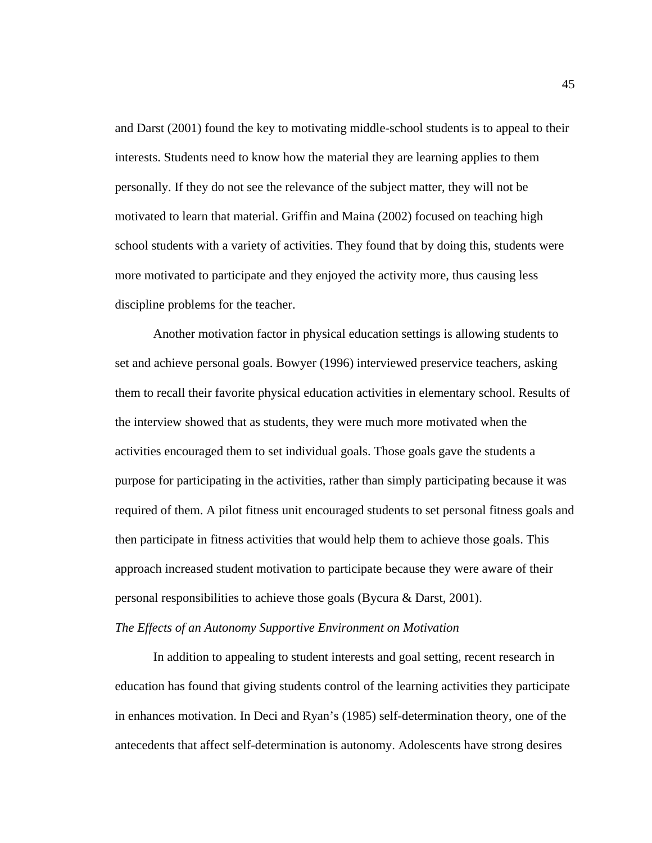and Darst (2001) found the key to motivating middle-school students is to appeal to their interests. Students need to know how the material they are learning applies to them personally. If they do not see the relevance of the subject matter, they will not be motivated to learn that material. Griffin and Maina (2002) focused on teaching high school students with a variety of activities. They found that by doing this, students were more motivated to participate and they enjoyed the activity more, thus causing less discipline problems for the teacher.

 Another motivation factor in physical education settings is allowing students to set and achieve personal goals. Bowyer (1996) interviewed preservice teachers, asking them to recall their favorite physical education activities in elementary school. Results of the interview showed that as students, they were much more motivated when the activities encouraged them to set individual goals. Those goals gave the students a purpose for participating in the activities, rather than simply participating because it was required of them. A pilot fitness unit encouraged students to set personal fitness goals and then participate in fitness activities that would help them to achieve those goals. This approach increased student motivation to participate because they were aware of their personal responsibilities to achieve those goals (Bycura & Darst, 2001).

## *The Effects of an Autonomy Supportive Environment on Motivation*

 In addition to appealing to student interests and goal setting, recent research in education has found that giving students control of the learning activities they participate in enhances motivation. In Deci and Ryan's (1985) self-determination theory, one of the antecedents that affect self-determination is autonomy. Adolescents have strong desires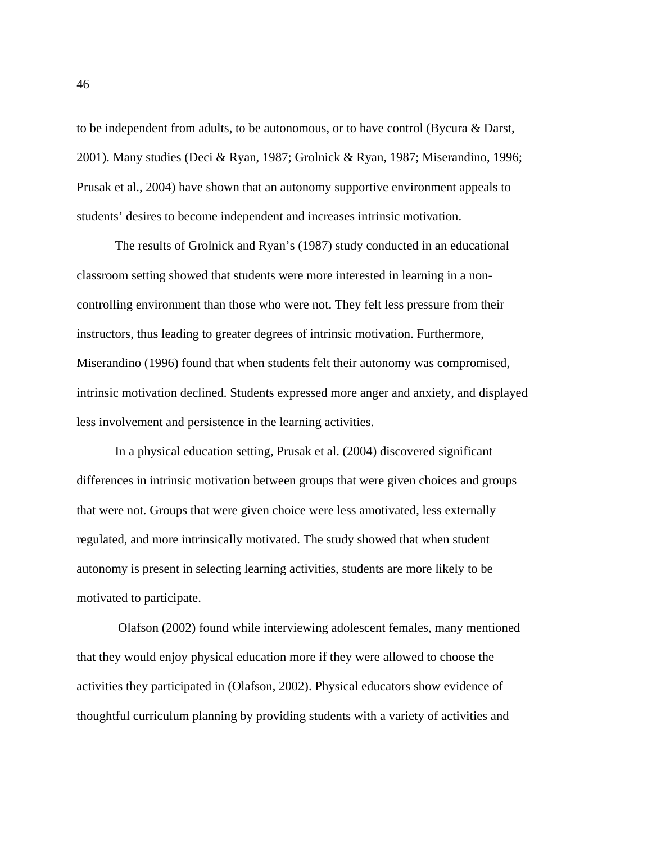to be independent from adults, to be autonomous, or to have control (Bycura & Darst, 2001). Many studies (Deci & Ryan, 1987; Grolnick & Ryan, 1987; Miserandino, 1996; Prusak et al., 2004) have shown that an autonomy supportive environment appeals to students' desires to become independent and increases intrinsic motivation.

 The results of Grolnick and Ryan's (1987) study conducted in an educational classroom setting showed that students were more interested in learning in a noncontrolling environment than those who were not. They felt less pressure from their instructors, thus leading to greater degrees of intrinsic motivation. Furthermore, Miserandino (1996) found that when students felt their autonomy was compromised, intrinsic motivation declined. Students expressed more anger and anxiety, and displayed less involvement and persistence in the learning activities.

In a physical education setting, Prusak et al. (2004) discovered significant differences in intrinsic motivation between groups that were given choices and groups that were not. Groups that were given choice were less amotivated, less externally regulated, and more intrinsically motivated. The study showed that when student autonomy is present in selecting learning activities, students are more likely to be motivated to participate.

 Olafson (2002) found while interviewing adolescent females, many mentioned that they would enjoy physical education more if they were allowed to choose the activities they participated in (Olafson, 2002). Physical educators show evidence of thoughtful curriculum planning by providing students with a variety of activities and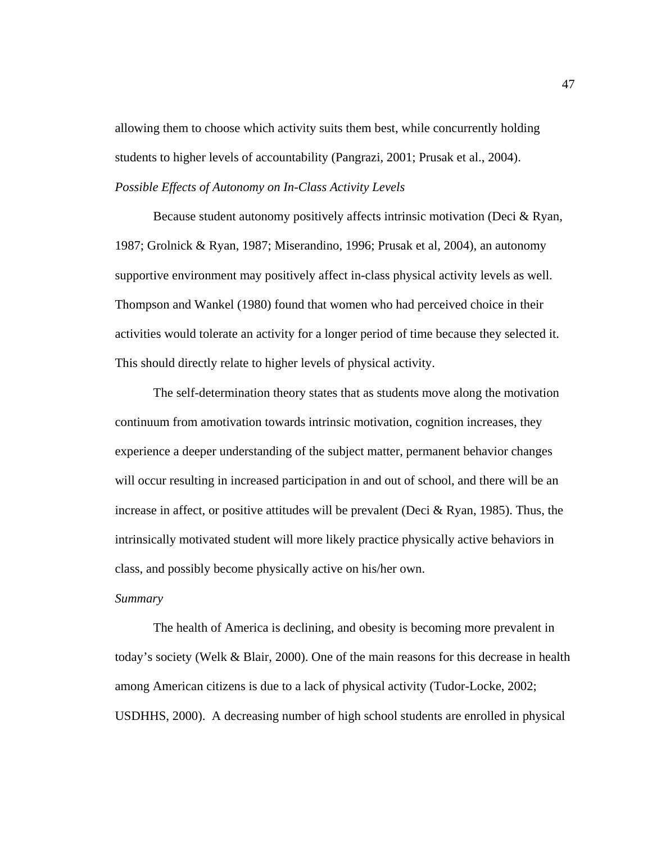allowing them to choose which activity suits them best, while concurrently holding students to higher levels of accountability (Pangrazi, 2001; Prusak et al., 2004). *Possible Effects of Autonomy on In-Class Activity Levels* 

Because student autonomy positively affects intrinsic motivation (Deci & Ryan, 1987; Grolnick & Ryan, 1987; Miserandino, 1996; Prusak et al, 2004), an autonomy supportive environment may positively affect in-class physical activity levels as well. Thompson and Wankel (1980) found that women who had perceived choice in their activities would tolerate an activity for a longer period of time because they selected it. This should directly relate to higher levels of physical activity.

The self-determination theory states that as students move along the motivation continuum from amotivation towards intrinsic motivation, cognition increases, they experience a deeper understanding of the subject matter, permanent behavior changes will occur resulting in increased participation in and out of school, and there will be an increase in affect, or positive attitudes will be prevalent (Deci  $& Ryan, 1985$ ). Thus, the intrinsically motivated student will more likely practice physically active behaviors in class, and possibly become physically active on his/her own.

## *Summary*

 The health of America is declining, and obesity is becoming more prevalent in today's society (Welk & Blair, 2000). One of the main reasons for this decrease in health among American citizens is due to a lack of physical activity (Tudor-Locke, 2002; USDHHS, 2000). A decreasing number of high school students are enrolled in physical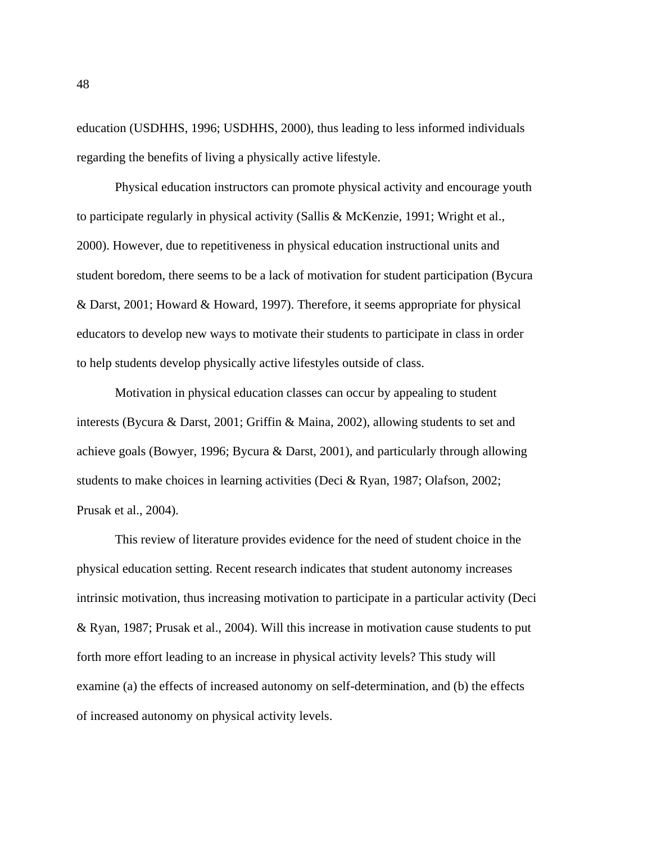education (USDHHS, 1996; USDHHS, 2000), thus leading to less informed individuals regarding the benefits of living a physically active lifestyle.

Physical education instructors can promote physical activity and encourage youth to participate regularly in physical activity (Sallis & McKenzie, 1991; Wright et al., 2000). However, due to repetitiveness in physical education instructional units and student boredom, there seems to be a lack of motivation for student participation (Bycura & Darst, 2001; Howard & Howard, 1997). Therefore, it seems appropriate for physical educators to develop new ways to motivate their students to participate in class in order to help students develop physically active lifestyles outside of class.

Motivation in physical education classes can occur by appealing to student interests (Bycura & Darst, 2001; Griffin & Maina, 2002), allowing students to set and achieve goals (Bowyer, 1996; Bycura & Darst, 2001), and particularly through allowing students to make choices in learning activities (Deci & Ryan, 1987; Olafson, 2002; Prusak et al., 2004).

This review of literature provides evidence for the need of student choice in the physical education setting. Recent research indicates that student autonomy increases intrinsic motivation, thus increasing motivation to participate in a particular activity (Deci & Ryan, 1987; Prusak et al., 2004). Will this increase in motivation cause students to put forth more effort leading to an increase in physical activity levels? This study will examine (a) the effects of increased autonomy on self-determination, and (b) the effects of increased autonomy on physical activity levels.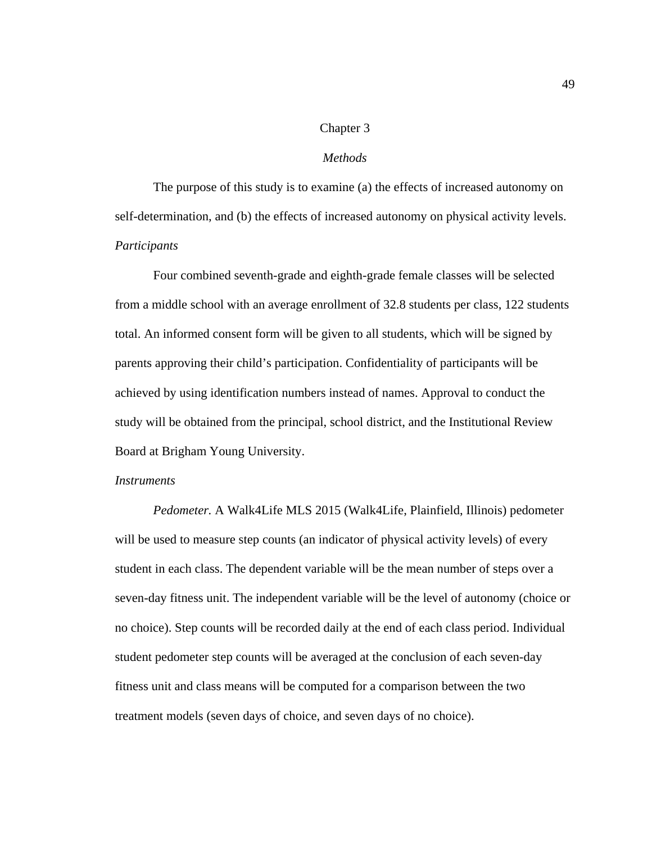#### Chapter 3

## *Methods*

The purpose of this study is to examine (a) the effects of increased autonomy on self-determination, and (b) the effects of increased autonomy on physical activity levels. *Participants* 

Four combined seventh-grade and eighth-grade female classes will be selected from a middle school with an average enrollment of 32.8 students per class, 122 students total. An informed consent form will be given to all students, which will be signed by parents approving their child's participation. Confidentiality of participants will be achieved by using identification numbers instead of names. Approval to conduct the study will be obtained from the principal, school district, and the Institutional Review Board at Brigham Young University.

#### *Instruments*

*Pedometer.* A Walk4Life MLS 2015 (Walk4Life, Plainfield, Illinois) pedometer will be used to measure step counts (an indicator of physical activity levels) of every student in each class. The dependent variable will be the mean number of steps over a seven-day fitness unit. The independent variable will be the level of autonomy (choice or no choice). Step counts will be recorded daily at the end of each class period. Individual student pedometer step counts will be averaged at the conclusion of each seven-day fitness unit and class means will be computed for a comparison between the two treatment models (seven days of choice, and seven days of no choice).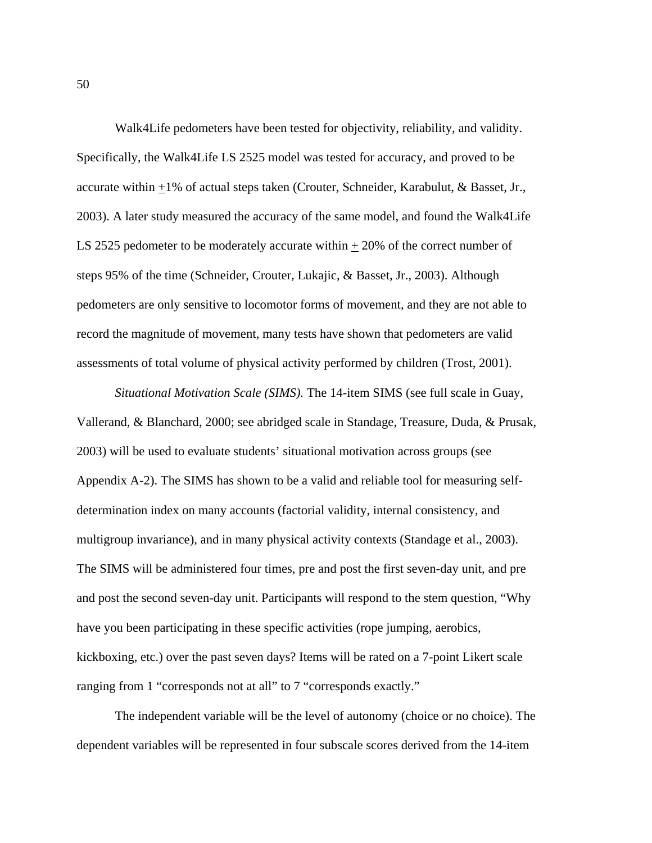Walk4Life pedometers have been tested for objectivity, reliability, and validity. Specifically, the Walk4Life LS 2525 model was tested for accuracy, and proved to be accurate within +1% of actual steps taken (Crouter, Schneider, Karabulut, & Basset, Jr., 2003). A later study measured the accuracy of the same model, and found the Walk4Life LS 2525 pedometer to be moderately accurate within  $+20\%$  of the correct number of steps 95% of the time (Schneider, Crouter, Lukajic, & Basset, Jr., 2003). Although pedometers are only sensitive to locomotor forms of movement, and they are not able to record the magnitude of movement, many tests have shown that pedometers are valid assessments of total volume of physical activity performed by children (Trost, 2001).

*Situational Motivation Scale (SIMS).* The 14-item SIMS (see full scale in Guay, Vallerand, & Blanchard, 2000; see abridged scale in Standage, Treasure, Duda, & Prusak, 2003) will be used to evaluate students' situational motivation across groups (see Appendix A-2). The SIMS has shown to be a valid and reliable tool for measuring selfdetermination index on many accounts (factorial validity, internal consistency, and multigroup invariance), and in many physical activity contexts (Standage et al., 2003). The SIMS will be administered four times, pre and post the first seven-day unit, and pre and post the second seven-day unit. Participants will respond to the stem question, "Why have you been participating in these specific activities (rope jumping, aerobics, kickboxing, etc.) over the past seven days? Items will be rated on a 7-point Likert scale ranging from 1 "corresponds not at all" to 7 "corresponds exactly."

The independent variable will be the level of autonomy (choice or no choice). The dependent variables will be represented in four subscale scores derived from the 14-item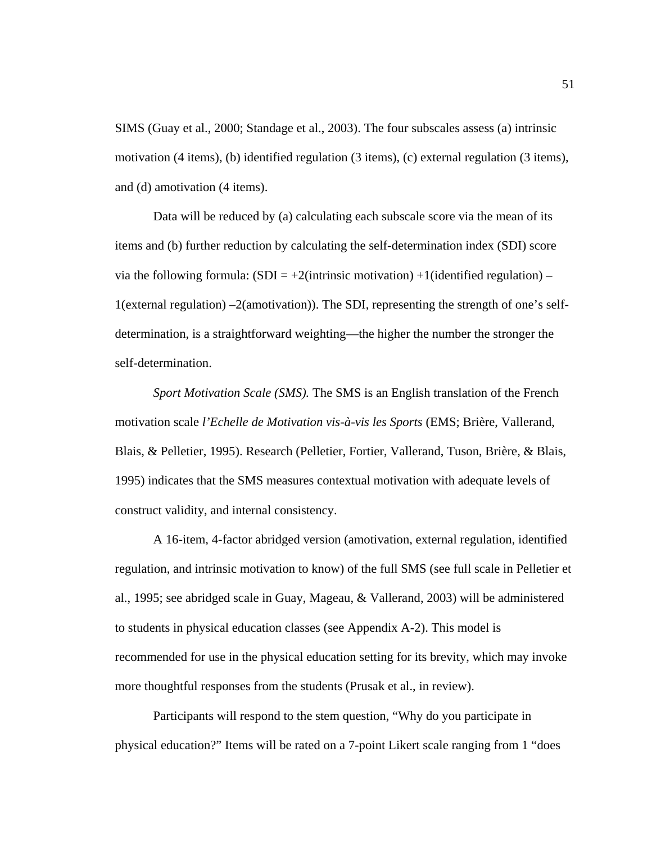SIMS (Guay et al., 2000; Standage et al., 2003). The four subscales assess (a) intrinsic motivation (4 items), (b) identified regulation (3 items), (c) external regulation (3 items), and (d) amotivation (4 items).

Data will be reduced by (a) calculating each subscale score via the mean of its items and (b) further reduction by calculating the self-determination index (SDI) score via the following formula:  $(SDI = +2$ (intrinsic motivation) +1(identified regulation) – 1(external regulation) –2(amotivation)). The SDI, representing the strength of one's selfdetermination, is a straightforward weighting—the higher the number the stronger the self-determination.

*Sport Motivation Scale (SMS).* The SMS is an English translation of the French motivation scale *l'Echelle de Motivation vis-à-vis les Sports* (EMS; Brière, Vallerand, Blais, & Pelletier, 1995). Research (Pelletier, Fortier, Vallerand, Tuson, Brière, & Blais, 1995) indicates that the SMS measures contextual motivation with adequate levels of construct validity, and internal consistency.

A 16-item, 4-factor abridged version (amotivation, external regulation, identified regulation, and intrinsic motivation to know) of the full SMS (see full scale in Pelletier et al., 1995; see abridged scale in Guay, Mageau, & Vallerand, 2003) will be administered to students in physical education classes (see Appendix A-2). This model is recommended for use in the physical education setting for its brevity, which may invoke more thoughtful responses from the students (Prusak et al., in review).

Participants will respond to the stem question, "Why do you participate in physical education?" Items will be rated on a 7-point Likert scale ranging from 1 "does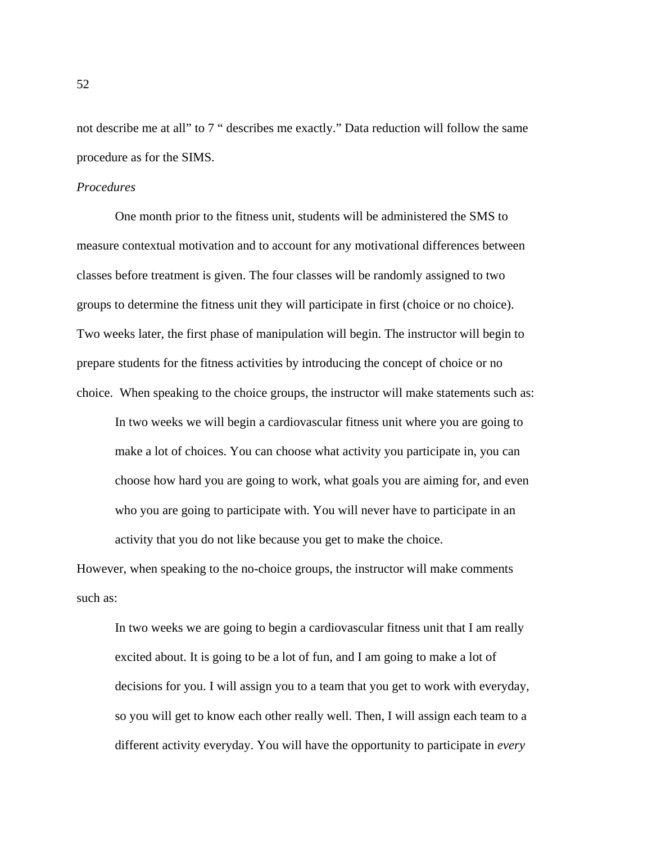not describe me at all" to 7 " describes me exactly." Data reduction will follow the same procedure as for the SIMS.

## *Procedures*

One month prior to the fitness unit, students will be administered the SMS to measure contextual motivation and to account for any motivational differences between classes before treatment is given. The four classes will be randomly assigned to two groups to determine the fitness unit they will participate in first (choice or no choice). Two weeks later, the first phase of manipulation will begin. The instructor will begin to prepare students for the fitness activities by introducing the concept of choice or no choice. When speaking to the choice groups, the instructor will make statements such as:

In two weeks we will begin a cardiovascular fitness unit where you are going to make a lot of choices. You can choose what activity you participate in, you can choose how hard you are going to work, what goals you are aiming for, and even who you are going to participate with. You will never have to participate in an activity that you do not like because you get to make the choice.

However, when speaking to the no-choice groups, the instructor will make comments such as:

In two weeks we are going to begin a cardiovascular fitness unit that I am really excited about. It is going to be a lot of fun, and I am going to make a lot of decisions for you. I will assign you to a team that you get to work with everyday, so you will get to know each other really well. Then, I will assign each team to a different activity everyday. You will have the opportunity to participate in *every*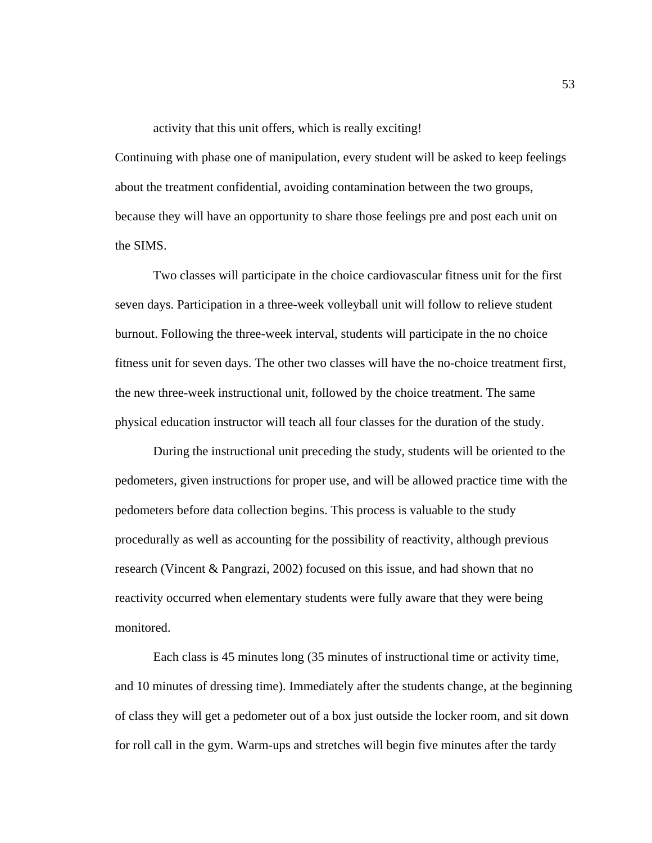activity that this unit offers, which is really exciting!

Continuing with phase one of manipulation, every student will be asked to keep feelings about the treatment confidential, avoiding contamination between the two groups, because they will have an opportunity to share those feelings pre and post each unit on the SIMS.

Two classes will participate in the choice cardiovascular fitness unit for the first seven days. Participation in a three-week volleyball unit will follow to relieve student burnout. Following the three-week interval, students will participate in the no choice fitness unit for seven days. The other two classes will have the no-choice treatment first, the new three-week instructional unit, followed by the choice treatment. The same physical education instructor will teach all four classes for the duration of the study.

During the instructional unit preceding the study, students will be oriented to the pedometers, given instructions for proper use, and will be allowed practice time with the pedometers before data collection begins. This process is valuable to the study procedurally as well as accounting for the possibility of reactivity, although previous research (Vincent & Pangrazi, 2002) focused on this issue, and had shown that no reactivity occurred when elementary students were fully aware that they were being monitored.

Each class is 45 minutes long (35 minutes of instructional time or activity time, and 10 minutes of dressing time). Immediately after the students change, at the beginning of class they will get a pedometer out of a box just outside the locker room, and sit down for roll call in the gym. Warm-ups and stretches will begin five minutes after the tardy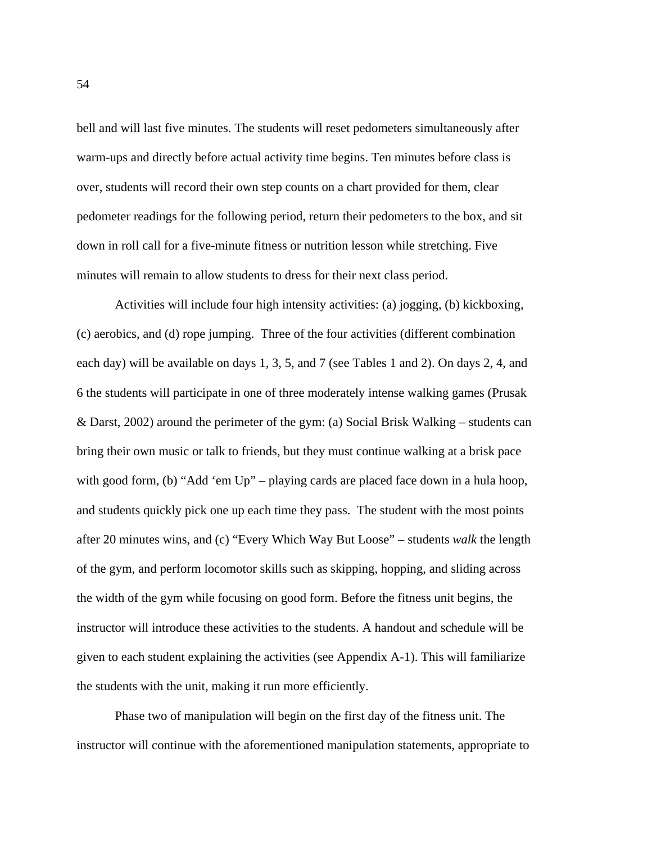bell and will last five minutes. The students will reset pedometers simultaneously after warm-ups and directly before actual activity time begins. Ten minutes before class is over, students will record their own step counts on a chart provided for them, clear pedometer readings for the following period, return their pedometers to the box, and sit down in roll call for a five-minute fitness or nutrition lesson while stretching. Five minutes will remain to allow students to dress for their next class period.

Activities will include four high intensity activities: (a) jogging, (b) kickboxing, (c) aerobics, and (d) rope jumping. Three of the four activities (different combination each day) will be available on days 1, 3, 5, and 7 (see Tables 1 and 2). On days 2, 4, and 6 the students will participate in one of three moderately intense walking games (Prusak & Darst, 2002) around the perimeter of the gym: (a) Social Brisk Walking – students can bring their own music or talk to friends, but they must continue walking at a brisk pace with good form, (b) "Add 'em Up" – playing cards are placed face down in a hula hoop, and students quickly pick one up each time they pass. The student with the most points after 20 minutes wins, and (c) "Every Which Way But Loose" – students *walk* the length of the gym, and perform locomotor skills such as skipping, hopping, and sliding across the width of the gym while focusing on good form. Before the fitness unit begins, the instructor will introduce these activities to the students. A handout and schedule will be given to each student explaining the activities (see Appendix A-1). This will familiarize the students with the unit, making it run more efficiently.

Phase two of manipulation will begin on the first day of the fitness unit. The instructor will continue with the aforementioned manipulation statements, appropriate to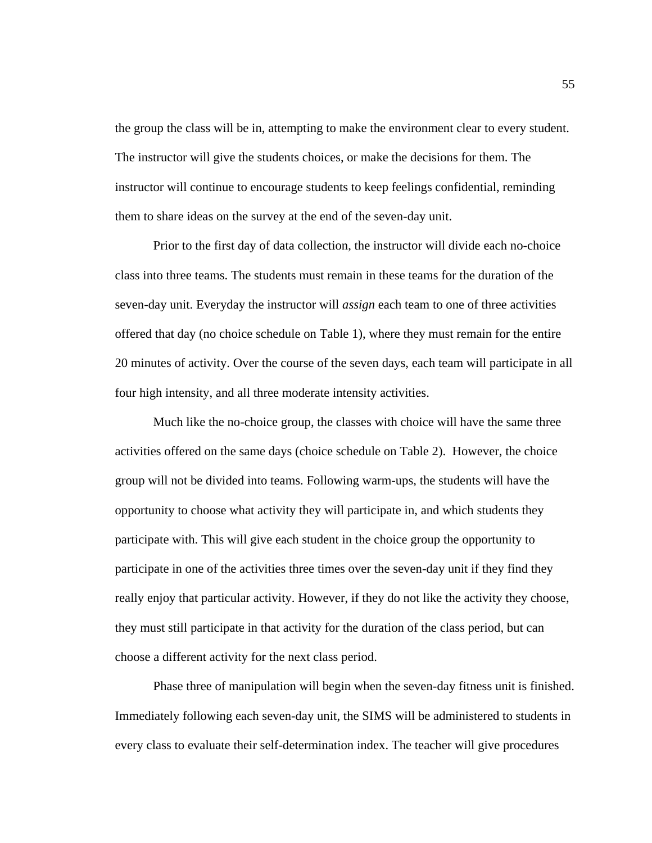the group the class will be in, attempting to make the environment clear to every student. The instructor will give the students choices, or make the decisions for them. The instructor will continue to encourage students to keep feelings confidential, reminding them to share ideas on the survey at the end of the seven-day unit.

Prior to the first day of data collection, the instructor will divide each no-choice class into three teams. The students must remain in these teams for the duration of the seven-day unit. Everyday the instructor will *assign* each team to one of three activities offered that day (no choice schedule on Table 1), where they must remain for the entire 20 minutes of activity. Over the course of the seven days, each team will participate in all four high intensity, and all three moderate intensity activities.

Much like the no-choice group, the classes with choice will have the same three activities offered on the same days (choice schedule on Table 2). However, the choice group will not be divided into teams. Following warm-ups, the students will have the opportunity to choose what activity they will participate in, and which students they participate with. This will give each student in the choice group the opportunity to participate in one of the activities three times over the seven-day unit if they find they really enjoy that particular activity. However, if they do not like the activity they choose, they must still participate in that activity for the duration of the class period, but can choose a different activity for the next class period.

Phase three of manipulation will begin when the seven-day fitness unit is finished. Immediately following each seven-day unit, the SIMS will be administered to students in every class to evaluate their self-determination index. The teacher will give procedures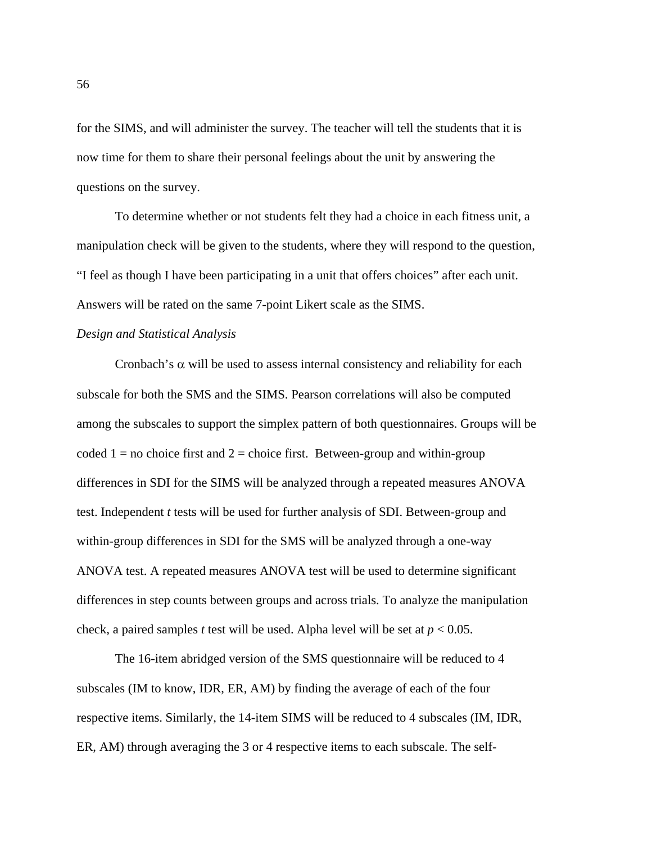for the SIMS, and will administer the survey. The teacher will tell the students that it is now time for them to share their personal feelings about the unit by answering the questions on the survey.

To determine whether or not students felt they had a choice in each fitness unit, a manipulation check will be given to the students, where they will respond to the question, "I feel as though I have been participating in a unit that offers choices" after each unit. Answers will be rated on the same 7-point Likert scale as the SIMS.

#### *Design and Statistical Analysis*

Cronbach's  $\alpha$  will be used to assess internal consistency and reliability for each subscale for both the SMS and the SIMS. Pearson correlations will also be computed among the subscales to support the simplex pattern of both questionnaires. Groups will be coded  $1 =$  no choice first and  $2 =$  choice first. Between-group and within-group differences in SDI for the SIMS will be analyzed through a repeated measures ANOVA test. Independent *t* tests will be used for further analysis of SDI. Between-group and within-group differences in SDI for the SMS will be analyzed through a one-way ANOVA test. A repeated measures ANOVA test will be used to determine significant differences in step counts between groups and across trials. To analyze the manipulation check, a paired samples *t* test will be used. Alpha level will be set at  $p < 0.05$ .

The 16-item abridged version of the SMS questionnaire will be reduced to 4 subscales (IM to know, IDR, ER, AM) by finding the average of each of the four respective items. Similarly, the 14-item SIMS will be reduced to 4 subscales (IM, IDR, ER, AM) through averaging the 3 or 4 respective items to each subscale. The self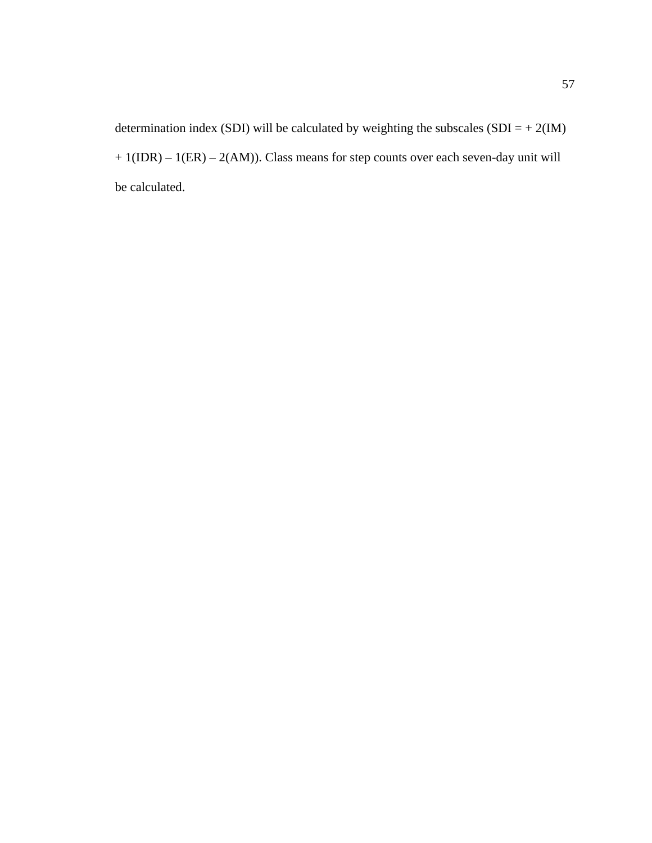determination index (SDI) will be calculated by weighting the subscales (SDI =  $+ 2$ (IM) + 1(IDR) – 1(ER) – 2(AM)). Class means for step counts over each seven-day unit will be calculated.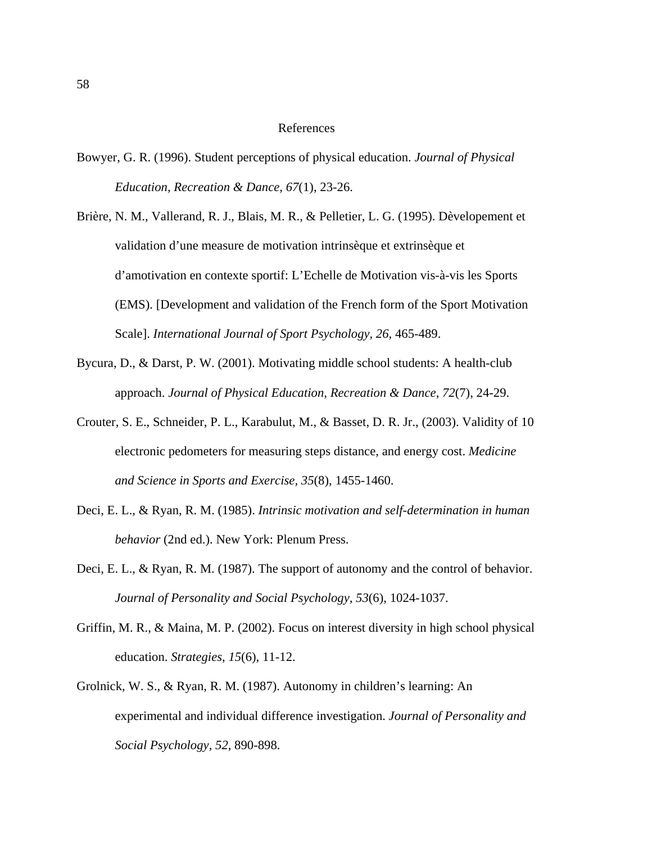#### References

- Bowyer, G. R. (1996). Student perceptions of physical education. *Journal of Physical Education, Recreation & Dance, 67*(1), 23-26.
- Brière, N. M., Vallerand, R. J., Blais, M. R., & Pelletier, L. G. (1995). Dèvelopement et validation d'une measure de motivation intrinsèque et extrinsèque et d'amotivation en contexte sportif: L'Echelle de Motivation vis-à-vis les Sports (EMS). [Development and validation of the French form of the Sport Motivation Scale]. *International Journal of Sport Psychology, 26, 465-489.*
- Bycura, D., & Darst, P. W. (2001). Motivating middle school students: A health-club approach. *Journal of Physical Education, Recreation & Dance, 72*(7), 24-29.
- Crouter, S. E., Schneider, P. L., Karabulut, M., & Basset, D. R. Jr., (2003). Validity of 10 electronic pedometers for measuring steps distance, and energy cost. *Medicine and Science in Sports and Exercise, 35*(8), 1455-1460.
- Deci, E. L., & Ryan, R. M. (1985). *Intrinsic motivation and self-determination in human behavior* (2nd ed.). New York: Plenum Press.
- Deci, E. L., & Ryan, R. M. (1987). The support of autonomy and the control of behavior. *Journal of Personality and Social Psychology, 53*(6), 1024-1037.
- Griffin, M. R., & Maina, M. P. (2002). Focus on interest diversity in high school physical education. *Strategies*, *15*(6), 11-12.
- Grolnick, W. S., & Ryan, R. M. (1987). Autonomy in children's learning: An experimental and individual difference investigation. *Journal of Personality and Social Psychology, 52*, 890-898.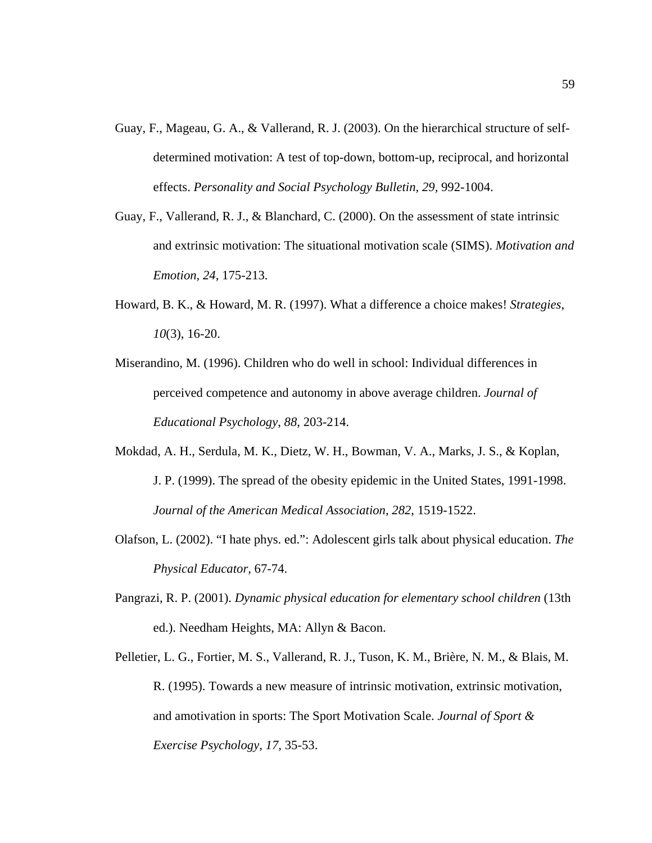- Guay, F., Mageau, G. A., & Vallerand, R. J. (2003). On the hierarchical structure of selfdetermined motivation: A test of top-down, bottom-up, reciprocal, and horizontal effects. *Personality and Social Psychology Bulletin, 29,* 992-1004.
- Guay, F., Vallerand, R. J., & Blanchard, C. (2000). On the assessment of state intrinsic and extrinsic motivation: The situational motivation scale (SIMS). *Motivation and Emotion, 24*, 175-213.
- Howard, B. K., & Howard, M. R. (1997). What a difference a choice makes! *Strategies*, *10*(3), 16-20.
- Miserandino, M. (1996). Children who do well in school: Individual differences in perceived competence and autonomy in above average children. *Journal of Educational Psychology*, *88*, 203-214.
- Mokdad, A. H., Serdula, M. K., Dietz, W. H., Bowman, V. A., Marks, J. S., & Koplan, J. P. (1999). The spread of the obesity epidemic in the United States, 1991-1998. *Journal of the American Medical Association, 282*, 1519-1522.
- Olafson, L. (2002). "I hate phys. ed.": Adolescent girls talk about physical education. *The Physical Educator*, 67-74.
- Pangrazi, R. P. (2001). *Dynamic physical education for elementary school children* (13th ed.). Needham Heights, MA: Allyn & Bacon.
- Pelletier, L. G., Fortier, M. S., Vallerand, R. J., Tuson, K. M., Brière, N. M., & Blais, M. R. (1995). Towards a new measure of intrinsic motivation, extrinsic motivation, and amotivation in sports: The Sport Motivation Scale. *Journal of Sport & Exercise Psychology, 17,* 35-53.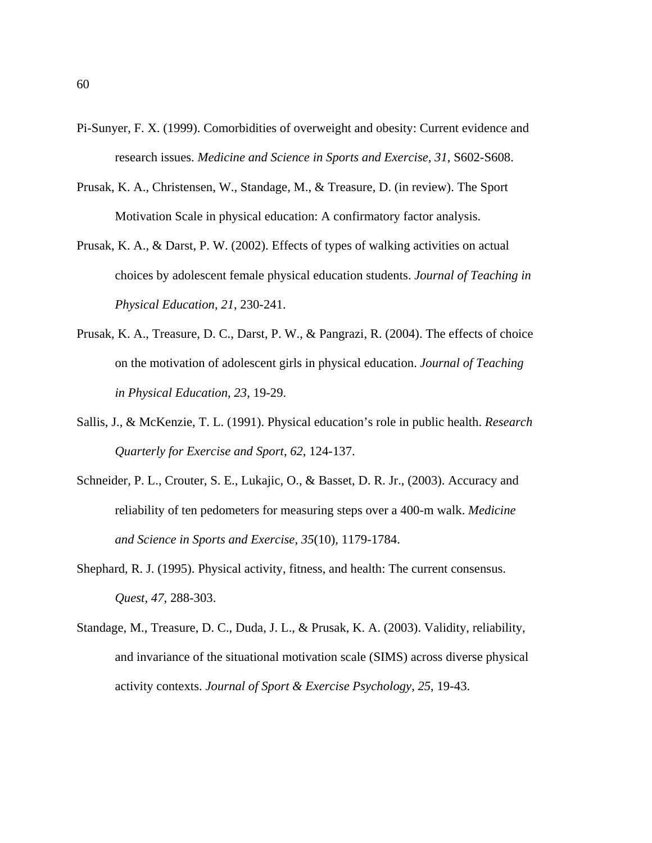- Pi-Sunyer, F. X. (1999). Comorbidities of overweight and obesity: Current evidence and research issues. *Medicine and Science in Sports and Exercise, 31*, S602-S608.
- Prusak, K. A., Christensen, W., Standage, M., & Treasure, D. (in review). The Sport Motivation Scale in physical education: A confirmatory factor analysis.
- Prusak, K. A., & Darst, P. W. (2002). Effects of types of walking activities on actual choices by adolescent female physical education students. *Journal of Teaching in Physical Education*, *21*, 230-241.
- Prusak, K. A., Treasure, D. C., Darst, P. W., & Pangrazi, R. (2004). The effects of choice on the motivation of adolescent girls in physical education. *Journal of Teaching in Physical Education, 23*, 19-29.
- Sallis, J., & McKenzie, T. L. (1991). Physical education's role in public health. *Research Quarterly for Exercise and Sport*, *62*, 124-137.
- Schneider, P. L., Crouter, S. E., Lukajic, O., & Basset, D. R. Jr., (2003). Accuracy and reliability of ten pedometers for measuring steps over a 400-m walk. *Medicine and Science in Sports and Exercise*, *35*(10), 1179-1784.
- Shephard, R. J. (1995). Physical activity, fitness, and health: The current consensus. *Quest*, *47*, 288-303.
- Standage, M., Treasure, D. C., Duda, J. L., & Prusak, K. A. (2003). Validity, reliability, and invariance of the situational motivation scale (SIMS) across diverse physical activity contexts. *Journal of Sport & Exercise Psychology*, *25*, 19-43.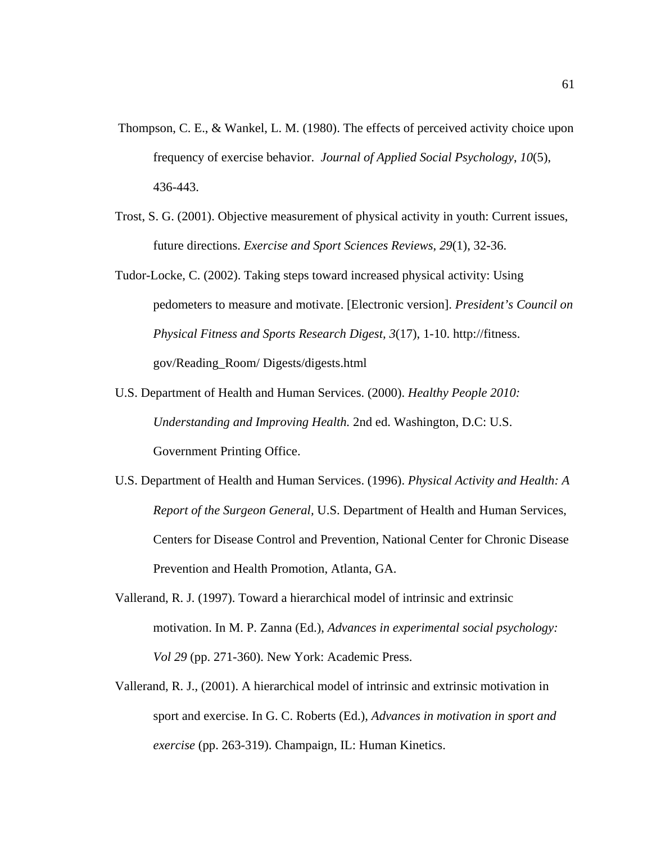- Thompson, C. E., & Wankel, L. M. (1980). The effects of perceived activity choice upon frequency of exercise behavior. *Journal of Applied Social Psychology*, *10*(5), 436-443.
- Trost, S. G. (2001). Objective measurement of physical activity in youth: Current issues, future directions. *Exercise and Sport Sciences Reviews*, *29*(1), 32-36.
- Tudor-Locke, C. (2002). Taking steps toward increased physical activity: Using pedometers to measure and motivate. [Electronic version]. *President's Council on Physical Fitness and Sports Research Digest, 3*(17), 1-10. http://fitness. gov/Reading\_Room/ Digests/digests.html
- U.S. Department of Health and Human Services. (2000). *Healthy People 2010: Understanding and Improving Health.* 2nd ed. Washington, D.C: U.S. Government Printing Office.
- U.S. Department of Health and Human Services. (1996). *Physical Activity and Health: A Report of the Surgeon General,* U.S. Department of Health and Human Services, Centers for Disease Control and Prevention, National Center for Chronic Disease Prevention and Health Promotion, Atlanta, GA.
- Vallerand, R. J. (1997). Toward a hierarchical model of intrinsic and extrinsic motivation. In M. P. Zanna (Ed.), *Advances in experimental social psychology: Vol 29* (pp. 271-360). New York: Academic Press.
- Vallerand, R. J., (2001). A hierarchical model of intrinsic and extrinsic motivation in sport and exercise. In G. C. Roberts (Ed.), *Advances in motivation in sport and exercise* (pp. 263-319). Champaign, IL: Human Kinetics.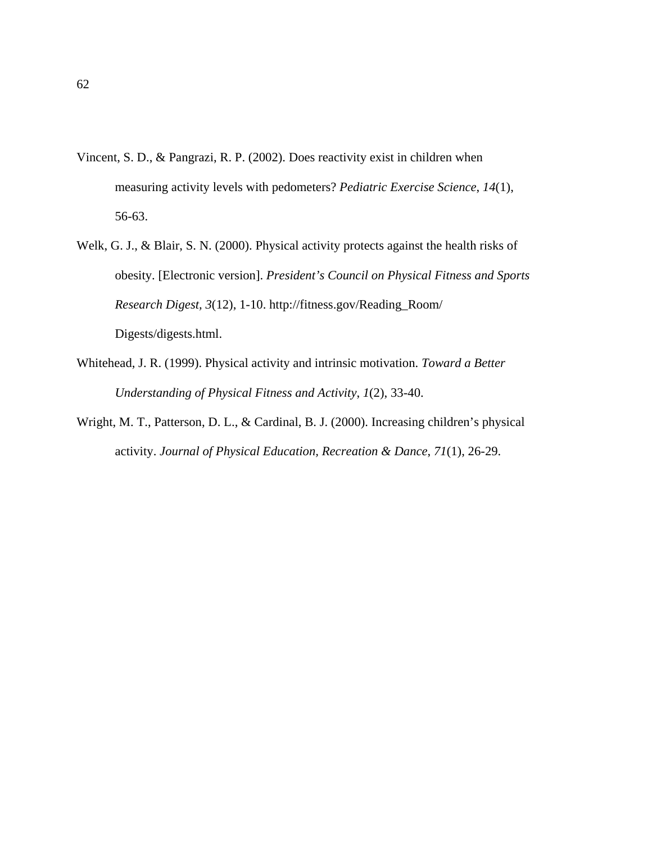- Vincent, S. D., & Pangrazi, R. P. (2002). Does reactivity exist in children when measuring activity levels with pedometers? *Pediatric Exercise Science*, *14*(1), 56-63.
- Welk, G. J., & Blair, S. N. (2000). Physical activity protects against the health risks of obesity. [Electronic version]. *President's Council on Physical Fitness and Sports Research Digest, 3*(12), 1-10. http://fitness.gov/Reading\_Room/ Digests/digests.html.
- Whitehead, J. R. (1999). Physical activity and intrinsic motivation. *Toward a Better Understanding of Physical Fitness and Activity*, *1*(2), 33-40.
- Wright, M. T., Patterson, D. L., & Cardinal, B. J. (2000). Increasing children's physical activity. *Journal of Physical Education, Recreation & Dance*, *71*(1), 26-29.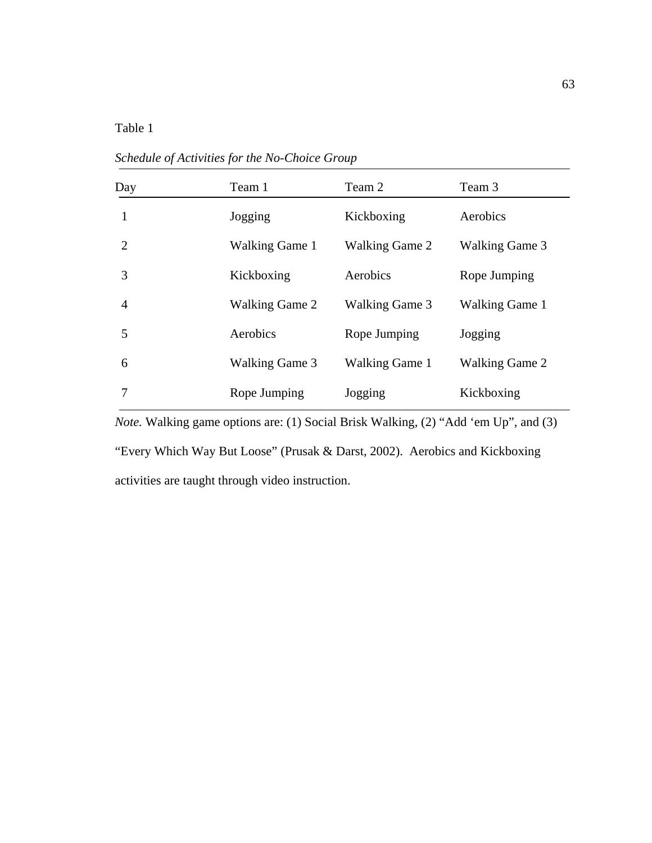| Day                         | Team 1                | Team 2                | Team 3                |
|-----------------------------|-----------------------|-----------------------|-----------------------|
| 1                           | Jogging               | Kickboxing            | Aerobics              |
| $\mathcal{D}_{\mathcal{L}}$ | <b>Walking Game 1</b> | <b>Walking Game 2</b> | <b>Walking Game 3</b> |
| 3                           | Kickboxing            | Aerobics              | Rope Jumping          |
| 4                           | <b>Walking Game 2</b> | <b>Walking Game 3</b> | <b>Walking Game 1</b> |
| 5                           | Aerobics              | Rope Jumping          | Jogging               |
| 6                           | <b>Walking Game 3</b> | <b>Walking Game 1</b> | <b>Walking Game 2</b> |
| 7                           | Rope Jumping          | Jogging               | Kickboxing            |

*Schedule of Activities for the No-Choice Group* 

*Note.* Walking game options are: (1) Social Brisk Walking, (2) "Add 'em Up", and (3) "Every Which Way But Loose" (Prusak & Darst, 2002). Aerobics and Kickboxing activities are taught through video instruction.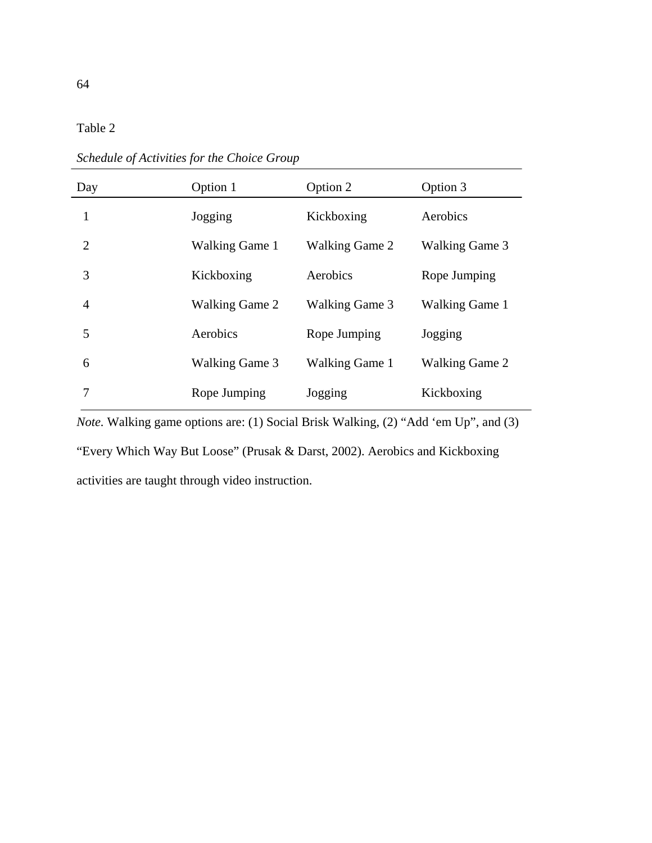| апіє |  |
|------|--|
|      |  |

| Day                         | Option 1              | Option 2              | Option 3              |
|-----------------------------|-----------------------|-----------------------|-----------------------|
|                             | Jogging               | Kickboxing            | Aerobics              |
| $\mathcal{D}_{\mathcal{L}}$ | <b>Walking Game 1</b> | <b>Walking Game 2</b> | <b>Walking Game 3</b> |
| 3                           | Kickboxing            | Aerobics              | Rope Jumping          |
| $\overline{4}$              | <b>Walking Game 2</b> | <b>Walking Game 3</b> | <b>Walking Game 1</b> |
| 5                           | Aerobics              | Rope Jumping          | Jogging               |
| 6                           | <b>Walking Game 3</b> | <b>Walking Game 1</b> | <b>Walking Game 2</b> |
| 7                           | Rope Jumping          | Jogging               | Kickboxing            |

*Schedule of Activities for the Choice Group* 

*Note.* Walking game options are: (1) Social Brisk Walking, (2) "Add 'em Up", and (3) "Every Which Way But Loose" (Prusak & Darst, 2002). Aerobics and Kickboxing activities are taught through video instruction.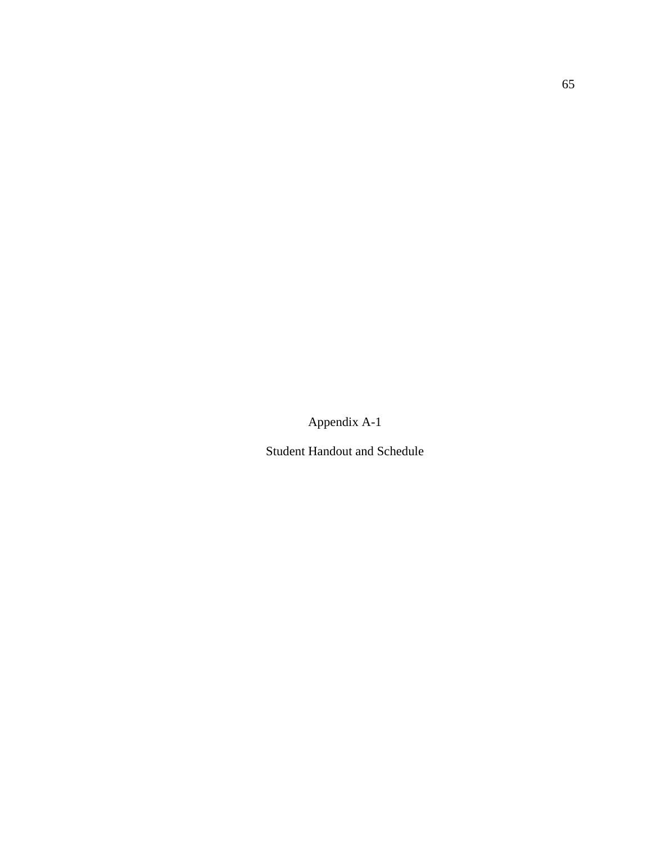Appendix A-1

Student Handout and Schedule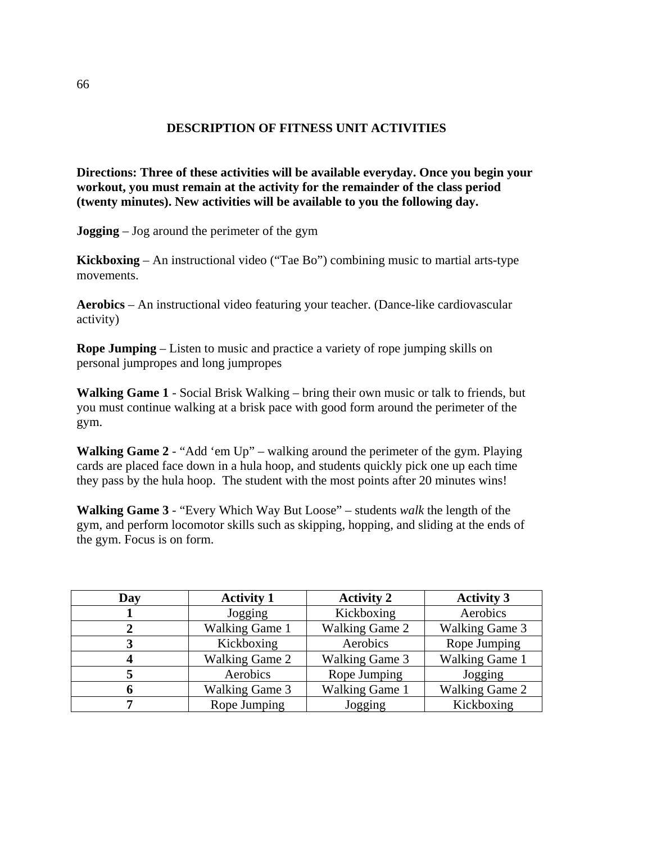### **DESCRIPTION OF FITNESS UNIT ACTIVITIES**

**Directions: Three of these activities will be available everyday. Once you begin your workout, you must remain at the activity for the remainder of the class period (twenty minutes). New activities will be available to you the following day.** 

**Jogging** – Jog around the perimeter of the gym

**Kickboxing** – An instructional video ("Tae Bo") combining music to martial arts-type movements.

**Aerobics** – An instructional video featuring your teacher. (Dance-like cardiovascular activity)

**Rope Jumping** – Listen to music and practice a variety of rope jumping skills on personal jumpropes and long jumpropes

**Walking Game 1** - Social Brisk Walking – bring their own music or talk to friends, but you must continue walking at a brisk pace with good form around the perimeter of the gym.

**Walking Game 2** - "Add 'em Up" – walking around the perimeter of the gym. Playing cards are placed face down in a hula hoop, and students quickly pick one up each time they pass by the hula hoop. The student with the most points after 20 minutes wins!

**Walking Game 3** - "Every Which Way But Loose" – students *walk* the length of the gym, and perform locomotor skills such as skipping, hopping, and sliding at the ends of the gym. Focus is on form.

| Day | <b>Activity 1</b>     | <b>Activity 2</b>     | <b>Activity 3</b>     |
|-----|-----------------------|-----------------------|-----------------------|
|     | Jogging               | Kickboxing            | Aerobics              |
|     | <b>Walking Game 1</b> | <b>Walking Game 2</b> | <b>Walking Game 3</b> |
|     | Kickboxing            | Aerobics              | Rope Jumping          |
|     | <b>Walking Game 2</b> | <b>Walking Game 3</b> | <b>Walking Game 1</b> |
|     | Aerobics              | Rope Jumping          | Jogging               |
|     | <b>Walking Game 3</b> | Walking Game 1        | <b>Walking Game 2</b> |
|     | Rope Jumping          | Jogging               | Kickboxing            |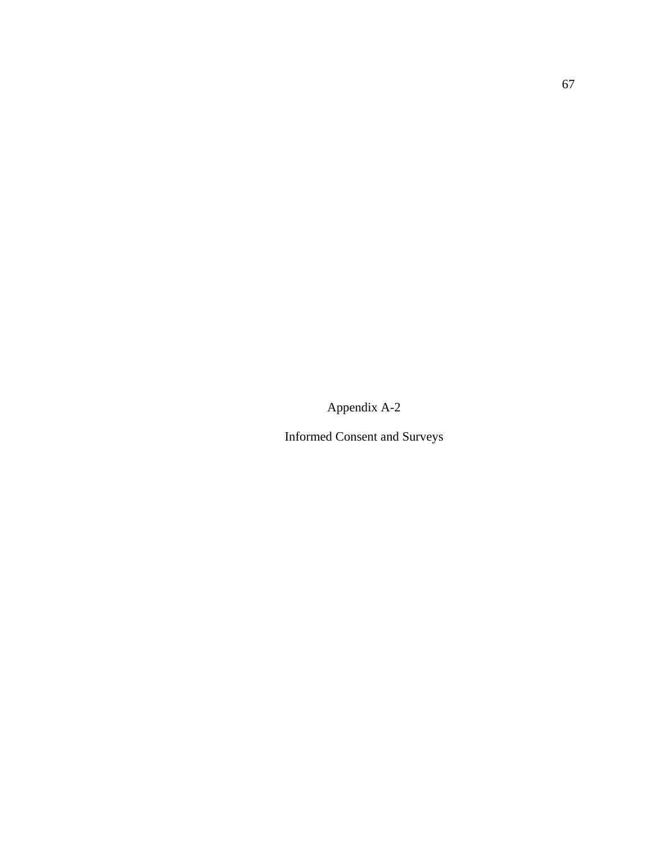Appendix A-2

Informed Consent and Surveys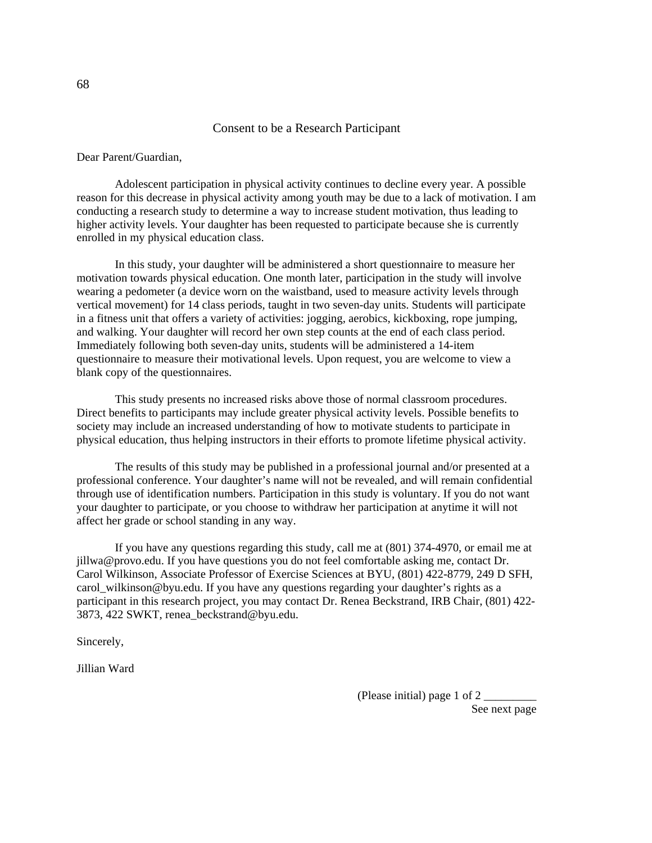#### Consent to be a Research Participant

Dear Parent/Guardian,

 Adolescent participation in physical activity continues to decline every year. A possible reason for this decrease in physical activity among youth may be due to a lack of motivation. I am conducting a research study to determine a way to increase student motivation, thus leading to higher activity levels. Your daughter has been requested to participate because she is currently enrolled in my physical education class.

 In this study, your daughter will be administered a short questionnaire to measure her motivation towards physical education. One month later, participation in the study will involve wearing a pedometer (a device worn on the waistband, used to measure activity levels through vertical movement) for 14 class periods, taught in two seven-day units. Students will participate in a fitness unit that offers a variety of activities: jogging, aerobics, kickboxing, rope jumping, and walking. Your daughter will record her own step counts at the end of each class period. Immediately following both seven-day units, students will be administered a 14-item questionnaire to measure their motivational levels. Upon request, you are welcome to view a blank copy of the questionnaires.

This study presents no increased risks above those of normal classroom procedures. Direct benefits to participants may include greater physical activity levels. Possible benefits to society may include an increased understanding of how to motivate students to participate in physical education, thus helping instructors in their efforts to promote lifetime physical activity.

The results of this study may be published in a professional journal and/or presented at a professional conference. Your daughter's name will not be revealed, and will remain confidential through use of identification numbers. Participation in this study is voluntary. If you do not want your daughter to participate, or you choose to withdraw her participation at anytime it will not affect her grade or school standing in any way.

If you have any questions regarding this study, call me at (801) 374-4970, or email me at jillwa@provo.edu. If you have questions you do not feel comfortable asking me, contact Dr. Carol Wilkinson, Associate Professor of Exercise Sciences at BYU, (801) 422-8779, 249 D SFH, carol\_wilkinson@byu.edu. If you have any questions regarding your daughter's rights as a participant in this research project, you may contact Dr. Renea Beckstrand, IRB Chair, (801) 422- 3873, 422 SWKT, renea\_beckstrand@byu.edu.

Sincerely,

Jillian Ward

(Please initial) page 1 of 2 \_\_\_\_\_\_\_\_\_ See next page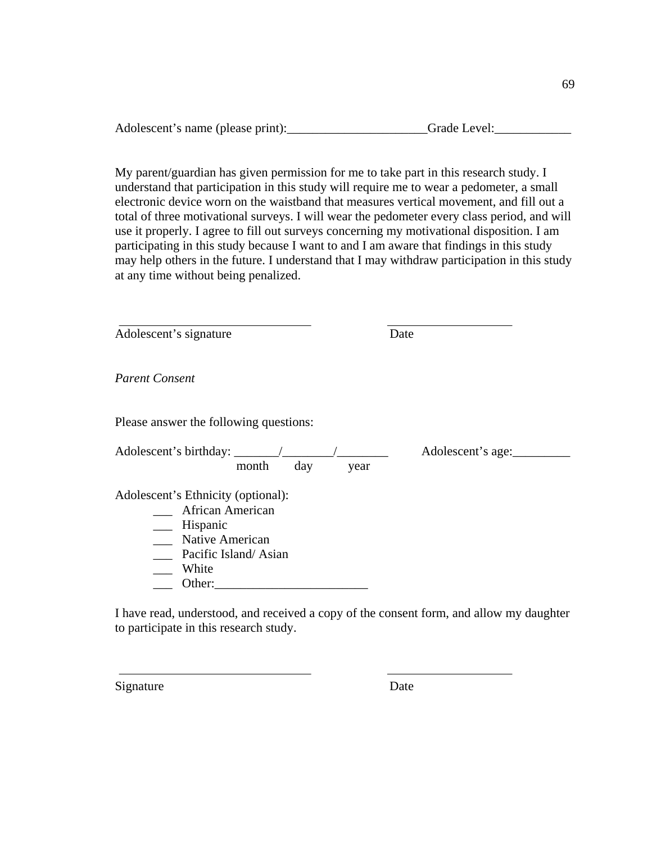My parent/guardian has given permission for me to take part in this research study. I understand that participation in this study will require me to wear a pedometer, a small electronic device worn on the waistband that measures vertical movement, and fill out a total of three motivational surveys. I will wear the pedometer every class period, and will use it properly. I agree to fill out surveys concerning my motivational disposition. I am participating in this study because I want to and I am aware that findings in this study may help others in the future. I understand that I may withdraw participation in this study at any time without being penalized.

| Adolescent's signature                                                                                                                  | Date                      |
|-----------------------------------------------------------------------------------------------------------------------------------------|---------------------------|
| <b>Parent Consent</b>                                                                                                                   |                           |
| Please answer the following questions:                                                                                                  |                           |
| month<br>day                                                                                                                            | Adolescent's age:<br>year |
| Adolescent's Ethnicity (optional):<br>African American<br>Hispanic<br><b>Native American</b><br>Pacific Island/Asian<br>White<br>Other: |                           |

I have read, understood, and received a copy of the consent form, and allow my daughter to participate in this research study.

Signature Date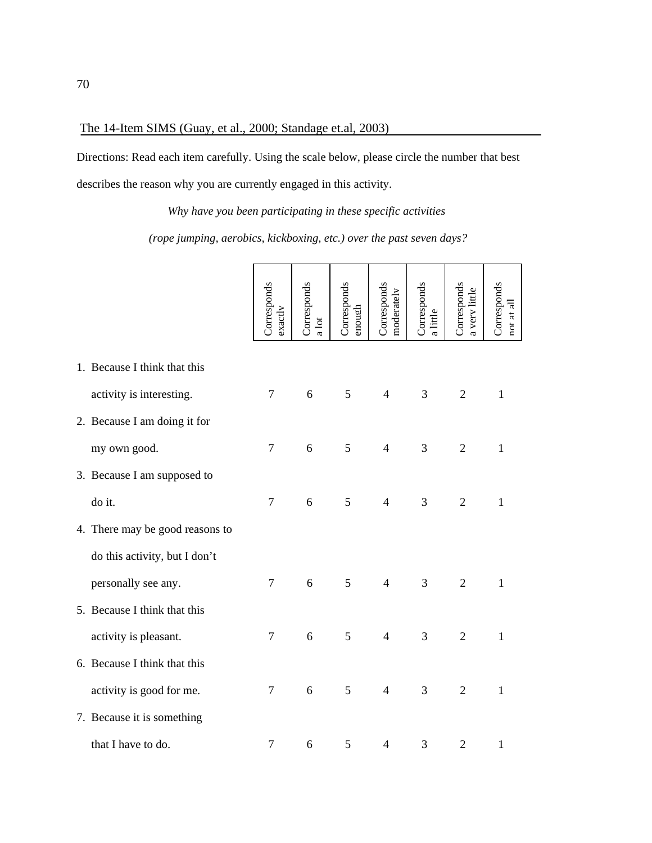#### The 14-Item SIMS (Guay, et al., 2000; Standage et.al, 2003)

Directions: Read each item carefully. Using the scale below, please circle the number that best describes the reason why you are currently engaged in this activity.

> *Why have you been participating in these specific activities (rope jumping, aerobics, kickboxing, etc.) over the past seven days?*

|                                 | Corresponds<br>$\frac{1}{2}$ | Corresponds<br>alot | Corresponds<br>chough | Corresponds<br>moderately | Corresponds<br>a little | Corresponds<br>a very little | Corresponds<br>$\frac{1}{2}$ |
|---------------------------------|------------------------------|---------------------|-----------------------|---------------------------|-------------------------|------------------------------|------------------------------|
| 1. Because I think that this    |                              |                     |                       |                           |                         |                              |                              |
| activity is interesting.        | $\tau$                       | 6                   | 5                     | $\overline{4}$            | $\mathfrak{Z}$          | $\overline{2}$               | $\mathbf{1}$                 |
| 2. Because I am doing it for    |                              |                     |                       |                           |                         |                              |                              |
| my own good.                    | $\tau$                       | 6                   | 5                     | $\overline{4}$            | 3                       | $\overline{2}$               | $\mathbf{1}$                 |
| 3. Because I am supposed to     |                              |                     |                       |                           |                         |                              |                              |
| do it.                          | $\overline{7}$               | 6                   | 5                     | $\overline{4}$            | $\mathfrak{Z}$          | $\sqrt{2}$                   | $\,1$                        |
| 4. There may be good reasons to |                              |                     |                       |                           |                         |                              |                              |
| do this activity, but I don't   |                              |                     |                       |                           |                         |                              |                              |
| personally see any.             | $\tau$                       | 6                   | 5                     | $\overline{4}$            | 3                       | $\overline{2}$               | $\mathbf{1}$                 |
| 5. Because I think that this    |                              |                     |                       |                           |                         |                              |                              |
| activity is pleasant.           | $\boldsymbol{7}$             | 6                   | 5                     | $\overline{4}$            | 3                       | $\overline{2}$               | $\mathbf{1}$                 |
| 6. Because I think that this    |                              |                     |                       |                           |                         |                              |                              |
| activity is good for me.        | $\tau$                       | 6                   | 5                     | $\overline{4}$            | 3                       | $\overline{2}$               | $\mathbf{1}$                 |
| 7. Because it is something      |                              |                     |                       |                           |                         |                              |                              |
| that I have to do.              | $\tau$                       | 6                   | $\mathfrak{S}$        | $\overline{4}$            | 3                       | $\overline{2}$               | $\mathbf{1}$                 |

70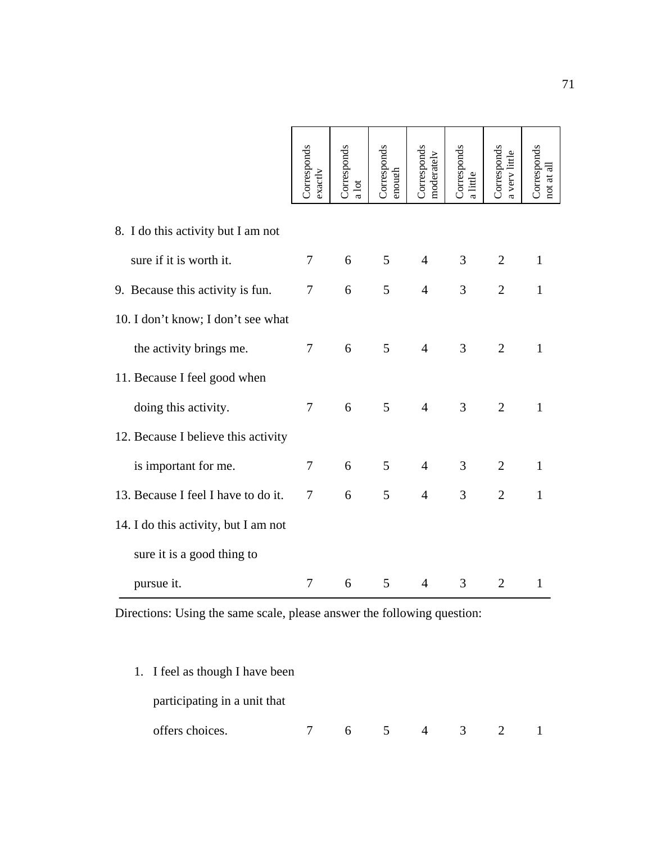|                                                                         | Corresponds<br>$\frac{1}{2}$ | Corresponds<br>a lot | Corresponds<br>mough | Corresponds<br>moderately | Corresponds<br>a little | Corresponds<br>a verv little | Corresponds<br>not at all |
|-------------------------------------------------------------------------|------------------------------|----------------------|----------------------|---------------------------|-------------------------|------------------------------|---------------------------|
| 8. I do this activity but I am not                                      |                              |                      |                      |                           |                         |                              |                           |
| sure if it is worth it.                                                 | 7                            | 6                    | 5                    | $\overline{4}$            | 3                       | $\overline{2}$               | $\mathbf{1}$              |
| 9. Because this activity is fun.                                        | 7                            | 6                    | 5                    | $\overline{4}$            | 3                       | $\overline{2}$               | $\mathbf{1}$              |
| 10. I don't know; I don't see what                                      |                              |                      |                      |                           |                         |                              |                           |
| the activity brings me.                                                 | 7                            | 6                    | 5                    | $\overline{4}$            | 3                       | $\overline{2}$               | $\mathbf{1}$              |
| 11. Because I feel good when                                            |                              |                      |                      |                           |                         |                              |                           |
| doing this activity.                                                    | 7                            | 6                    | 5                    | $\overline{4}$            | 3                       | $\overline{2}$               | $\mathbf{1}$              |
| 12. Because I believe this activity                                     |                              |                      |                      |                           |                         |                              |                           |
| is important for me.                                                    | $\tau$                       | 6                    | 5                    | $\overline{4}$            | 3                       | $\overline{2}$               | $\mathbf{1}$              |
| 13. Because I feel I have to do it.                                     | 7                            | 6                    | 5                    | $\overline{4}$            | 3                       | $\overline{2}$               | $\mathbf{1}$              |
| 14. I do this activity, but I am not                                    |                              |                      |                      |                           |                         |                              |                           |
| sure it is a good thing to                                              |                              |                      |                      |                           |                         |                              |                           |
| pursue it.                                                              | 7                            | 6                    | 5                    | $\overline{4}$            | 3                       | $\overline{2}$               | $\mathbf 1$               |
| Directions: Using the same scale, please answer the following question: |                              |                      |                      |                           |                         |                              |                           |
| 1. I feel as though I have been<br>participating in a unit that         |                              |                      |                      |                           |                         |                              |                           |
| offers choices.                                                         | 7                            | 6                    | 5                    | 4                         | 3                       | 2                            | 1                         |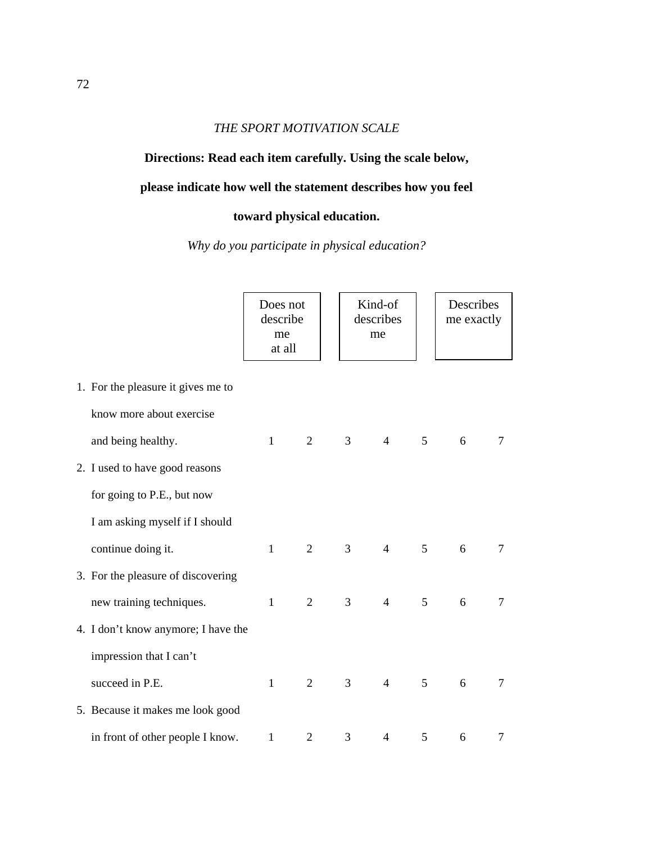#### *THE SPORT MOTIVATION SCALE*

**Directions: Read each item carefully. Using the scale below,** 

### **please indicate how well the statement describes how you feel**

## **toward physical education.**

*Why do you participate in physical education?* 

|                                     | Does not<br>describe<br>me<br>at all |                |   | Kind-of<br>describes<br>me |                | Describes<br>me exactly |   |  |
|-------------------------------------|--------------------------------------|----------------|---|----------------------------|----------------|-------------------------|---|--|
| 1. For the pleasure it gives me to  |                                      |                |   |                            |                |                         |   |  |
| know more about exercise            |                                      |                |   |                            |                |                         |   |  |
| and being healthy.                  | $\mathbf{1}$                         | $2^{\circ}$    | 3 | $\overline{4}$             | 5              | 6                       | 7 |  |
| 2. I used to have good reasons      |                                      |                |   |                            |                |                         |   |  |
| for going to P.E., but now          |                                      |                |   |                            |                |                         |   |  |
| I am asking myself if I should      |                                      |                |   |                            |                |                         |   |  |
| continue doing it.                  | $\mathbf{1}$                         | $\overline{2}$ | 3 | $\overline{4}$             | $5^{\circ}$    | 6                       | 7 |  |
| 3. For the pleasure of discovering  |                                      |                |   |                            |                |                         |   |  |
| new training techniques.            | $\mathbf{1}$                         | $\overline{2}$ | 3 | $\overline{4}$             | 5              | 6                       | 7 |  |
| 4. I don't know anymore; I have the |                                      |                |   |                            |                |                         |   |  |
| impression that I can't             |                                      |                |   |                            |                |                         |   |  |
| succeed in P.E.                     | $\mathbf{1}$                         | $\overline{2}$ | 3 | $\overline{4}$             | 5              | 6                       | 7 |  |
| 5. Because it makes me look good    |                                      |                |   |                            |                |                         |   |  |
| in front of other people I know.    | $\mathbf{1}$                         | $\overline{2}$ | 3 | 4                          | $\mathfrak{S}$ | 6                       | 7 |  |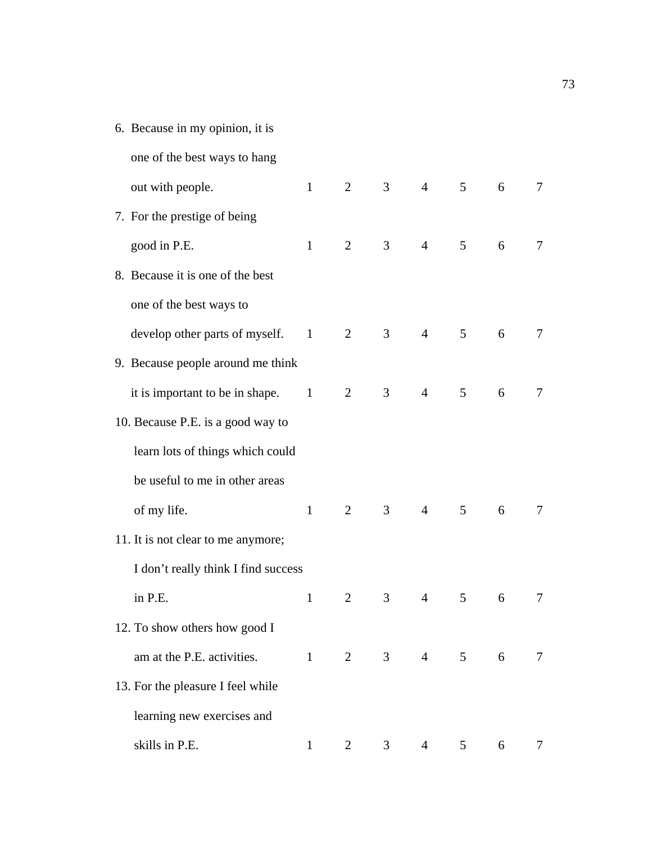# 6. Because in my opinion, it is

| one of the best ways to hang        |              |                |                |                |                 |   |                |
|-------------------------------------|--------------|----------------|----------------|----------------|-----------------|---|----------------|
| out with people.                    | $\mathbf{1}$ | 2              | 3              | $4 \quad$      | $\mathfrak{S}$  | 6 | $\tau$         |
| 7. For the prestige of being        |              |                |                |                |                 |   |                |
| good in P.E.                        | $\mathbf{1}$ | 2              | 3              | $\overline{4}$ | 5               | 6 | 7              |
| 8. Because it is one of the best    |              |                |                |                |                 |   |                |
| one of the best ways to             |              |                |                |                |                 |   |                |
| develop other parts of myself.      | $\mathbf{1}$ | 2              | 3              | $\overline{4}$ | 5               | 6 | 7              |
| 9. Because people around me think   |              |                |                |                |                 |   |                |
| it is important to be in shape. $1$ |              | 2              | 3              | $\overline{4}$ | 5               | 6 | 7              |
| 10. Because P.E. is a good way to   |              |                |                |                |                 |   |                |
| learn lots of things which could    |              |                |                |                |                 |   |                |
| be useful to me in other areas      |              |                |                |                |                 |   |                |
| of my life.                         | $\mathbf{1}$ | 2              | $\mathfrak{Z}$ | $\overline{4}$ | $5\overline{)}$ | 6 | 7              |
| 11. It is not clear to me anymore;  |              |                |                |                |                 |   |                |
| I don't really think I find success |              |                |                |                |                 |   |                |
| in P.E.                             | $\mathbf{1}$ | $\overline{2}$ | 3              | $\overline{4}$ | 5               | 6 | 7              |
| 12. To show others how good I       |              |                |                |                |                 |   |                |
| am at the P.E. activities.          |              | $1 \qquad 2$   |                | $3 \t 4 \t 5$  |                 | 6 | $\overline{7}$ |
| 13. For the pleasure I feel while   |              |                |                |                |                 |   |                |
| learning new exercises and          |              |                |                |                |                 |   |                |
| skills in P.E.                      | $\mathbf{1}$ | $\overline{2}$ | 3 <sup>7</sup> | $\overline{4}$ | 5 <sup>5</sup>  | 6 | 7              |